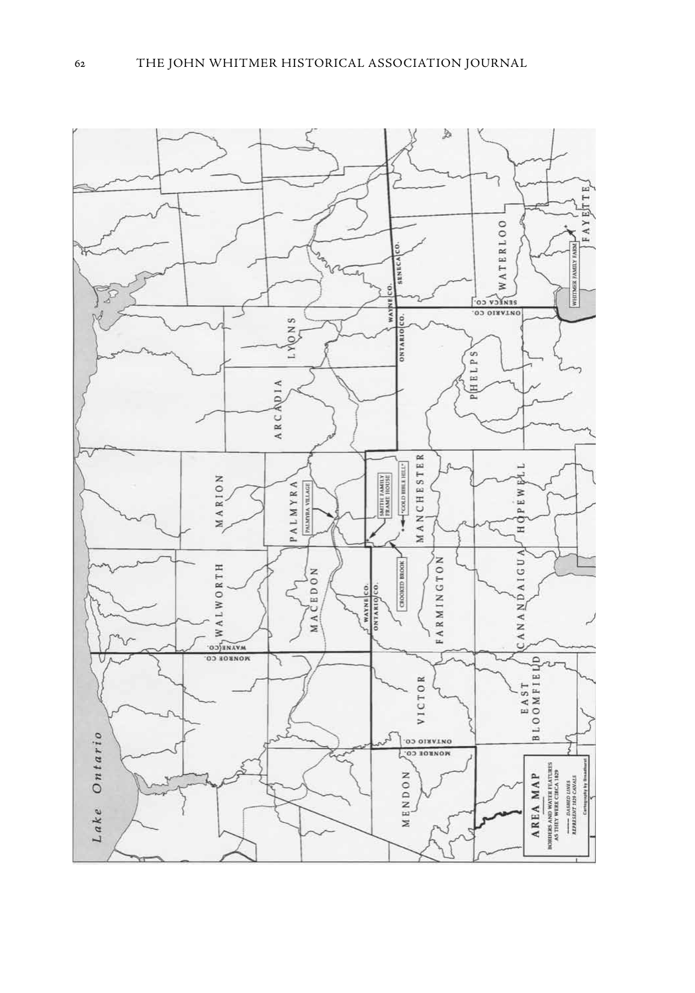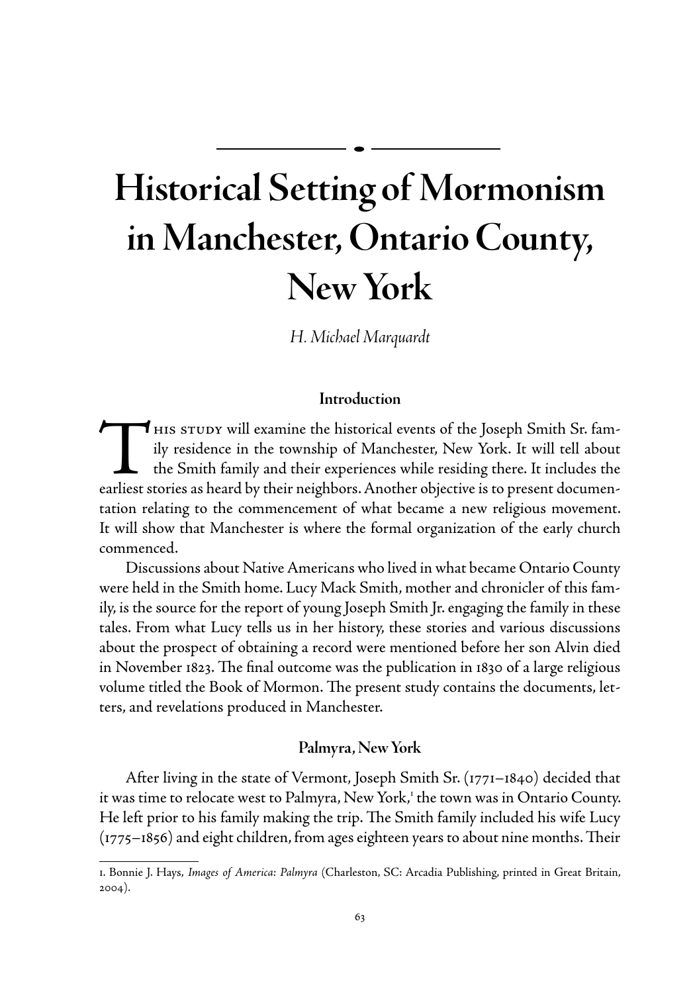# **Historical Setting of Mormonism in Manchester, Ontario County, New York**

*H. Michael Marquardt*

## **Introduction**

This study will examine the historical events of the Joseph Smith Sr. fam-<br>ily residence in the township of Manchester, New York. It will tell about<br>the Smith family and their experiences while residing there. It includes ily residence in the township of Manchester, New York. It will tell about the Smith family and their experiences while residing there. It includes the earliest stories as heard by their neighbors. Another objective is to present documentation relating to the commencement of what became a new religious movement. It will show that Manchester is where the formal organization of the early church commenced.

Discussions about Native Americans who lived in what became Ontario County were held in the Smith home. Lucy Mack Smith, mother and chronicler of this family, is the source for the report of young Joseph Smith Jr. engaging the family in these tales. From what Lucy tells us in her history, these stories and various discussions about the prospect of obtaining a record were mentioned before her son Alvin died in November 1823. The final outcome was the publication in 1830 of a large religious volume titled the Book of Mormon. The present study contains the documents, letters, and revelations produced in Manchester.

#### **Palmyra, New York**

After living in the state of Vermont, Joseph Smith Sr. (1771–1840) decided that it was time to relocate west to Palmyra, New York,<sup>1</sup> the town was in Ontario County. He left prior to his family making the trip. The Smith family included his wife Lucy (1775–1856) and eight children, from ages eighteen years to about nine months. Their

<sup>1.</sup> Bonnie J. Hays, *Images of America: Palmyra* (Charleston, SC: Arcadia Publishing, printed in Great Britain, 2004).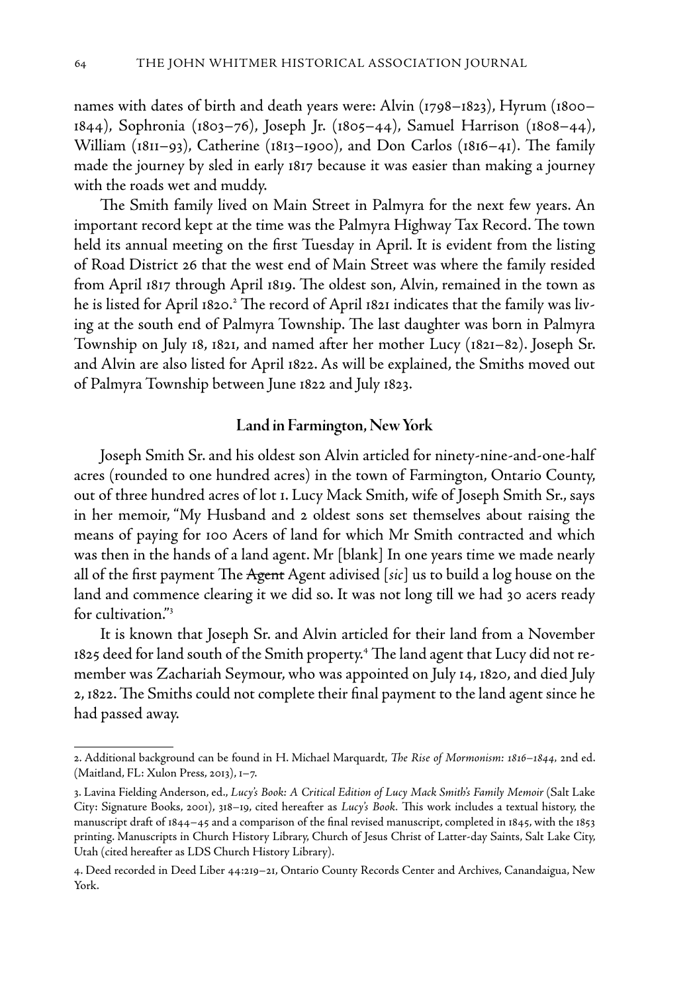names with dates of birth and death years were: Alvin (1798–1823), Hyrum (1800– 1844), Sophronia (1803–76), Joseph Jr. (1805–44), Samuel Harrison (1808–44), William (1811–93), Catherine (1813–1900), and Don Carlos (1816–41). The family made the journey by sled in early 1817 because it was easier than making a journey with the roads wet and muddy.

The Smith family lived on Main Street in Palmyra for the next few years. An important record kept at the time was the Palmyra Highway Tax Record. The town held its annual meeting on the first Tuesday in April. It is evident from the listing of Road District 26 that the west end of Main Street was where the family resided from April 1817 through April 1819. The oldest son, Alvin, remained in the town as he is listed for April 1820.<sup>2</sup> The record of April 1821 indicates that the family was living at the south end of Palmyra Township. The last daughter was born in Palmyra Township on July 18, 1821, and named after her mother Lucy (1821–82). Joseph Sr. and Alvin are also listed for April 1822. As will be explained, the Smiths moved out of Palmyra Township between June 1822 and July 1823.

#### **Land in Farmington, New York**

Joseph Smith Sr. and his oldest son Alvin articled for ninety-nine-and-one-half acres (rounded to one hundred acres) in the town of Farmington, Ontario County, out of three hundred acres of lot 1. Lucy Mack Smith, wife of Joseph Smith Sr., says in her memoir, "My Husband and 2 oldest sons set themselves about raising the means of paying for 100 Acers of land for which Mr Smith contracted and which was then in the hands of a land agent. Mr [blank] In one years time we made nearly all of the first payment The Agent Agent adivised [*sic*] us to build a log house on the land and commence clearing it we did so. It was not long till we had 30 acers ready for cultivation."3

It is known that Joseph Sr. and Alvin articled for their land from a November 1825 deed for land south of the Smith property.<sup>4</sup> The land agent that Lucy did not remember was Zachariah Seymour, who was appointed on July 14, 1820, and died July 2, 1822. The Smiths could not complete their final payment to the land agent since he had passed away.

<sup>2.</sup> Additional background can be found in H. Michael Marquardt, *The Rise of Mormonism: 1816–1844,* 2nd ed. (Maitland, FL: Xulon Press, 2013), 1–7.

<sup>3.</sup> Lavina Fielding Anderson, ed., *Lucy's Book: A Critical Edition of Lucy Mack Smith's Family Memoir* (Salt Lake City: Signature Books, 2001), 318–19, cited hereafter as *Lucy's Book.* This work includes a textual history, the manuscript draft of 1844–45 and a comparison of the final revised manuscript, completed in 1845, with the 1853 printing. Manuscripts in Church History Library, Church of Jesus Christ of Latter-day Saints, Salt Lake City, Utah (cited hereafter as LDS Church History Library).

<sup>4.</sup> Deed recorded in Deed Liber 44:219–21, Ontario County Records Center and Archives, Canandaigua, New York.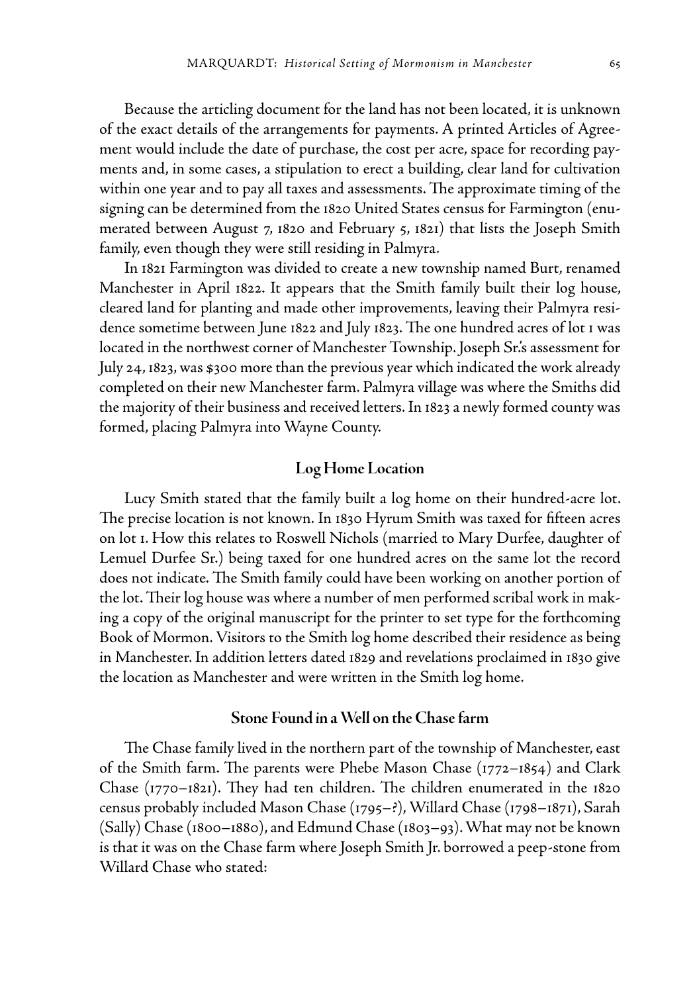Because the articling document for the land has not been located, it is unknown of the exact details of the arrangements for payments. A printed Articles of Agreement would include the date of purchase, the cost per acre, space for recording payments and, in some cases, a stipulation to erect a building, clear land for cultivation within one year and to pay all taxes and assessments. The approximate timing of the signing can be determined from the 1820 United States census for Farmington (enumerated between August 7, 1820 and February 5, 1821) that lists the Joseph Smith family, even though they were still residing in Palmyra.

In 1821 Farmington was divided to create a new township named Burt, renamed Manchester in April 1822. It appears that the Smith family built their log house, cleared land for planting and made other improvements, leaving their Palmyra residence sometime between June 1822 and July 1823. The one hundred acres of lot 1 was located in the northwest corner of Manchester Township. Joseph Sr.'s assessment for July 24, 1823, was \$300 more than the previous year which indicated the work already completed on their new Manchester farm. Palmyra village was where the Smiths did the majority of their business and received letters. In 1823 a newly formed county was formed, placing Palmyra into Wayne County.

#### **Log Home Location**

Lucy Smith stated that the family built a log home on their hundred-acre lot. The precise location is not known. In 1830 Hyrum Smith was taxed for fifteen acres on lot 1. How this relates to Roswell Nichols (married to Mary Durfee, daughter of Lemuel Durfee Sr.) being taxed for one hundred acres on the same lot the record does not indicate. The Smith family could have been working on another portion of the lot. Their log house was where a number of men performed scribal work in making a copy of the original manuscript for the printer to set type for the forthcoming Book of Mormon. Visitors to the Smith log home described their residence as being in Manchester. In addition letters dated 1829 and revelations proclaimed in 1830 give the location as Manchester and were written in the Smith log home.

## **Stone Found in a Well on the Chase farm**

The Chase family lived in the northern part of the township of Manchester, east of the Smith farm. The parents were Phebe Mason Chase (1772–1854) and Clark Chase (1770–1821). They had ten children. The children enumerated in the 1820 census probably included Mason Chase (1795–?), Willard Chase (1798–1871), Sarah (Sally) Chase (1800–1880), and Edmund Chase (1803–93). What may not be known is that it was on the Chase farm where Joseph Smith Jr. borrowed a peep-stone from Willard Chase who stated: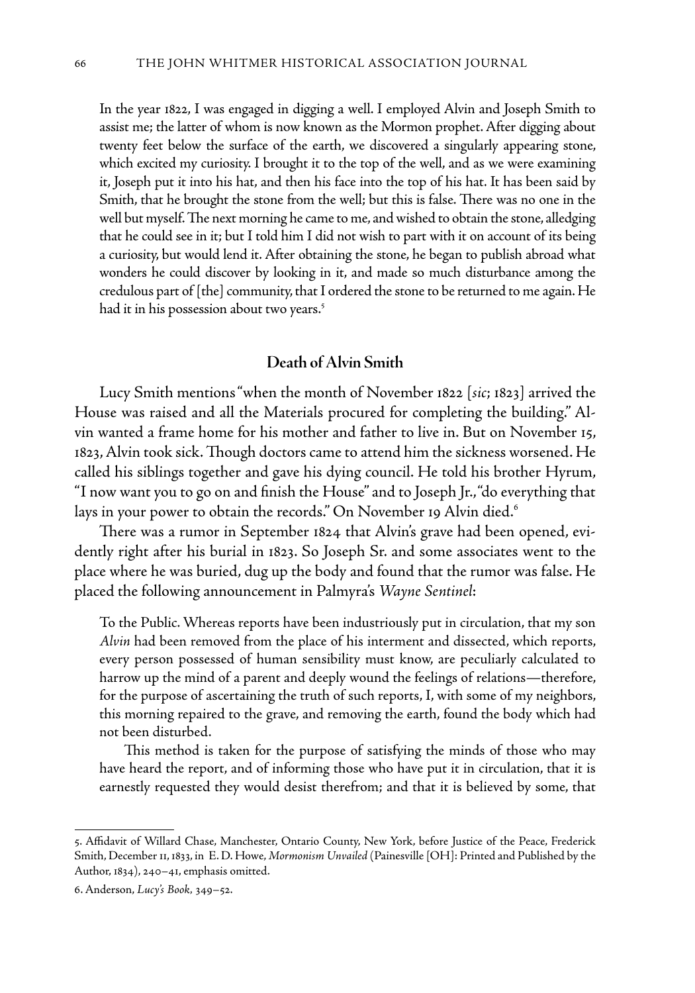In the year 1822, I was engaged in digging a well. I employed Alvin and Joseph Smith to assist me; the latter of whom is now known as the Mormon prophet. After digging about twenty feet below the surface of the earth, we discovered a singularly appearing stone, which excited my curiosity. I brought it to the top of the well, and as we were examining it, Joseph put it into his hat, and then his face into the top of his hat. It has been said by Smith, that he brought the stone from the well; but this is false. There was no one in the well but myself. The next morning he came to me, and wished to obtain the stone, alledging that he could see in it; but I told him I did not wish to part with it on account of its being a curiosity, but would lend it. After obtaining the stone, he began to publish abroad what wonders he could discover by looking in it, and made so much disturbance among the credulous part of [the] community, that I ordered the stone to be returned to me again. He had it in his possession about two years.<sup>5</sup>

# **Death of Alvin Smith**

Lucy Smith mentions "when the month of November 1822 [*sic*; 1823] arrived the House was raised and all the Materials procured for completing the building." Alvin wanted a frame home for his mother and father to live in. But on November 15, 1823, Alvin took sick. Though doctors came to attend him the sickness worsened. He called his siblings together and gave his dying council. He told his brother Hyrum, "I now want you to go on and finish the House" and to Joseph Jr., "do everything that lays in your power to obtain the records." On November 19 Alvin died. $^6$ 

There was a rumor in September 1824 that Alvin's grave had been opened, evidently right after his burial in 1823. So Joseph Sr. and some associates went to the place where he was buried, dug up the body and found that the rumor was false. He placed the following announcement in Palmyra's *Wayne Sentinel*:

To the Public. Whereas reports have been industriously put in circulation, that my son *Alvin* had been removed from the place of his interment and dissected, which reports, every person possessed of human sensibility must know, are peculiarly calculated to harrow up the mind of a parent and deeply wound the feelings of relations—therefore, for the purpose of ascertaining the truth of such reports, I, with some of my neighbors, this morning repaired to the grave, and removing the earth, found the body which had not been disturbed.

 This method is taken for the purpose of satisfying the minds of those who may have heard the report, and of informing those who have put it in circulation, that it is earnestly requested they would desist therefrom; and that it is believed by some, that

<sup>5.</sup> Affidavit of Willard Chase, Manchester, Ontario County, New York, before Justice of the Peace, Frederick Smith, December 11, 1833, in E. D. Howe, *Mormonism Unvailed* (Painesville [OH]: Printed and Published by the Author, 1834), 240–41, emphasis omitted.

<sup>6.</sup> Anderson, *Lucy's Book,* 349–52.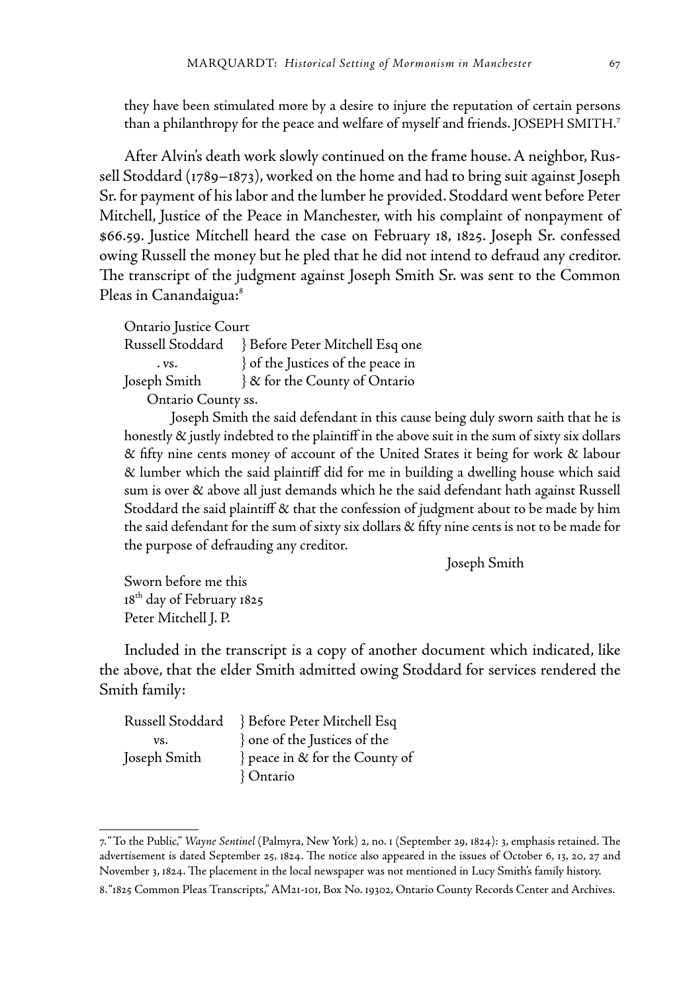they have been stimulated more by a desire to injure the reputation of certain persons than a philanthropy for the peace and welfare of myself and friends. JOSEPH SMITH. 7

After Alvin's death work slowly continued on the frame house. A neighbor, Russell Stoddard (1789–1873), worked on the home and had to bring suit against Joseph Sr. for payment of his labor and the lumber he provided. Stoddard went before Peter Mitchell, Justice of the Peace in Manchester, with his complaint of nonpayment of \$66.59. Justice Mitchell heard the case on February 18, 1825. Joseph Sr. confessed owing Russell the money but he pled that he did not intend to defraud any creditor. The transcript of the judgment against Joseph Smith Sr. was sent to the Common Pleas in Canandaigua:<sup>8</sup>

```
Ontario Justice Court
```

| Russell Stoddard   | Before Peter Mitchell Esq one   |
|--------------------|---------------------------------|
| $\cdot$ VS $\cdot$ | of the Justices of the peace in |
| Joseph Smith       | & for the County of Ontario     |
| Ontario County ss. |                                 |

 Joseph Smith the said defendant in this cause being duly sworn saith that he is honestly & justly indebted to the plaintiff in the above suit in the sum of sixty six dollars & fifty nine cents money of account of the United States it being for work & labour & lumber which the said plaintiff did for me in building a dwelling house which said sum is over & above all just demands which he the said defendant hath against Russell Stoddard the said plaintiff & that the confession of judgment about to be made by him the said defendant for the sum of sixty six dollars & fifty nine cents is not to be made for the purpose of defrauding any creditor.

Joseph Smith

Sworn before me this 18th day of February 1825 Peter Mitchell J. P.

Included in the transcript is a copy of another document which indicated, like the above, that the elder Smith admitted owing Stoddard for services rendered the Smith family:

| Russell Stoddard | Before Peter Mitchell Esq      |
|------------------|--------------------------------|
| VS.              | } one of the Justices of the   |
| Joseph Smith     | } peace in & for the County of |
|                  | { Ontario                      |

<sup>7. &</sup>quot;To the Public," *Wayne Sentinel* (Palmyra, New York) 2, no. 1 (September 29, 1824): 3, emphasis retained. The advertisement is dated September 25, 1824. The notice also appeared in the issues of October 6, 13, 20, 27 and November 3, 1824. The placement in the local newspaper was not mentioned in Lucy Smith's family history.

<sup>8. &</sup>quot;1825 Common Pleas Transcripts," AM21-101, Box No. 19302, Ontario County Records Center and Archives.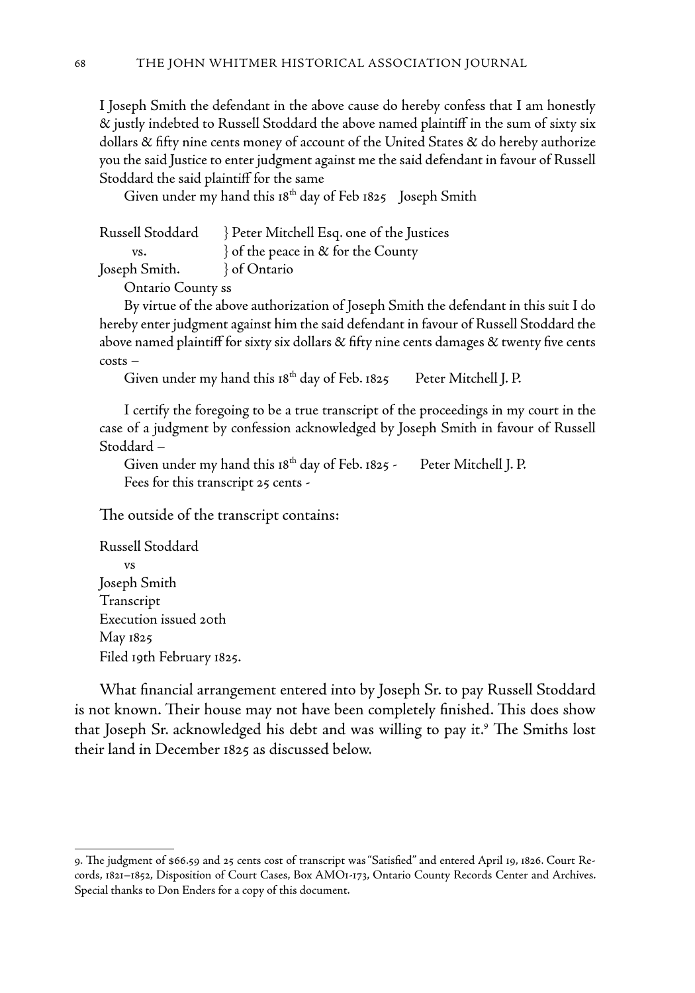I Joseph Smith the defendant in the above cause do hereby confess that I am honestly & justly indebted to Russell Stoddard the above named plaintiff in the sum of sixty six dollars  $\&$  fifty nine cents money of account of the United States  $\&$  do hereby authorize you the said Justice to enter judgment against me the said defendant in favour of Russell Stoddard the said plaintiff for the same

Given under my hand this  $18<sup>th</sup>$  day of Feb  $1825$  Joseph Smith

| Russell Stoddard | Peter Mitchell Esq. one of the Justices |
|------------------|-----------------------------------------|
| vs.              | $\}$ of the peace in & for the County   |
| Joseph Smith.    | of Ontario                              |

Ontario County ss

 By virtue of the above authorization of Joseph Smith the defendant in this suit I do hereby enter judgment against him the said defendant in favour of Russell Stoddard the above named plaintiff for sixty six dollars & fifty nine cents damages & twenty five cents costs –

Given under my hand this  $18<sup>th</sup>$  day of Feb. 1825 Peter Mitchell J. P.

 I certify the foregoing to be a true transcript of the proceedings in my court in the case of a judgment by confession acknowledged by Joseph Smith in favour of Russell Stoddard –

```
Given under my hand this 18<sup>th</sup> day of Feb. 1825 - Peter Mitchell J. P.
 Fees for this transcript 25 cents -
```
The outside of the transcript contains:

```
Russell Stoddard 
     vs 
Joseph Smith
Transcript 
Execution issued 20th
May 1825 
Filed 19th February 1825.
```
What financial arrangement entered into by Joseph Sr. to pay Russell Stoddard is not known. Their house may not have been completely finished. This does show that Joseph Sr. acknowledged his debt and was willing to pay it.<sup>9</sup> The Smiths lost their land in December 1825 as discussed below.

<sup>9.</sup> The judgment of \$66.59 and 25 cents cost of transcript was "Satisfied" and entered April 19, 1826. Court Records, 1821–1852, Disposition of Court Cases, Box AMO1-173, Ontario County Records Center and Archives. Special thanks to Don Enders for a copy of this document.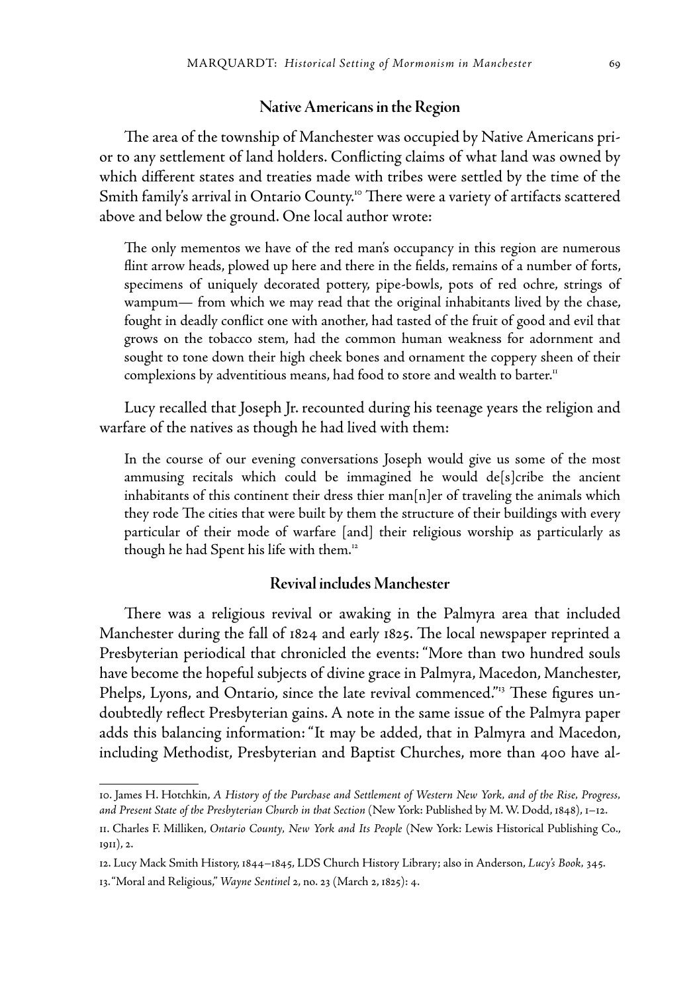#### **Native Americans in the Region**

The area of the township of Manchester was occupied by Native Americans prior to any settlement of land holders. Conflicting claims of what land was owned by which different states and treaties made with tribes were settled by the time of the Smith family's arrival in Ontario County.<sup>10</sup> There were a variety of artifacts scattered above and below the ground. One local author wrote:

The only mementos we have of the red man's occupancy in this region are numerous flint arrow heads, plowed up here and there in the fields, remains of a number of forts, specimens of uniquely decorated pottery, pipe-bowls, pots of red ochre, strings of wampum— from which we may read that the original inhabitants lived by the chase, fought in deadly conflict one with another, had tasted of the fruit of good and evil that grows on the tobacco stem, had the common human weakness for adornment and sought to tone down their high cheek bones and ornament the coppery sheen of their complexions by adventitious means, had food to store and wealth to barter.<sup>11</sup>

Lucy recalled that Joseph Jr. recounted during his teenage years the religion and warfare of the natives as though he had lived with them:

In the course of our evening conversations Joseph would give us some of the most ammusing recitals which could be immagined he would de[s]cribe the ancient inhabitants of this continent their dress thier man[n]er of traveling the animals which they rode The cities that were built by them the structure of their buildings with every particular of their mode of warfare [and] their religious worship as particularly as though he had Spent his life with them.<sup>12</sup>

## **Revival includes Manchester**

There was a religious revival or awaking in the Palmyra area that included Manchester during the fall of 1824 and early 1825. The local newspaper reprinted a Presbyterian periodical that chronicled the events: "More than two hundred souls have become the hopeful subjects of divine grace in Palmyra, Macedon, Manchester, Phelps, Lyons, and Ontario, since the late revival commenced."<sup>13</sup> These figures undoubtedly reflect Presbyterian gains. A note in the same issue of the Palmyra paper adds this balancing information: "It may be added, that in Palmyra and Macedon, including Methodist, Presbyterian and Baptist Churches, more than 400 have al-

<sup>10.</sup> James H. Hotchkin, *A History of the Purchase and Settlement of Western New York, and of the Rise, Progress, and Present State of the Presbyterian Church in that Section* (New York: Published by M. W. Dodd, 1848), 1–12.

<sup>11.</sup> Charles F. Milliken, *Ontario County, New York and Its People* (New York: Lewis Historical Publishing Co., 1911), 2.

<sup>12.</sup> Lucy Mack Smith History, 1844–1845, LDS Church History Library; also in Anderson, *Lucy's Book,* 345.

<sup>13. &</sup>quot;Moral and Religious," *Wayne Sentinel* 2, no. 23 (March 2, 1825): 4.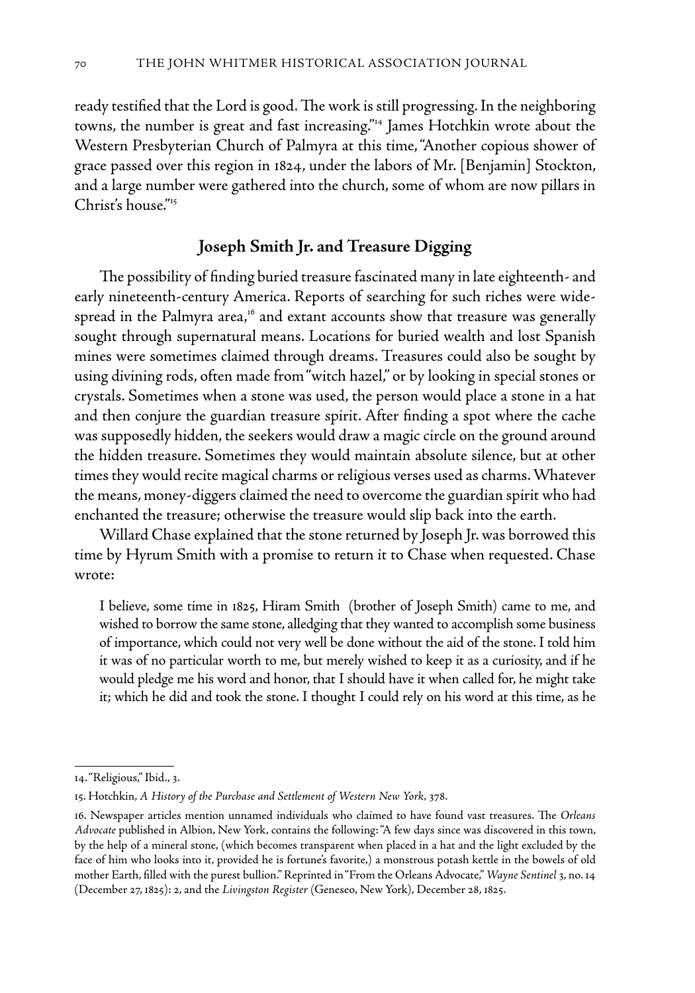ready testified that the Lord is good. The work is still progressing. In the neighboring towns, the number is great and fast increasing."14 James Hotchkin wrote about the Western Presbyterian Church of Palmyra at this time, "Another copious shower of grace passed over this region in 1824, under the labors of Mr. [Benjamin] Stockton, and a large number were gathered into the church, some of whom are now pillars in Christ's house."15

# **Joseph Smith Jr. and Treasure Digging**

The possibility of finding buried treasure fascinated many in late eighteenth- and early nineteenth-century America. Reports of searching for such riches were widespread in the Palmyra area,<sup>16</sup> and extant accounts show that treasure was generally sought through supernatural means. Locations for buried wealth and lost Spanish mines were sometimes claimed through dreams. Treasures could also be sought by using divining rods, often made from "witch hazel," or by looking in special stones or crystals. Sometimes when a stone was used, the person would place a stone in a hat and then conjure the guardian treasure spirit. After finding a spot where the cache was supposedly hidden, the seekers would draw a magic circle on the ground around the hidden treasure. Sometimes they would maintain absolute silence, but at other times they would recite magical charms or religious verses used as charms. Whatever the means, money-diggers claimed the need to overcome the guardian spirit who had enchanted the treasure; otherwise the treasure would slip back into the earth.

Willard Chase explained that the stone returned by Joseph Jr. was borrowed this time by Hyrum Smith with a promise to return it to Chase when requested. Chase wrote:

I believe, some time in 1825, Hiram Smith (brother of Joseph Smith) came to me, and wished to borrow the same stone, alledging that they wanted to accomplish some business of importance, which could not very well be done without the aid of the stone. I told him it was of no particular worth to me, but merely wished to keep it as a curiosity, and if he would pledge me his word and honor, that I should have it when called for, he might take it; which he did and took the stone. I thought I could rely on his word at this time, as he

<sup>14. &</sup>quot;Religious," Ibid., 3.

<sup>15.</sup> Hotchkin, *A History of the Purchase and Settlement of Western New York,* 378.

<sup>16.</sup> Newspaper articles mention unnamed individuals who claimed to have found vast treasures. The *Orleans Advocate* published in Albion, New York, contains the following: "A few days since was discovered in this town, by the help of a mineral stone, (which becomes transparent when placed in a hat and the light excluded by the face of him who looks into it, provided he is fortune's favorite,) a monstrous potash kettle in the bowels of old mother Earth, filled with the purest bullion." Reprinted in "From the Orleans Advocate," *Wayne Sentinel* 3, no. 14 (December 27, 1825): 2, and the *Livingston Register* (Geneseo, New York), December 28, 1825.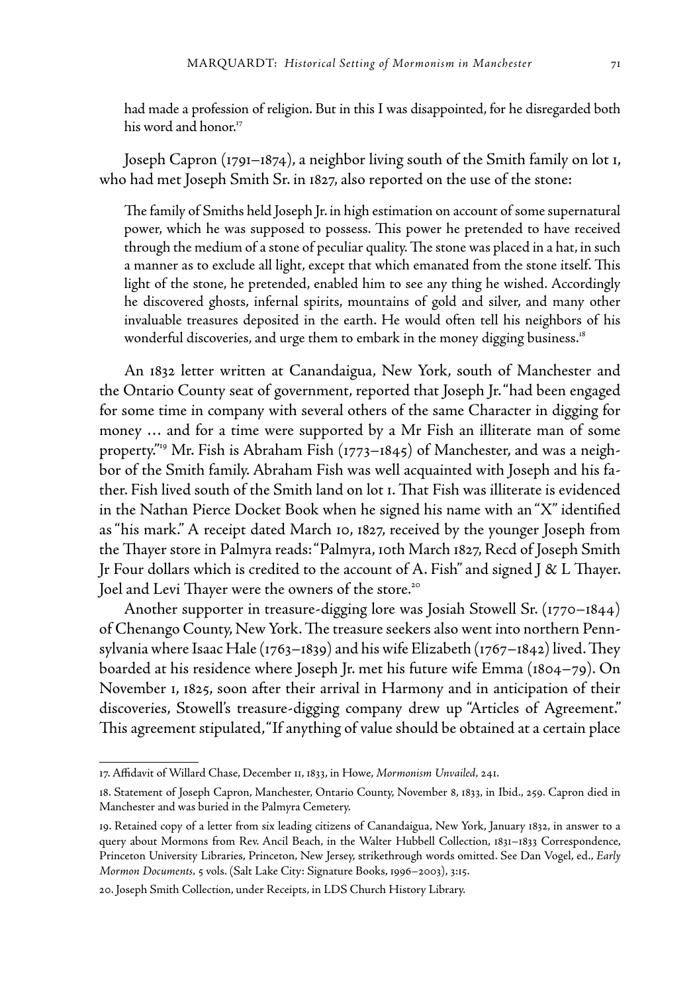had made a profession of religion. But in this I was disappointed, for he disregarded both his word and honor.<sup>17</sup>

Joseph Capron (1791–1874), a neighbor living south of the Smith family on lot 1, who had met Joseph Smith Sr. in 1827, also reported on the use of the stone:

The family of Smiths held Joseph Jr. in high estimation on account of some supernatural power, which he was supposed to possess. This power he pretended to have received through the medium of a stone of peculiar quality. The stone was placed in a hat, in such a manner as to exclude all light, except that which emanated from the stone itself. This light of the stone, he pretended, enabled him to see any thing he wished. Accordingly he discovered ghosts, infernal spirits, mountains of gold and silver, and many other invaluable treasures deposited in the earth. He would often tell his neighbors of his wonderful discoveries, and urge them to embark in the money digging business.<sup>18</sup>

An 1832 letter written at Canandaigua, New York, south of Manchester and the Ontario County seat of government, reported that Joseph Jr. "had been engaged for some time in company with several others of the same Character in digging for money … and for a time were supported by a Mr Fish an illiterate man of some property."19 Mr. Fish is Abraham Fish (1773–1845) of Manchester, and was a neighbor of the Smith family. Abraham Fish was well acquainted with Joseph and his father. Fish lived south of the Smith land on lot 1. That Fish was illiterate is evidenced in the Nathan Pierce Docket Book when he signed his name with an "X" identified as "his mark." A receipt dated March 10, 1827, received by the younger Joseph from the Thayer store in Palmyra reads: "Palmyra, 10th March 1827, Recd of Joseph Smith Jr Four dollars which is credited to the account of A. Fish" and signed J & L Thayer. Joel and Levi Thayer were the owners of the store.<sup>20</sup>

Another supporter in treasure-digging lore was Josiah Stowell Sr. (1770–1844) of Chenango County, New York. The treasure seekers also went into northern Pennsylvania where Isaac Hale (1763–1839) and his wife Elizabeth (1767–1842) lived. They boarded at his residence where Joseph Jr. met his future wife Emma (1804–79). On November 1, 1825, soon after their arrival in Harmony and in anticipation of their discoveries, Stowell's treasure-digging company drew up "Articles of Agreement." This agreement stipulated, "If anything of value should be obtained at a certain place

<sup>17.</sup> Affidavit of Willard Chase, December 11, 1833, in Howe, *Mormonism Unvailed,* 241.

<sup>18.</sup> Statement of Joseph Capron, Manchester, Ontario County, November 8, 1833, in Ibid., 259. Capron died in Manchester and was buried in the Palmyra Cemetery.

<sup>19.</sup> Retained copy of a letter from six leading citizens of Canandaigua, New York, January 1832, in answer to a query about Mormons from Rev. Ancil Beach, in the Walter Hubbell Collection, 1831–1833 Correspondence, Princeton University Libraries, Princeton, New Jersey, strikethrough words omitted. See Dan Vogel, ed., *Early Mormon Documents,* 5 vols. (Salt Lake City: Signature Books, 1996–2003), 3:15.

<sup>20.</sup> Joseph Smith Collection, under Receipts, in LDS Church History Library.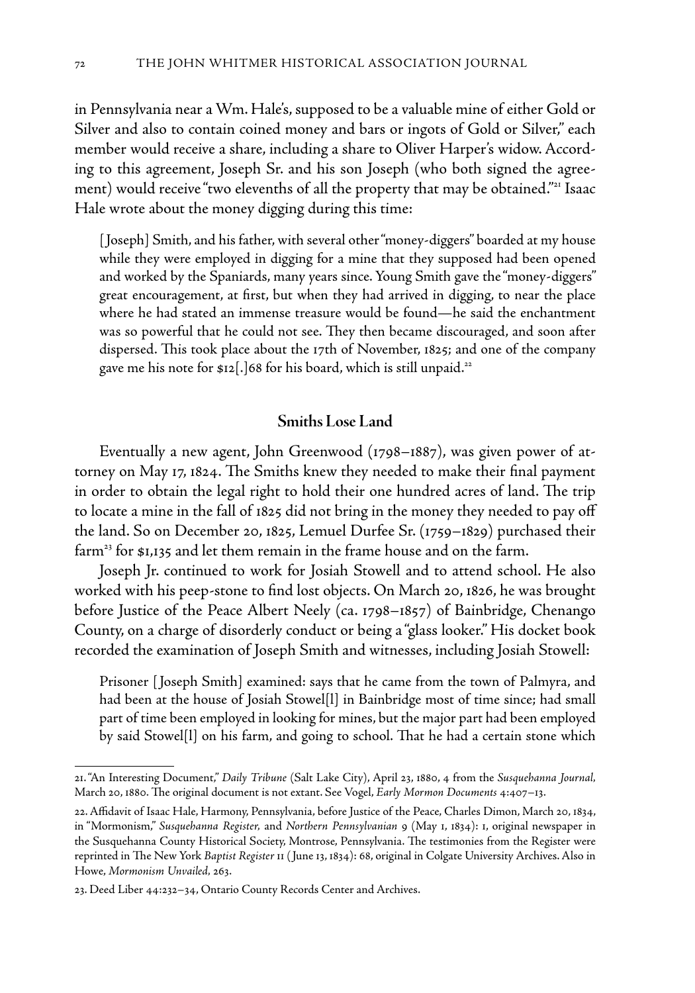in Pennsylvania near a Wm. Hale's, supposed to be a valuable mine of either Gold or Silver and also to contain coined money and bars or ingots of Gold or Silver," each member would receive a share, including a share to Oliver Harper's widow. According to this agreement, Joseph Sr. and his son Joseph (who both signed the agreement) would receive "two elevenths of all the property that may be obtained."21 Isaac Hale wrote about the money digging during this time:

[ Joseph] Smith, and his father, with several other "money-diggers" boarded at my house while they were employed in digging for a mine that they supposed had been opened and worked by the Spaniards, many years since. Young Smith gave the "money-diggers" great encouragement, at first, but when they had arrived in digging, to near the place where he had stated an immense treasure would be found—he said the enchantment was so powerful that he could not see. They then became discouraged, and soon after dispersed. This took place about the 17th of November, 1825; and one of the company gave me his note for  $\text{$}12[.]68$  for his board, which is still unpaid.<sup>22</sup>

## **Smiths Lose Land**

Eventually a new agent, John Greenwood (1798–1887), was given power of attorney on May 17, 1824. The Smiths knew they needed to make their final payment in order to obtain the legal right to hold their one hundred acres of land. The trip to locate a mine in the fall of 1825 did not bring in the money they needed to pay off the land. So on December 20, 1825, Lemuel Durfee Sr. (1759–1829) purchased their farm<sup>23</sup> for \$1,135 and let them remain in the frame house and on the farm.

Joseph Jr. continued to work for Josiah Stowell and to attend school. He also worked with his peep-stone to find lost objects. On March 20, 1826, he was brought before Justice of the Peace Albert Neely (ca. 1798–1857) of Bainbridge, Chenango County, on a charge of disorderly conduct or being a "glass looker." His docket book recorded the examination of Joseph Smith and witnesses, including Josiah Stowell:

Prisoner [ Joseph Smith] examined: says that he came from the town of Palmyra, and had been at the house of Josiah Stowel[l] in Bainbridge most of time since; had small part of time been employed in looking for mines, but the major part had been employed by said Stowel[l] on his farm, and going to school. That he had a certain stone which

<sup>21. &</sup>quot;An Interesting Document," *Daily Tribune* (Salt Lake City), April 23, 1880, 4 from the *Susquehanna Journal,*  March 20, 1880. The original document is not extant. See Vogel, *Early Mormon Documents* 4:407–13.

<sup>22.</sup> Affidavit of Isaac Hale, Harmony, Pennsylvania, before Justice of the Peace, Charles Dimon, March 20, 1834, in "Mormonism," *Susquehanna Register,* and *Northern Pennsylvanian* 9 (May 1, 1834): 1, original newspaper in the Susquehanna County Historical Society, Montrose, Pennsylvania. The testimonies from the Register were reprinted in The New York *Baptist Register* 11 ( June 13, 1834): 68, original in Colgate University Archives. Also in Howe, *Mormonism Unvailed,* 263.

<sup>23.</sup> Deed Liber 44:232–34, Ontario County Records Center and Archives.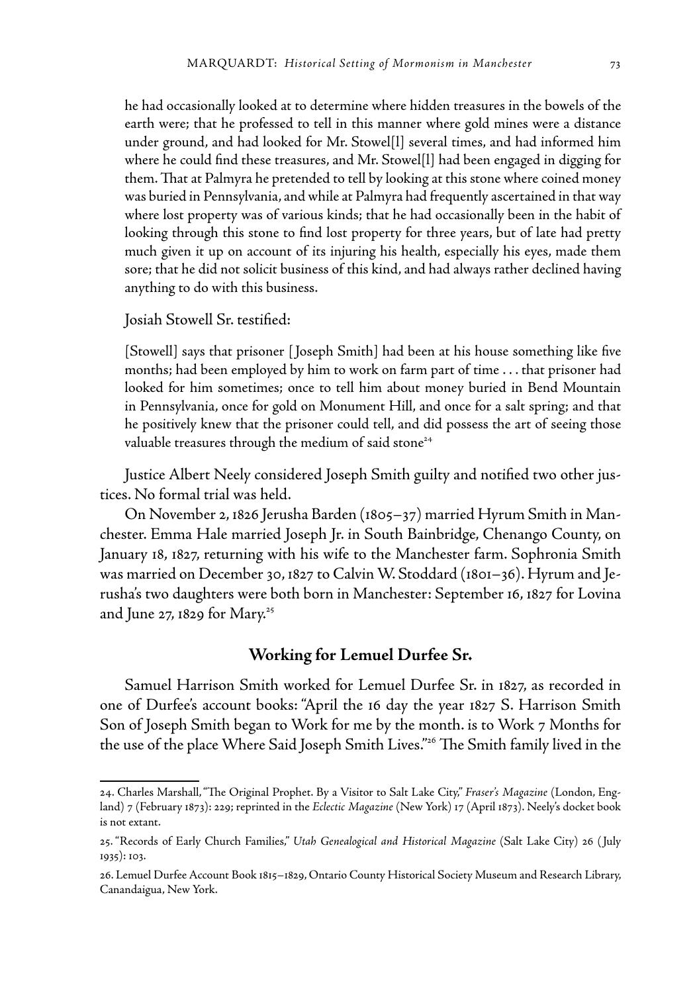he had occasionally looked at to determine where hidden treasures in the bowels of the earth were; that he professed to tell in this manner where gold mines were a distance under ground, and had looked for Mr. Stowel[l] several times, and had informed him where he could find these treasures, and Mr. Stowel[l] had been engaged in digging for them. That at Palmyra he pretended to tell by looking at this stone where coined money was buried in Pennsylvania, and while at Palmyra had frequently ascertained in that way where lost property was of various kinds; that he had occasionally been in the habit of looking through this stone to find lost property for three years, but of late had pretty much given it up on account of its injuring his health, especially his eyes, made them sore; that he did not solicit business of this kind, and had always rather declined having anything to do with this business.

#### Josiah Stowell Sr. testified:

[Stowell] says that prisoner [ Joseph Smith] had been at his house something like five months; had been employed by him to work on farm part of time . . . that prisoner had looked for him sometimes; once to tell him about money buried in Bend Mountain in Pennsylvania, once for gold on Monument Hill, and once for a salt spring; and that he positively knew that the prisoner could tell, and did possess the art of seeing those valuable treasures through the medium of said stone<sup>24</sup>

Justice Albert Neely considered Joseph Smith guilty and notified two other justices. No formal trial was held.

On November 2, 1826 Jerusha Barden (1805–37) married Hyrum Smith in Manchester. Emma Hale married Joseph Jr. in South Bainbridge, Chenango County, on January 18, 1827, returning with his wife to the Manchester farm. Sophronia Smith was married on December 30, 1827 to Calvin W. Stoddard (1801–36). Hyrum and Jerusha's two daughters were both born in Manchester: September 16, 1827 for Lovina and June 27, 1829 for Mary.<sup>25</sup>

#### **Working for Lemuel Durfee Sr.**

Samuel Harrison Smith worked for Lemuel Durfee Sr. in 1827, as recorded in one of Durfee's account books: "April the 16 day the year 1827 S. Harrison Smith Son of Joseph Smith began to Work for me by the month. is to Work 7 Months for the use of the place Where Said Joseph Smith Lives."26 The Smith family lived in the

<sup>24.</sup> Charles Marshall, "The Original Prophet. By a Visitor to Salt Lake City," *Fraser's Magazine* (London, England) 7 (February 1873): 229; reprinted in the *Eclectic Magazine* (New York) 17 (April 1873). Neely's docket book is not extant.

<sup>25. &</sup>quot;Records of Early Church Families," *Utah Genealogical and Historical Magazine* (Salt Lake City) 26 ( July 1935): 103.

<sup>26.</sup> Lemuel Durfee Account Book 1815–1829, Ontario County Historical Society Museum and Research Library, Canandaigua, New York.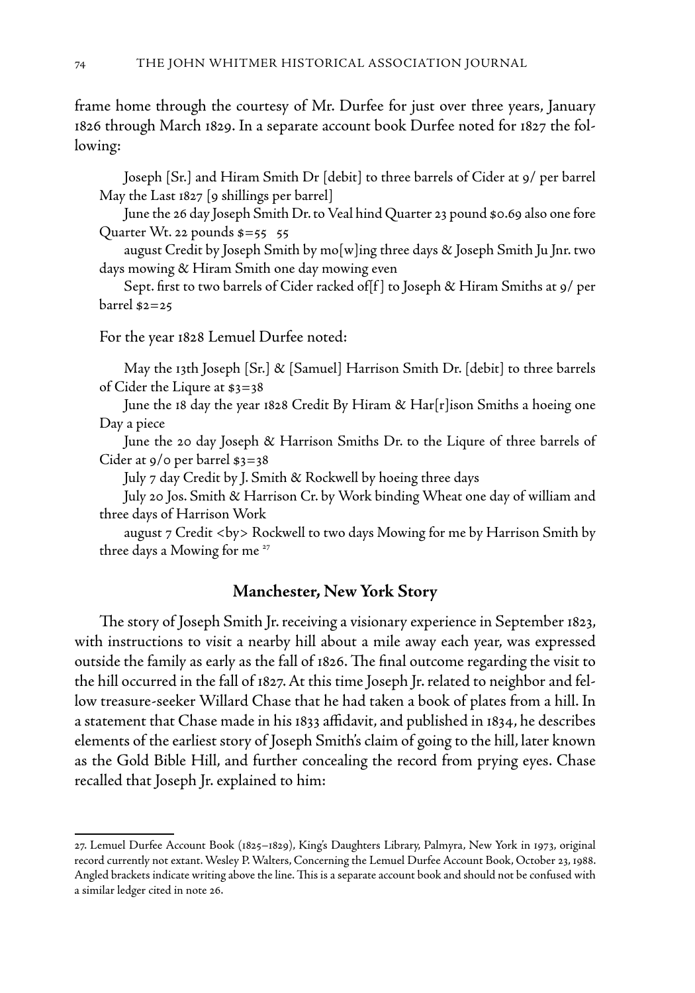frame home through the courtesy of Mr. Durfee for just over three years, January 1826 through March 1829. In a separate account book Durfee noted for 1827 the following:

 Joseph [Sr.] and Hiram Smith Dr [debit] to three barrels of Cider at 9/ per barrel May the Last 1827 [9 shillings per barrel]

 June the 26 day Joseph Smith Dr. to Veal hind Quarter 23 pound \$0.69 also one fore Quarter Wt. 22 pounds \$=55 55

 august Credit by Joseph Smith by mo[w]ing three days & Joseph Smith Ju Jnr. two days mowing & Hiram Smith one day mowing even

 Sept. first to two barrels of Cider racked of[f ] to Joseph & Hiram Smiths at 9/ per barrel  $$2=25$ 

For the year 1828 Lemuel Durfee noted:

 May the 13th Joseph [Sr.] & [Samuel] Harrison Smith Dr. [debit] to three barrels of Cider the Liqure at \$3=38

June the 18 day the year 1828 Credit By Hiram & Har[r]ison Smiths a hoeing one Day a piece

 June the 20 day Joseph & Harrison Smiths Dr. to the Liqure of three barrels of Cider at 9/0 per barrel \$3=38

July 7 day Credit by J. Smith & Rockwell by hoeing three days

 July 20 Jos. Smith & Harrison Cr. by Work binding Wheat one day of william and three days of Harrison Work

august 7 Credit <br > Rockwell to two days Mowing for me by Harrison Smith by three days a Mowing for me<sup>27</sup>

# **Manchester, New York Story**

The story of Joseph Smith Jr. receiving a visionary experience in September 1823, with instructions to visit a nearby hill about a mile away each year, was expressed outside the family as early as the fall of 1826. The final outcome regarding the visit to the hill occurred in the fall of 1827. At this time Joseph Jr. related to neighbor and fellow treasure-seeker Willard Chase that he had taken a book of plates from a hill. In a statement that Chase made in his 1833 affidavit, and published in 1834, he describes elements of the earliest story of Joseph Smith's claim of going to the hill, later known as the Gold Bible Hill, and further concealing the record from prying eyes. Chase recalled that Joseph Jr. explained to him:

<sup>27.</sup> Lemuel Durfee Account Book (1825–1829), King's Daughters Library, Palmyra, New York in 1973, original record currently not extant. Wesley P. Walters, Concerning the Lemuel Durfee Account Book, October 23, 1988. Angled brackets indicate writing above the line. This is a separate account book and should not be confused with a similar ledger cited in note 26.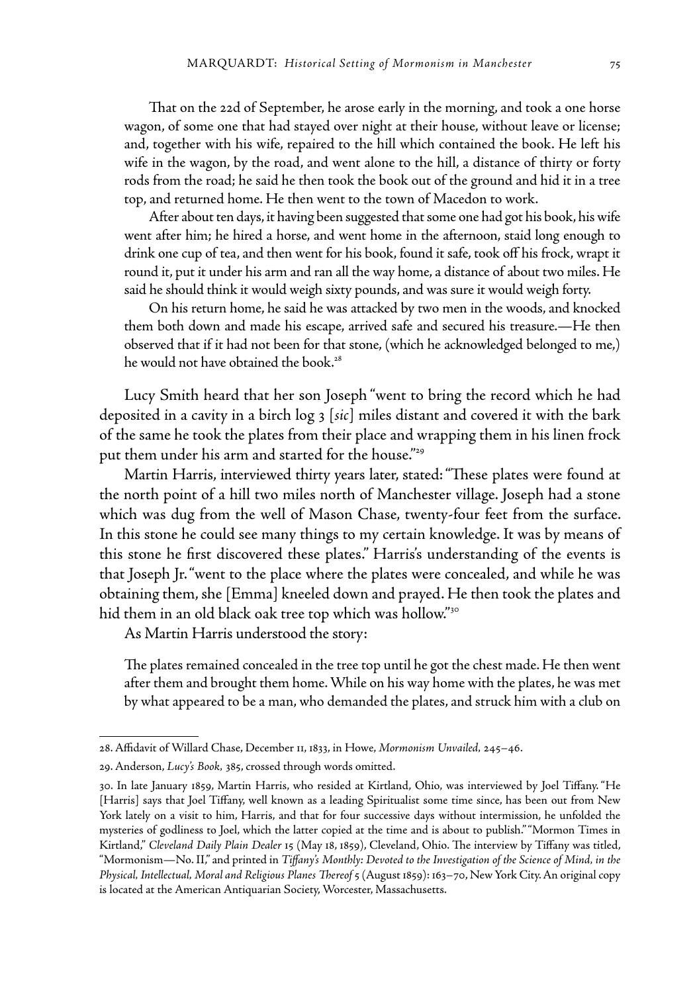That on the 22d of September, he arose early in the morning, and took a one horse wagon, of some one that had stayed over night at their house, without leave or license; and, together with his wife, repaired to the hill which contained the book. He left his wife in the wagon, by the road, and went alone to the hill, a distance of thirty or forty rods from the road; he said he then took the book out of the ground and hid it in a tree top, and returned home. He then went to the town of Macedon to work.

 After about ten days, it having been suggested that some one had got his book, his wife went after him; he hired a horse, and went home in the afternoon, staid long enough to drink one cup of tea, and then went for his book, found it safe, took off his frock, wrapt it round it, put it under his arm and ran all the way home, a distance of about two miles. He said he should think it would weigh sixty pounds, and was sure it would weigh forty.

 On his return home, he said he was attacked by two men in the woods, and knocked them both down and made his escape, arrived safe and secured his treasure.—He then observed that if it had not been for that stone, (which he acknowledged belonged to me,) he would not have obtained the book.<sup>28</sup>

Lucy Smith heard that her son Joseph "went to bring the record which he had deposited in a cavity in a birch log 3 [*sic*] miles distant and covered it with the bark of the same he took the plates from their place and wrapping them in his linen frock put them under his arm and started for the house."<sup>29</sup>

Martin Harris, interviewed thirty years later, stated: "These plates were found at the north point of a hill two miles north of Manchester village. Joseph had a stone which was dug from the well of Mason Chase, twenty-four feet from the surface. In this stone he could see many things to my certain knowledge. It was by means of this stone he first discovered these plates." Harris's understanding of the events is that Joseph Jr. "went to the place where the plates were concealed, and while he was obtaining them, she [Emma] kneeled down and prayed. He then took the plates and hid them in an old black oak tree top which was hollow."30

As Martin Harris understood the story:

The plates remained concealed in the tree top until he got the chest made. He then went after them and brought them home. While on his way home with the plates, he was met by what appeared to be a man, who demanded the plates, and struck him with a club on

<sup>28.</sup> Affidavit of Willard Chase, December 11, 1833, in Howe, *Mormonism Unvailed,* 245–46.

<sup>29.</sup> Anderson, *Lucy's Book,* 385, crossed through words omitted.

<sup>30.</sup> In late January 1859, Martin Harris, who resided at Kirtland, Ohio, was interviewed by Joel Tiffany. "He [Harris] says that Joel Tiffany, well known as a leading Spiritualist some time since, has been out from New York lately on a visit to him, Harris, and that for four successive days without intermission, he unfolded the mysteries of godliness to Joel, which the latter copied at the time and is about to publish." "Mormon Times in Kirtland," *Cleveland Daily Plain Dealer* 15 (May 18, 1859), Cleveland, Ohio. The interview by Tiffany was titled, "Mormonism—No. II," and printed in *Tiffany's Monthly: Devoted to the Investigation of the Science of Mind, in the Physical, Intellectual, Moral and Religious Planes Thereof* 5 (August 1859): 163–70, New York City. An original copy is located at the American Antiquarian Society, Worcester, Massachusetts.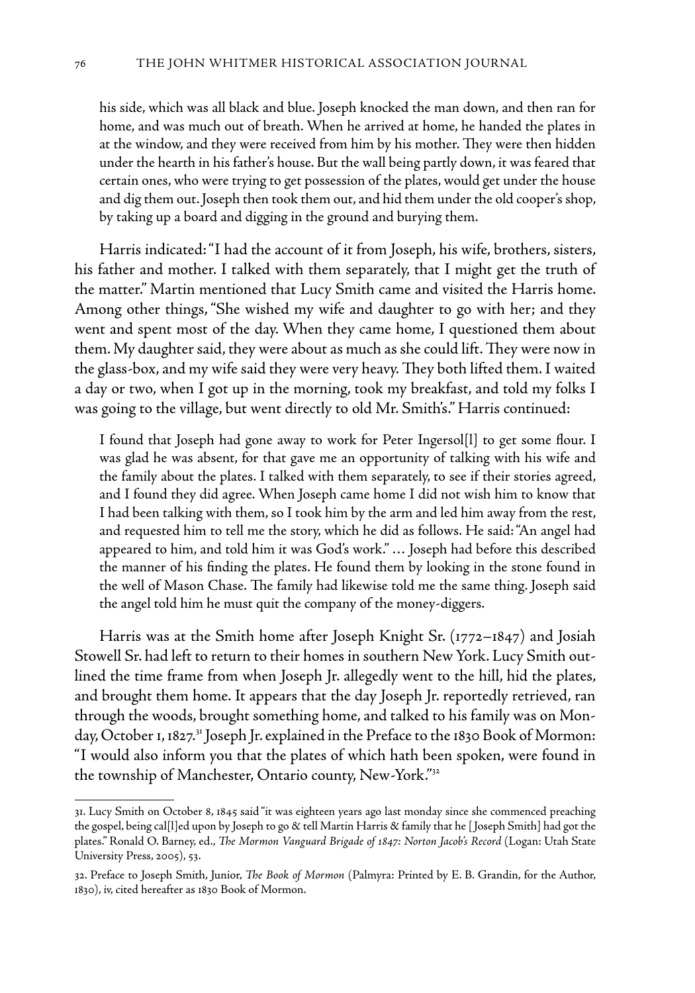his side, which was all black and blue. Joseph knocked the man down, and then ran for home, and was much out of breath. When he arrived at home, he handed the plates in at the window, and they were received from him by his mother. They were then hidden under the hearth in his father's house. But the wall being partly down, it was feared that certain ones, who were trying to get possession of the plates, would get under the house and dig them out. Joseph then took them out, and hid them under the old cooper's shop, by taking up a board and digging in the ground and burying them.

Harris indicated: "I had the account of it from Joseph, his wife, brothers, sisters, his father and mother. I talked with them separately, that I might get the truth of the matter." Martin mentioned that Lucy Smith came and visited the Harris home. Among other things, "She wished my wife and daughter to go with her; and they went and spent most of the day. When they came home, I questioned them about them. My daughter said, they were about as much as she could lift. They were now in the glass-box, and my wife said they were very heavy. They both lifted them. I waited a day or two, when I got up in the morning, took my breakfast, and told my folks I was going to the village, but went directly to old Mr. Smith's." Harris continued:

I found that Joseph had gone away to work for Peter Ingersol[l] to get some flour. I was glad he was absent, for that gave me an opportunity of talking with his wife and the family about the plates. I talked with them separately, to see if their stories agreed, and I found they did agree. When Joseph came home I did not wish him to know that I had been talking with them, so I took him by the arm and led him away from the rest, and requested him to tell me the story, which he did as follows. He said: "An angel had appeared to him, and told him it was God's work." … Joseph had before this described the manner of his finding the plates. He found them by looking in the stone found in the well of Mason Chase. The family had likewise told me the same thing. Joseph said the angel told him he must quit the company of the money-diggers.

Harris was at the Smith home after Joseph Knight Sr. (1772–1847) and Josiah Stowell Sr. had left to return to their homes in southern New York. Lucy Smith outlined the time frame from when Joseph Jr. allegedly went to the hill, hid the plates, and brought them home. It appears that the day Joseph Jr. reportedly retrieved, ran through the woods, brought something home, and talked to his family was on Monday, October 1, 1827.<sup>31</sup> Joseph Jr. explained in the Preface to the 1830 Book of Mormon: "I would also inform you that the plates of which hath been spoken, were found in the township of Manchester, Ontario county, New-York."32

<sup>31.</sup> Lucy Smith on October 8, 1845 said "it was eighteen years ago last monday since she commenced preaching the gospel, being cal[l]ed upon by Joseph to go & tell Martin Harris & family that he [ Joseph Smith] had got the plates." Ronald O. Barney, ed., *The Mormon Vanguard Brigade of 1847: Norton Jacob's Record* (Logan: Utah State University Press, 2005), 53.

<sup>32.</sup> Preface to Joseph Smith, Junior, *The Book of Mormon* (Palmyra: Printed by E. B. Grandin, for the Author, 1830), iv, cited hereafter as 1830 Book of Mormon.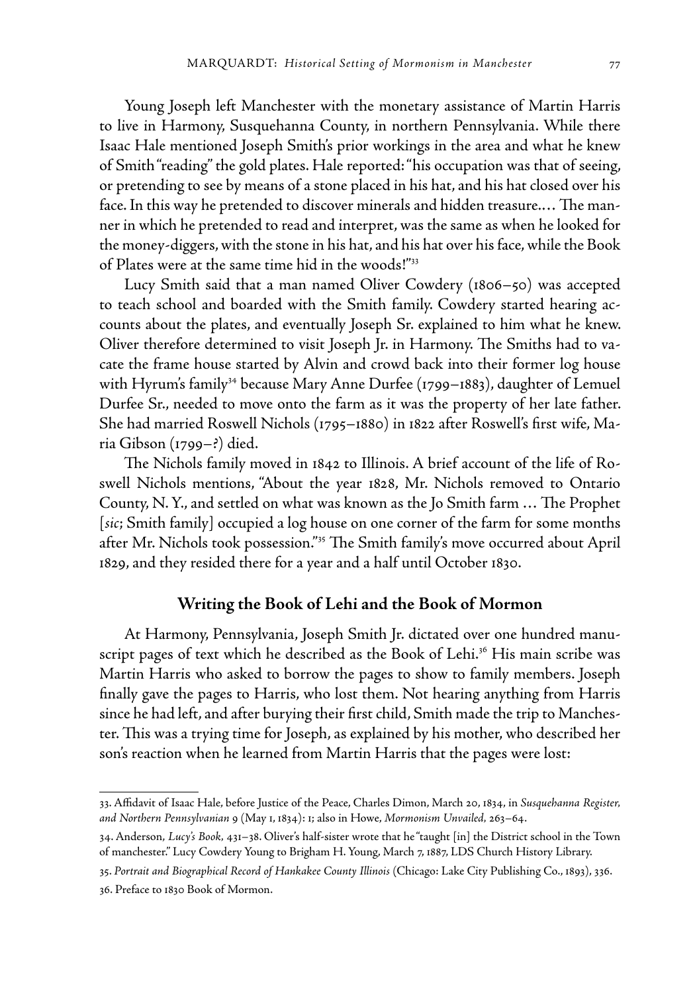Young Joseph left Manchester with the monetary assistance of Martin Harris to live in Harmony, Susquehanna County, in northern Pennsylvania. While there Isaac Hale mentioned Joseph Smith's prior workings in the area and what he knew of Smith "reading" the gold plates. Hale reported: "his occupation was that of seeing, or pretending to see by means of a stone placed in his hat, and his hat closed over his face. In this way he pretended to discover minerals and hidden treasure.… The manner in which he pretended to read and interpret, was the same as when he looked for the money-diggers, with the stone in his hat, and his hat over his face, while the Book of Plates were at the same time hid in the woods!"33

Lucy Smith said that a man named Oliver Cowdery (1806–50) was accepted to teach school and boarded with the Smith family. Cowdery started hearing accounts about the plates, and eventually Joseph Sr. explained to him what he knew. Oliver therefore determined to visit Joseph Jr. in Harmony. The Smiths had to vacate the frame house started by Alvin and crowd back into their former log house with Hyrum's family<sup>34</sup> because Mary Anne Durfee (1799–1883), daughter of Lemuel Durfee Sr., needed to move onto the farm as it was the property of her late father. She had married Roswell Nichols (1795–1880) in 1822 after Roswell's first wife, Maria Gibson (1799–?) died.

The Nichols family moved in 1842 to Illinois. A brief account of the life of Roswell Nichols mentions, "About the year 1828, Mr. Nichols removed to Ontario County, N. Y., and settled on what was known as the Jo Smith farm … The Prophet [*sic*; Smith family] occupied a log house on one corner of the farm for some months after Mr. Nichols took possession."35 The Smith family's move occurred about April 1829, and they resided there for a year and a half until October 1830.

#### **Writing the Book of Lehi and the Book of Mormon**

At Harmony, Pennsylvania, Joseph Smith Jr. dictated over one hundred manuscript pages of text which he described as the Book of Lehi.<sup>36</sup> His main scribe was Martin Harris who asked to borrow the pages to show to family members. Joseph finally gave the pages to Harris, who lost them. Not hearing anything from Harris since he had left, and after burying their first child, Smith made the trip to Manchester. This was a trying time for Joseph, as explained by his mother, who described her son's reaction when he learned from Martin Harris that the pages were lost:

<sup>33.</sup> Affidavit of Isaac Hale, before Justice of the Peace, Charles Dimon, March 20, 1834, in *Susquehanna Register, and Northern Pennsylvanian* 9 (May 1, 1834): 1; also in Howe, *Mormonism Unvailed,* 263–64.

<sup>34.</sup> Anderson, *Lucy's Book,* 431–38. Oliver's half-sister wrote that he "taught [in] the District school in the Town of manchester." Lucy Cowdery Young to Brigham H. Young, March 7, 1887, LDS Church History Library.

<sup>35.</sup> *Portrait and Biographical Record of Hankakee County Illinois* (Chicago: Lake City Publishing Co., 1893), 336.

<sup>36.</sup> Preface to 1830 Book of Mormon.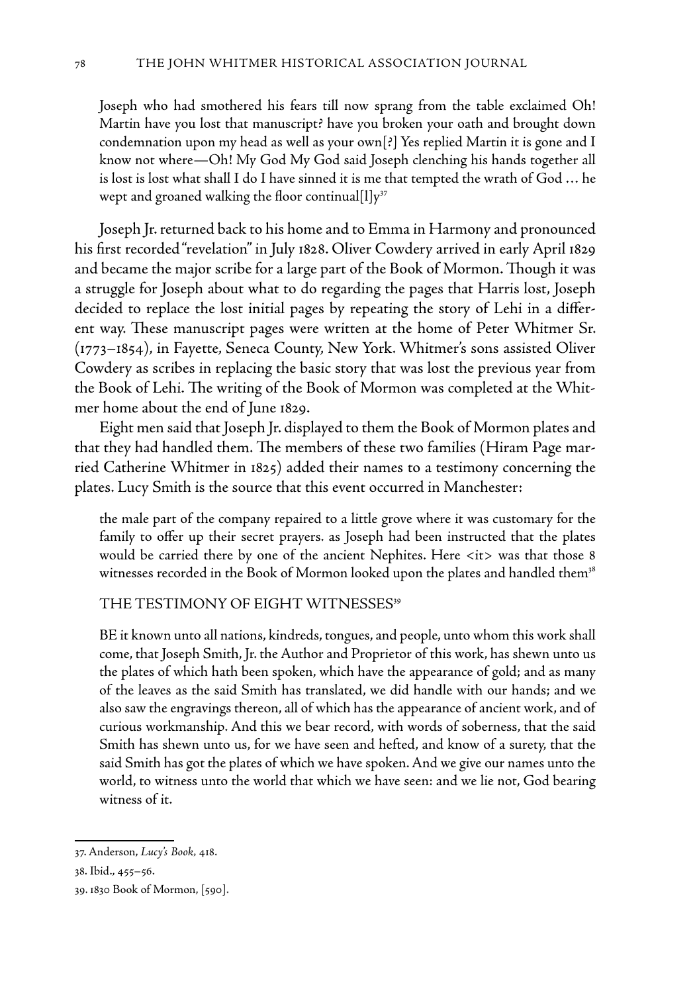Joseph who had smothered his fears till now sprang from the table exclaimed Oh! Martin have you lost that manuscript? have you broken your oath and brought down condemnation upon my head as well as your own[?] Yes replied Martin it is gone and I know not where—Oh! My God My God said Joseph clenching his hands together all is lost is lost what shall I do I have sinned it is me that tempted the wrath of God … he wept and groaned walking the floor continual[1] $y^{37}$ 

Joseph Jr. returned back to his home and to Emma in Harmony and pronounced his first recorded "revelation" in July 1828. Oliver Cowdery arrived in early April 1829 and became the major scribe for a large part of the Book of Mormon. Though it was a struggle for Joseph about what to do regarding the pages that Harris lost, Joseph decided to replace the lost initial pages by repeating the story of Lehi in a different way. These manuscript pages were written at the home of Peter Whitmer Sr. (1773–1854), in Fayette, Seneca County, New York. Whitmer's sons assisted Oliver Cowdery as scribes in replacing the basic story that was lost the previous year from the Book of Lehi. The writing of the Book of Mormon was completed at the Whitmer home about the end of June 1829.

Eight men said that Joseph Jr. displayed to them the Book of Mormon plates and that they had handled them. The members of these two families (Hiram Page married Catherine Whitmer in 1825) added their names to a testimony concerning the plates. Lucy Smith is the source that this event occurred in Manchester:

the male part of the company repaired to a little grove where it was customary for the family to offer up their secret prayers. as Joseph had been instructed that the plates would be carried there by one of the ancient Nephites. Here <it> was that those 8 witnesses recorded in the Book of Mormon looked upon the plates and handled them<sup>38</sup>

## THE TESTIMONY OF EIGHT WITNESSES<sup>39</sup>

BE it known unto all nations, kindreds, tongues, and people, unto whom this work shall come, that Joseph Smith, Jr. the Author and Proprietor of this work, has shewn unto us the plates of which hath been spoken, which have the appearance of gold; and as many of the leaves as the said Smith has translated, we did handle with our hands; and we also saw the engravings thereon, all of which has the appearance of ancient work, and of curious workmanship. And this we bear record, with words of soberness, that the said Smith has shewn unto us, for we have seen and hefted, and know of a surety, that the said Smith has got the plates of which we have spoken. And we give our names unto the world, to witness unto the world that which we have seen: and we lie not, God bearing witness of it.

<sup>37.</sup> Anderson, *Lucy's Book,* 418.

<sup>38.</sup> Ibid., 455–56.

<sup>39. 1830</sup> Book of Mormon, [590].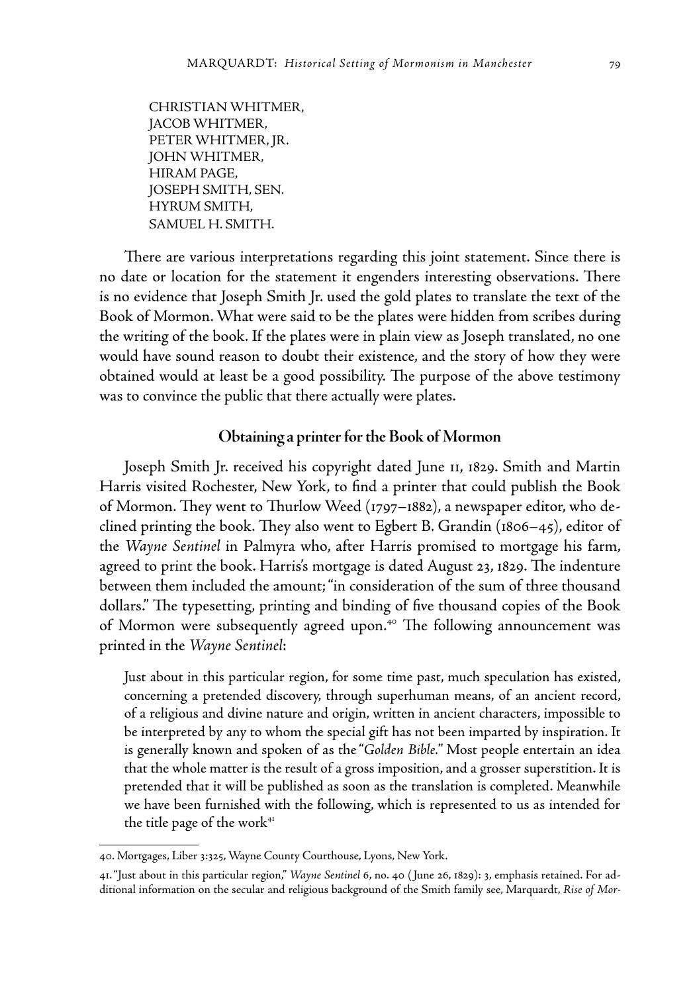CHRISTIAN WHITMER, JACOB WHITMER, PETER WHITMER, JR. JOHN WHITMER, HIRAM PAGE, JOSEPH SMITH, SEN. HYRUM SMITH, SAMUEL H. SMITH.

There are various interpretations regarding this joint statement. Since there is no date or location for the statement it engenders interesting observations. There is no evidence that Joseph Smith Jr. used the gold plates to translate the text of the Book of Mormon. What were said to be the plates were hidden from scribes during the writing of the book. If the plates were in plain view as Joseph translated, no one would have sound reason to doubt their existence, and the story of how they were obtained would at least be a good possibility. The purpose of the above testimony was to convince the public that there actually were plates.

#### **Obtaining a printer for the Book of Mormon**

Joseph Smith Jr. received his copyright dated June 11, 1829. Smith and Martin Harris visited Rochester, New York, to find a printer that could publish the Book of Mormon. They went to Thurlow Weed (1797–1882), a newspaper editor, who declined printing the book. They also went to Egbert B. Grandin (1806–45), editor of the *Wayne Sentinel* in Palmyra who, after Harris promised to mortgage his farm, agreed to print the book. Harris's mortgage is dated August 23, 1829. The indenture between them included the amount; "in consideration of the sum of three thousand dollars." The typesetting, printing and binding of five thousand copies of the Book of Mormon were subsequently agreed upon.<sup>40</sup> The following announcement was printed in the *Wayne Sentinel*:

Just about in this particular region, for some time past, much speculation has existed, concerning a pretended discovery, through superhuman means, of an ancient record, of a religious and divine nature and origin, written in ancient characters, impossible to be interpreted by any to whom the special gift has not been imparted by inspiration. It is generally known and spoken of as the "*Golden Bible.*" Most people entertain an idea that the whole matter is the result of a gross imposition, and a grosser superstition. It is pretended that it will be published as soon as the translation is completed. Meanwhile we have been furnished with the following, which is represented to us as intended for the title page of the work<sup>41</sup>

<sup>40.</sup> Mortgages, Liber 3:325, Wayne County Courthouse, Lyons, New York.

<sup>41. &</sup>quot;Just about in this particular region," *Wayne Sentinel* 6, no. 40 ( June 26, 1829): 3, emphasis retained. For additional information on the secular and religious background of the Smith family see, Marquardt, *Rise of Mor-*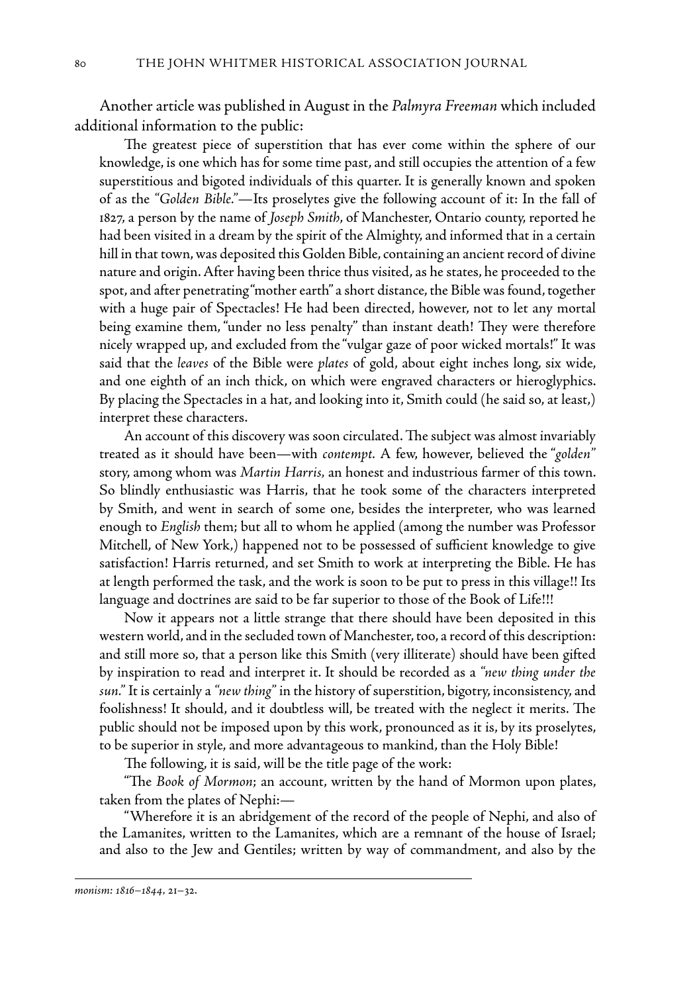Another article was published in August in the *Palmyra Freeman* which included additional information to the public:

 The greatest piece of superstition that has ever come within the sphere of our knowledge, is one which has for some time past, and still occupies the attention of a few superstitious and bigoted individuals of this quarter. It is generally known and spoken of as the *"Golden Bible."*—Its proselytes give the following account of it: In the fall of 1827, a person by the name of *Joseph Smith*, of Manchester, Ontario county, reported he had been visited in a dream by the spirit of the Almighty, and informed that in a certain hill in that town, was deposited this Golden Bible, containing an ancient record of divine nature and origin. After having been thrice thus visited, as he states, he proceeded to the spot, and after penetrating "mother earth" a short distance, the Bible was found, together with a huge pair of Spectacles! He had been directed, however, not to let any mortal being examine them, "under no less penalty" than instant death! They were therefore nicely wrapped up, and excluded from the "vulgar gaze of poor wicked mortals!" It was said that the *leaves* of the Bible were *plates* of gold, about eight inches long, six wide, and one eighth of an inch thick, on which were engraved characters or hieroglyphics. By placing the Spectacles in a hat, and looking into it, Smith could (he said so, at least,) interpret these characters.

 An account of this discovery was soon circulated. The subject was almost invariably treated as it should have been—with *contempt.* A few, however, believed the "*golden"* story, among whom was *Martin Harris,* an honest and industrious farmer of this town. So blindly enthusiastic was Harris, that he took some of the characters interpreted by Smith, and went in search of some one, besides the interpreter, who was learned enough to *English* them; but all to whom he applied (among the number was Professor Mitchell, of New York,) happened not to be possessed of sufficient knowledge to give satisfaction! Harris returned, and set Smith to work at interpreting the Bible. He has at length performed the task, and the work is soon to be put to press in this village!! Its language and doctrines are said to be far superior to those of the Book of Life!!!

 Now it appears not a little strange that there should have been deposited in this western world, and in the secluded town of Manchester, too, a record of this description: and still more so, that a person like this Smith (very illiterate) should have been gifted by inspiration to read and interpret it. It should be recorded as a *"new thing under the sun."* It is certainly a *"new thing"* in the history of superstition, bigotry, inconsistency, and foolishness! It should, and it doubtless will, be treated with the neglect it merits. The public should not be imposed upon by this work, pronounced as it is, by its proselytes, to be superior in style, and more advantageous to mankind, than the Holy Bible!

The following, it is said, will be the title page of the work:

 "The *Book of Mormon*; an account, written by the hand of Mormon upon plates, taken from the plates of Nephi:—

 "Wherefore it is an abridgement of the record of the people of Nephi, and also of the Lamanites, written to the Lamanites, which are a remnant of the house of Israel; and also to the Jew and Gentiles; written by way of commandment, and also by the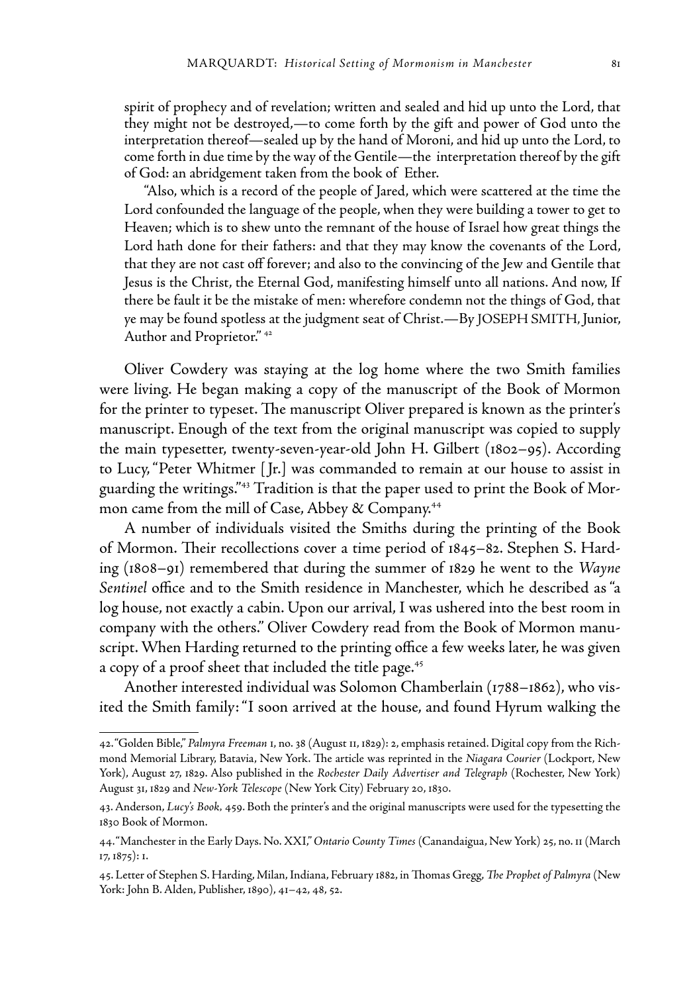spirit of prophecy and of revelation; written and sealed and hid up unto the Lord, that they might not be destroyed,—to come forth by the gift and power of God unto the interpretation thereof—sealed up by the hand of Moroni, and hid up unto the Lord, to come forth in due time by the way of the Gentile—the interpretation thereof by the gift of God: an abridgement taken from the book of Ether.

 "Also, which is a record of the people of Jared, which were scattered at the time the Lord confounded the language of the people, when they were building a tower to get to Heaven; which is to shew unto the remnant of the house of Israel how great things the Lord hath done for their fathers: and that they may know the covenants of the Lord, that they are not cast off forever; and also to the convincing of the Jew and Gentile that Jesus is the Christ, the Eternal God, manifesting himself unto all nations. And now, If there be fault it be the mistake of men: wherefore condemn not the things of God, that ye may be found spotless at the judgment seat of Christ.—By JOSEPH SMITH, Junior, Author and Proprietor." 42

Oliver Cowdery was staying at the log home where the two Smith families were living. He began making a copy of the manuscript of the Book of Mormon for the printer to typeset. The manuscript Oliver prepared is known as the printer's manuscript. Enough of the text from the original manuscript was copied to supply the main typesetter, twenty-seven-year-old John H. Gilbert (1802–95). According to Lucy, "Peter Whitmer [ Jr.] was commanded to remain at our house to assist in guarding the writings."43 Tradition is that the paper used to print the Book of Mormon came from the mill of Case, Abbey & Company.<sup>44</sup>

A number of individuals visited the Smiths during the printing of the Book of Mormon. Their recollections cover a time period of 1845–82. Stephen S. Harding (1808–91) remembered that during the summer of 1829 he went to the *Wayne Sentinel* office and to the Smith residence in Manchester, which he described as "a log house, not exactly a cabin. Upon our arrival, I was ushered into the best room in company with the others." Oliver Cowdery read from the Book of Mormon manuscript. When Harding returned to the printing office a few weeks later, he was given a copy of a proof sheet that included the title page.<sup>45</sup>

Another interested individual was Solomon Chamberlain (1788–1862), who visited the Smith family: "I soon arrived at the house, and found Hyrum walking the

<sup>42. &</sup>quot;Golden Bible," *Palmyra Freeman* 1, no. 38 (August 11, 1829): 2, emphasis retained. Digital copy from the Richmond Memorial Library, Batavia, New York. The article was reprinted in the *Niagara Courier* (Lockport, New York), August 27, 1829. Also published in the *Rochester Daily Advertiser and Telegraph* (Rochester, New York) August 31, 1829 and *New-York Telescope* (New York City) February 20, 1830.

<sup>43.</sup> Anderson, *Lucy's Book,* 459. Both the printer's and the original manuscripts were used for the typesetting the 1830 Book of Mormon.

<sup>44. &</sup>quot;Manchester in the Early Days. No. XXI," *Ontario County Times* (Canandaigua, New York) 25, no. 11 (March 17, 1875): 1.

<sup>45.</sup> Letter of Stephen S. Harding, Milan, Indiana, February 1882, in Thomas Gregg, *The Prophet of Palmyra* (New York: John B. Alden, Publisher, 1890), 41–42, 48, 52.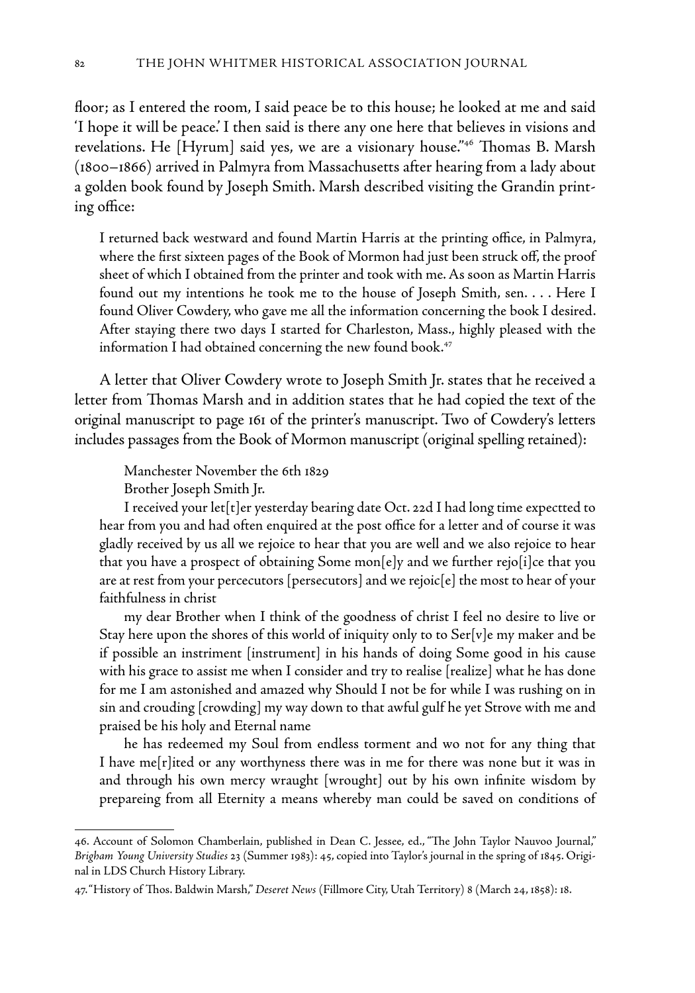floor; as I entered the room, I said peace be to this house; he looked at me and said 'I hope it will be peace.' I then said is there any one here that believes in visions and revelations. He [Hyrum] said yes, we are a visionary house."46 Thomas B. Marsh (1800–1866) arrived in Palmyra from Massachusetts after hearing from a lady about a golden book found by Joseph Smith. Marsh described visiting the Grandin printing office:

I returned back westward and found Martin Harris at the printing office, in Palmyra, where the first sixteen pages of the Book of Mormon had just been struck off, the proof sheet of which I obtained from the printer and took with me. As soon as Martin Harris found out my intentions he took me to the house of Joseph Smith, sen. . . . Here I found Oliver Cowdery, who gave me all the information concerning the book I desired. After staying there two days I started for Charleston, Mass., highly pleased with the information I had obtained concerning the new found book.<sup>47</sup>

A letter that Oliver Cowdery wrote to Joseph Smith Jr. states that he received a letter from Thomas Marsh and in addition states that he had copied the text of the original manuscript to page 161 of the printer's manuscript. Two of Cowdery's letters includes passages from the Book of Mormon manuscript (original spelling retained):

Manchester November the 6th 1829

Brother Joseph Smith Jr.

 I received your let[t]er yesterday bearing date Oct. 22d I had long time expectted to hear from you and had often enquired at the post office for a letter and of course it was gladly received by us all we rejoice to hear that you are well and we also rejoice to hear that you have a prospect of obtaining Some mon[e]y and we further rejo[i]ce that you are at rest from your percecutors [persecutors] and we rejoic[e] the most to hear of your faithfulness in christ

 my dear Brother when I think of the goodness of christ I feel no desire to live or Stay here upon the shores of this world of iniquity only to to Ser[v]e my maker and be if possible an instriment [instrument] in his hands of doing Some good in his cause with his grace to assist me when I consider and try to realise [realize] what he has done for me I am astonished and amazed why Should I not be for while I was rushing on in sin and crouding [crowding] my way down to that awful gulf he yet Strove with me and praised be his holy and Eternal name

 he has redeemed my Soul from endless torment and wo not for any thing that I have me[r]ited or any worthyness there was in me for there was none but it was in and through his own mercy wraught [wrought] out by his own infinite wisdom by prepareing from all Eternity a means whereby man could be saved on conditions of

<sup>46.</sup> Account of Solomon Chamberlain, published in Dean C. Jessee, ed., "The John Taylor Nauvoo Journal," *Brigham Young University Studies* 23 (Summer 1983): 45, copied into Taylor's journal in the spring of 1845. Original in LDS Church History Library.

<sup>47. &</sup>quot;History of Thos. Baldwin Marsh," *Deseret News* (Fillmore City, Utah Territory) 8 (March 24, 1858): 18.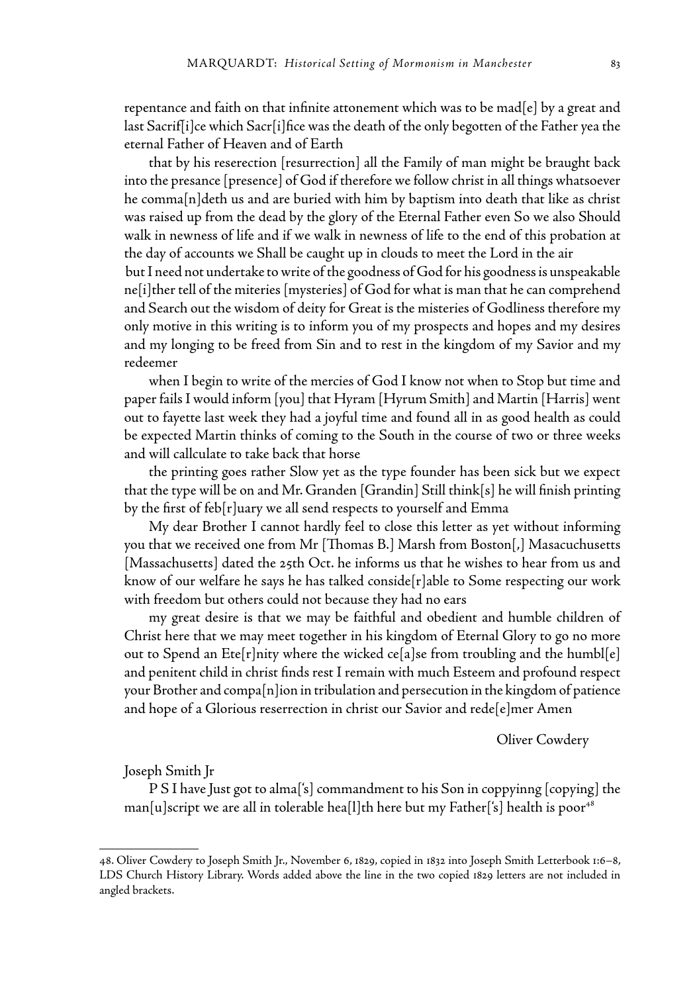repentance and faith on that infinite attonement which was to be mad[e] by a great and last Sacrif[i]ce which Sacr[i]fice was the death of the only begotten of the Father yea the eternal Father of Heaven and of Earth

 that by his reserection [resurrection] all the Family of man might be braught back into the presance [presence] of God if therefore we follow christ in all things whatsoever he comma[n]deth us and are buried with him by baptism into death that like as christ was raised up from the dead by the glory of the Eternal Father even So we also Should walk in newness of life and if we walk in newness of life to the end of this probation at the day of accounts we Shall be caught up in clouds to meet the Lord in the air but I need not undertake to write of the goodness of God for his goodness is unspeakable ne[i]ther tell of the miteries [mysteries] of God for what is man that he can comprehend and Search out the wisdom of deity for Great is the misteries of Godliness therefore my only motive in this writing is to inform you of my prospects and hopes and my desires and my longing to be freed from Sin and to rest in the kingdom of my Savior and my redeemer

 when I begin to write of the mercies of God I know not when to Stop but time and paper fails I would inform [you] that Hyram [Hyrum Smith] and Martin [Harris] went out to fayette last week they had a joyful time and found all in as good health as could be expected Martin thinks of coming to the South in the course of two or three weeks and will callculate to take back that horse

 the printing goes rather Slow yet as the type founder has been sick but we expect that the type will be on and Mr. Granden [Grandin] Still think[s] he will finish printing by the first of feb[r]uary we all send respects to yourself and Emma

 My dear Brother I cannot hardly feel to close this letter as yet without informing you that we received one from Mr [Thomas B.] Marsh from Boston[,] Masacuchusetts [Massachusetts] dated the 25th Oct. he informs us that he wishes to hear from us and know of our welfare he says he has talked conside $[r]$ able to Some respecting our work with freedom but others could not because they had no ears

 my great desire is that we may be faithful and obedient and humble children of Christ here that we may meet together in his kingdom of Eternal Glory to go no more out to Spend an Ete[r]nity where the wicked ce[a]se from troubling and the humbl[e] and penitent child in christ finds rest I remain with much Esteem and profound respect your Brother and compa[n]ion in tribulation and persecution in the kingdom of patience and hope of a Glorious reserrection in christ our Savior and rede[e]mer Amen

Oliver Cowdery

Joseph Smith Jr

 P S I have Just got to alma['s] commandment to his Son in coppyinng [copying] the man[u]script we are all in tolerable hea[l]th here but my Father['s] health is poor<sup>48</sup>

<sup>48.</sup> Oliver Cowdery to Joseph Smith Jr., November 6, 1829, copied in 1832 into Joseph Smith Letterbook 1:6–8, LDS Church History Library. Words added above the line in the two copied 1829 letters are not included in angled brackets.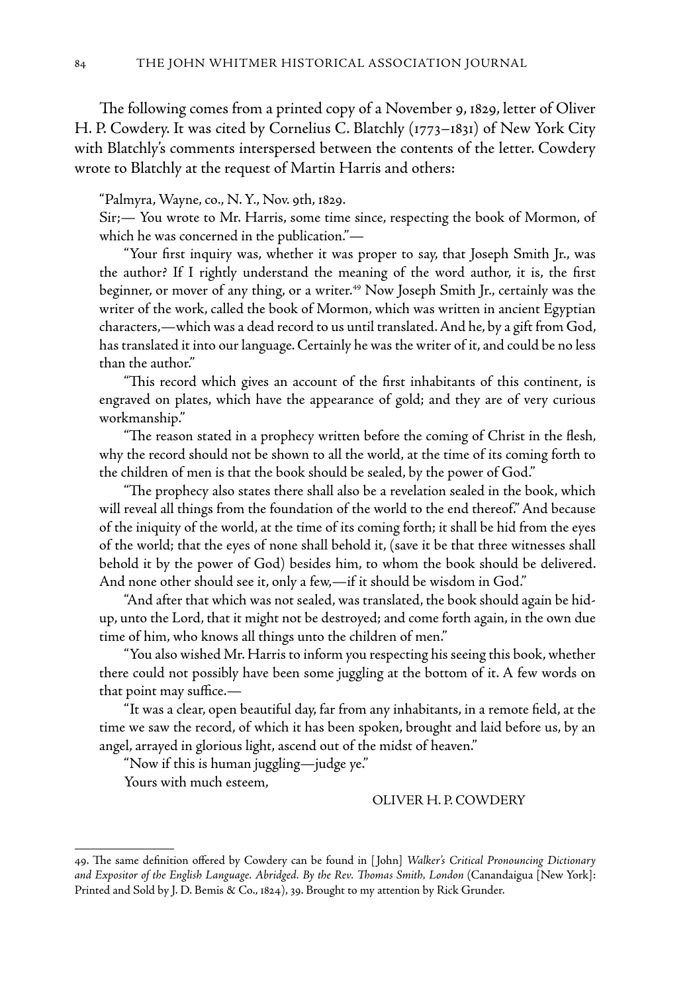The following comes from a printed copy of a November 9, 1829, letter of Oliver H. P. Cowdery. It was cited by Cornelius C. Blatchly (1773–1831) of New York City with Blatchly's comments interspersed between the contents of the letter. Cowdery wrote to Blatchly at the request of Martin Harris and others:

"Palmyra, Wayne, co., N. Y., Nov. 9th, 1829.

Sir;— You wrote to Mr. Harris, some time since, respecting the book of Mormon, of which he was concerned in the publication."—

 "Your first inquiry was, whether it was proper to say, that Joseph Smith Jr., was the author? If I rightly understand the meaning of the word author, it is, the first beginner, or mover of any thing, or a writer.<sup>49</sup> Now Joseph Smith Jr., certainly was the writer of the work, called the book of Mormon, which was written in ancient Egyptian characters,—which was a dead record to us until translated. And he, by a gift from God, has translated it into our language. Certainly he was the writer of it, and could be no less than the author."

 "This record which gives an account of the first inhabitants of this continent, is engraved on plates, which have the appearance of gold; and they are of very curious workmanship."

 "The reason stated in a prophecy written before the coming of Christ in the flesh, why the record should not be shown to all the world, at the time of its coming forth to the children of men is that the book should be sealed, by the power of God."

 "The prophecy also states there shall also be a revelation sealed in the book, which will reveal all things from the foundation of the world to the end thereof." And because of the iniquity of the world, at the time of its coming forth; it shall be hid from the eyes of the world; that the eyes of none shall behold it, (save it be that three witnesses shall behold it by the power of God) besides him, to whom the book should be delivered. And none other should see it, only a few,—if it should be wisdom in God."

 "And after that which was not sealed, was translated, the book should again be hidup, unto the Lord, that it might not be destroyed; and come forth again, in the own due time of him, who knows all things unto the children of men."

 "You also wished Mr. Harris to inform you respecting his seeing this book, whether there could not possibly have been some juggling at the bottom of it. A few words on that point may suffice.—

 "It was a clear, open beautiful day, far from any inhabitants, in a remote field, at the time we saw the record, of which it has been spoken, brought and laid before us, by an angel, arrayed in glorious light, ascend out of the midst of heaven."

"Now if this is human juggling—judge ye."

Yours with much esteem,

#### OLIVER H. P. COWDERY

<sup>49.</sup> The same definition offered by Cowdery can be found in [ John] *Walker's Critical Pronouncing Dictionary and Expositor of the English Language. Abridged. By the Rev. Thomas Smith, London* (Canandaigua [New York]: Printed and Sold by J. D. Bemis & Co., 1824), 39. Brought to my attention by Rick Grunder.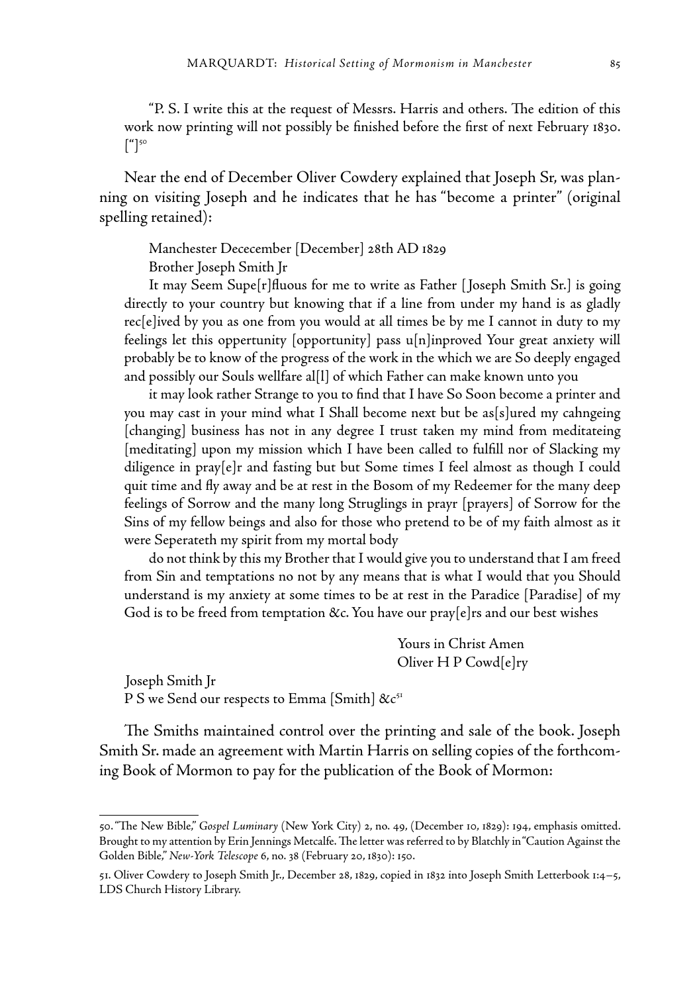"P. S. I write this at the request of Messrs. Harris and others. The edition of this work now printing will not possibly be finished before the first of next February 1830.  $\lceil$ "]<sup>50</sup>

Near the end of December Oliver Cowdery explained that Joseph Sr, was planning on visiting Joseph and he indicates that he has "become a printer" (original spelling retained):

Manchester Dececember [December] 28th AD 1829

Brother Joseph Smith Jr

 It may Seem Supe[r]fluous for me to write as Father [ Joseph Smith Sr.] is going directly to your country but knowing that if a line from under my hand is as gladly rec[e]ived by you as one from you would at all times be by me I cannot in duty to my feelings let this oppertunity [opportunity] pass u[n]inproved Your great anxiety will probably be to know of the progress of the work in the which we are So deeply engaged and possibly our Souls wellfare al[l] of which Father can make known unto you

 it may look rather Strange to you to find that I have So Soon become a printer and you may cast in your mind what I Shall become next but be as[s]ured my cahngeing [changing] business has not in any degree I trust taken my mind from meditateing [meditating] upon my mission which I have been called to fulfill nor of Slacking my diligence in pray[e]r and fasting but but Some times I feel almost as though I could quit time and fly away and be at rest in the Bosom of my Redeemer for the many deep feelings of Sorrow and the many long Struglings in prayr [prayers] of Sorrow for the Sins of my fellow beings and also for those who pretend to be of my faith almost as it were Seperateth my spirit from my mortal body

 do not think by this my Brother that I would give you to understand that I am freed from Sin and temptations no not by any means that is what I would that you Should understand is my anxiety at some times to be at rest in the Paradice [Paradise] of my God is to be freed from temptation &c. You have our pray[e]rs and our best wishes

> Yours in Christ Amen Oliver H P Cowd[e]ry

Joseph Smith Jr P S we Send our respects to Emma [Smith]  $\&c^{51}$ 

The Smiths maintained control over the printing and sale of the book. Joseph Smith Sr. made an agreement with Martin Harris on selling copies of the forthcoming Book of Mormon to pay for the publication of the Book of Mormon:

<sup>50. &</sup>quot;The New Bible," *Gospel Luminary* (New York City) 2, no. 49, (December 10, 1829): 194, emphasis omitted. Brought to my attention by Erin Jennings Metcalfe. The letter was referred to by Blatchly in "Caution Against the Golden Bible," *New-York Telescope* 6, no. 38 (February 20, 1830): 150.

<sup>51.</sup> Oliver Cowdery to Joseph Smith Jr., December 28, 1829, copied in 1832 into Joseph Smith Letterbook 1:4–5, LDS Church History Library.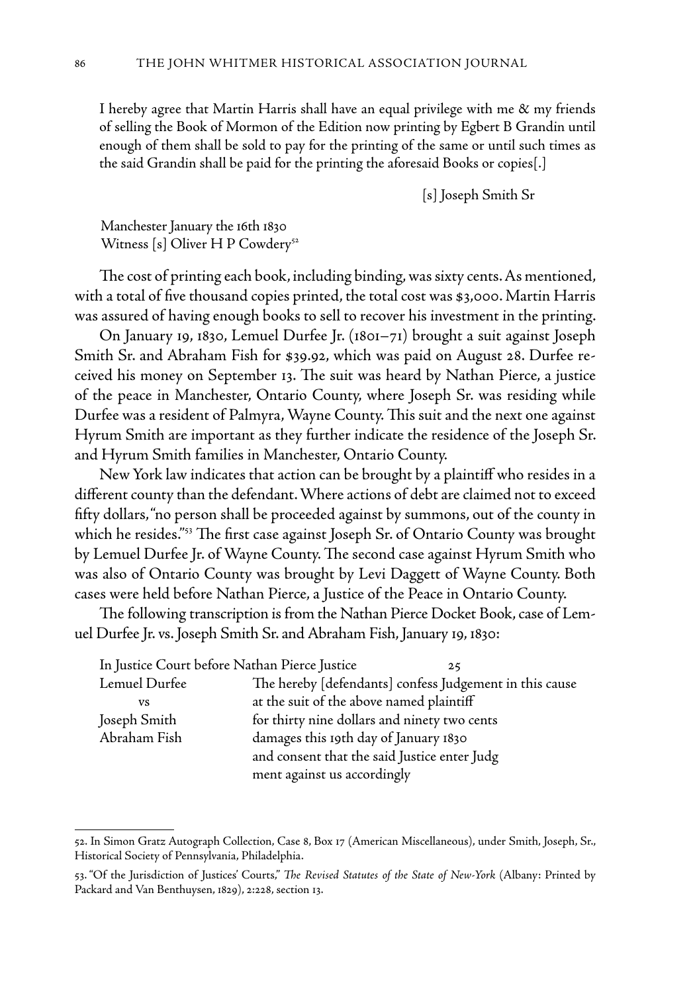I hereby agree that Martin Harris shall have an equal privilege with me & my friends of selling the Book of Mormon of the Edition now printing by Egbert B Grandin until enough of them shall be sold to pay for the printing of the same or until such times as the said Grandin shall be paid for the printing the aforesaid Books or copies[.]

[s] Joseph Smith Sr

Manchester January the 16th 1830 Witness [s] Oliver H P Cowdery<sup>52</sup>

The cost of printing each book, including binding, was sixty cents. As mentioned, with a total of five thousand copies printed, the total cost was \$3,000. Martin Harris was assured of having enough books to sell to recover his investment in the printing.

On January 19, 1830, Lemuel Durfee Jr. (1801–71) brought a suit against Joseph Smith Sr. and Abraham Fish for \$39.92, which was paid on August 28. Durfee received his money on September 13. The suit was heard by Nathan Pierce, a justice of the peace in Manchester, Ontario County, where Joseph Sr. was residing while Durfee was a resident of Palmyra, Wayne County. This suit and the next one against Hyrum Smith are important as they further indicate the residence of the Joseph Sr. and Hyrum Smith families in Manchester, Ontario County.

New York law indicates that action can be brought by a plaintiff who resides in a different county than the defendant. Where actions of debt are claimed not to exceed fifty dollars, "no person shall be proceeded against by summons, out of the county in which he resides."53 The first case against Joseph Sr. of Ontario County was brought by Lemuel Durfee Jr. of Wayne County. The second case against Hyrum Smith who was also of Ontario County was brought by Levi Daggett of Wayne County. Both cases were held before Nathan Pierce, a Justice of the Peace in Ontario County.

The following transcription is from the Nathan Pierce Docket Book, case of Lemuel Durfee Jr. vs. Joseph Smith Sr. and Abraham Fish, January 19, 1830:

|               | In Justice Court before Nathan Pierce Justice<br>25     |
|---------------|---------------------------------------------------------|
| Lemuel Durfee | The hereby [defendants] confess Judgement in this cause |
| VS            | at the suit of the above named plaintiff                |
| Joseph Smith  | for thirty nine dollars and ninety two cents            |
| Abraham Fish  | damages this 19th day of January 1830                   |
|               | and consent that the said Justice enter Judg            |
|               | ment against us accordingly                             |

<sup>52.</sup> In Simon Gratz Autograph Collection, Case 8, Box 17 (American Miscellaneous), under Smith, Joseph, Sr., Historical Society of Pennsylvania, Philadelphia.

<sup>53. &</sup>quot;Of the Jurisdiction of Justices' Courts," *The Revised Statutes of the State of New-York* (Albany: Printed by Packard and Van Benthuysen, 1829), 2:228, section 13.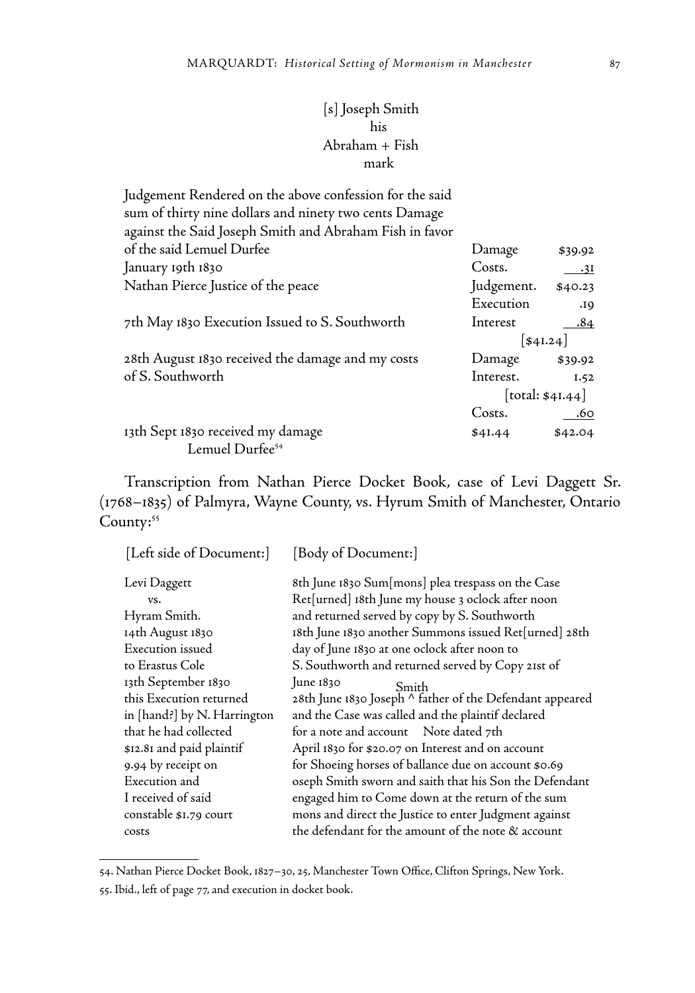[s] Joseph Smith his and the contract of the contract of the contract of the contract of the contract of the contract of the con Abraham + Fish mark

| Judgement Rendered on the above confession for the said |                  |            |
|---------------------------------------------------------|------------------|------------|
| sum of thirty nine dollars and ninety two cents Damage  |                  |            |
| against the Said Joseph Smith and Abraham Fish in favor |                  |            |
| of the said Lemuel Durfee                               | Damage           | \$39.92    |
| January 19th 1830                                       | Costs.           | .31        |
| Nathan Pierce Justice of the peace                      | Judgement.       | \$40.23    |
|                                                         | Execution        | <b>19،</b> |
| 7th May 1830 Execution Issued to S. Southworth          | Interest         | .84        |
|                                                         |                  | [\$4I.24]  |
| 28th August 1830 received the damage and my costs       | Damage           | \$39.92    |
| of S. Southworth                                        | Interest.        | 1.52       |
|                                                         | [total: \$41.44] |            |
|                                                         | Costs.           | .60        |
| 13th Sept 1830 received my damage                       | \$41.44          | \$42.04    |
| Lemuel Durfee <sup>54</sup>                             |                  |            |

Transcription from Nathan Pierce Docket Book, case of Levi Daggett Sr. (1768–1835) of Palmyra, Wayne County, vs. Hyrum Smith of Manchester, Ontario County:<sup>55</sup>

| [Left side of Document:]    | [Body of Document:]                                      |  |
|-----------------------------|----------------------------------------------------------|--|
| Levi Daggett                | 8th June 1830 Sum[mons] plea trespass on the Case        |  |
| VS.                         | Ret[urned] 18th June my house 3 oclock after noon        |  |
| Hyram Smith.                | and returned served by copy by S. Southworth             |  |
| 14th August 1830            | 18th June 1830 another Summons issued Ret[urned] 28th    |  |
| Execution issued            | day of June 1830 at one oclock after noon to             |  |
| to Erastus Cole             | S. Southworth and returned served by Copy 21st of        |  |
| 13th September 1830         | $\frac{1}{2}$ and $\frac{1}{2}$<br>Smith                 |  |
| this Execution returned     | 28th June 1830 Joseph ^ father of the Defendant appeared |  |
| in [hand?] by N. Harrington | and the Case was called and the plaintif declared        |  |
| that he had collected       | for a note and account Note dated 7th                    |  |
| \$12.81 and paid plaintif   | April 1830 for \$20.07 on Interest and on account        |  |
| 9.94 by receipt on          | for Shoeing horses of ballance due on account \$0.69     |  |
| Execution and               | oseph Smith sworn and saith that his Son the Defendant   |  |
| I received of said          | engaged him to Come down at the return of the sum        |  |
| constable \$1.79 court      | mons and direct the Justice to enter Judgment against    |  |
| costs                       | the defendant for the amount of the note & account       |  |
|                             |                                                          |  |

<sup>54.</sup> Nathan Pierce Docket Book, 1827–30, 25, Manchester Town Office, Clifton Springs, New York. 55. Ibid., left of page 77, and execution in docket book.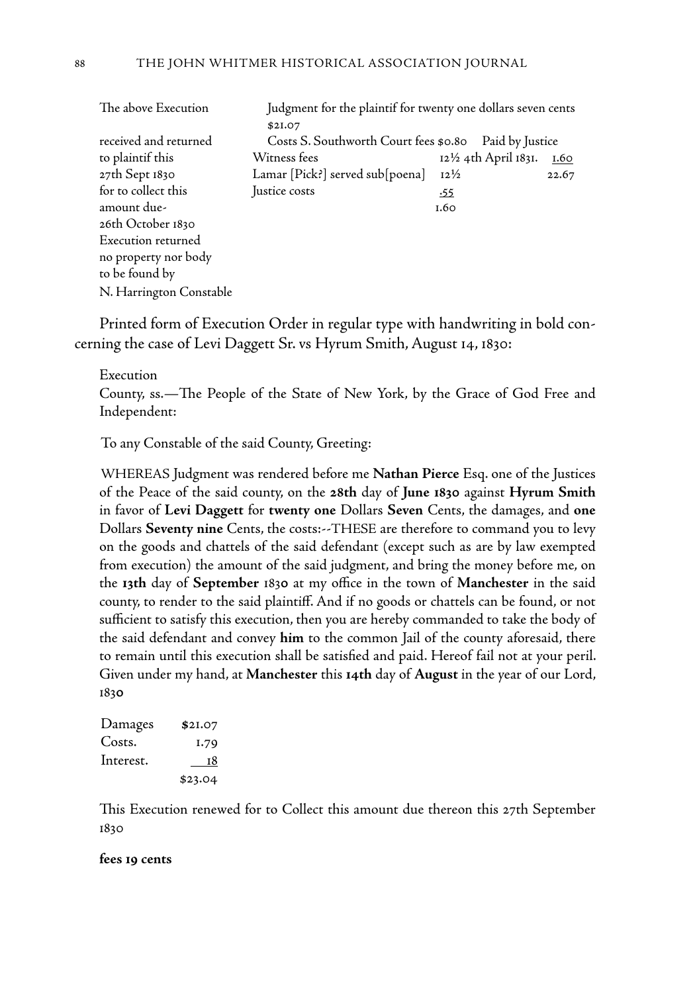| The above Execution     | Judgment for the plaintif for twenty one dollars seven cents |                 |                     |       |
|-------------------------|--------------------------------------------------------------|-----------------|---------------------|-------|
|                         | \$21.07                                                      |                 |                     |       |
| received and returned   | Costs S. Southworth Court fees \$0.80                        |                 | Paid by Justice     |       |
| to plaintif this        | Witness fees                                                 |                 | 12½ 4th April 1831. | 1.60  |
| 27th Sept 1830          | Lamar [Pick?] served sub[poena]                              | $12\frac{1}{2}$ |                     | 22.67 |
| for to collect this     | Justice costs                                                | .55             |                     |       |
| amount due-             |                                                              | 1.60            |                     |       |
| 26th October 1830       |                                                              |                 |                     |       |
| Execution returned      |                                                              |                 |                     |       |
| no property nor body    |                                                              |                 |                     |       |
| to be found by          |                                                              |                 |                     |       |
| N. Harrington Constable |                                                              |                 |                     |       |

Printed form of Execution Order in regular type with handwriting in bold concerning the case of Levi Daggett Sr. vs Hyrum Smith, August 14, 1830:

Execution

County, ss.—The People of the State of New York, by the Grace of God Free and Independent:

To any Constable of the said County, Greeting:

WHEREAS Judgment was rendered before me **Nathan Pierce** Esq. one of the Justices of the Peace of the said county, on the **28th** day of **June 1830** against **Hyrum Smith** in favor of **Levi Daggett** for **twenty one** Dollars **Seven** Cents, the damages, and **one** Dollars **Seventy nine** Cents, the costs:--THESE are therefore to command you to levy on the goods and chattels of the said defendant (except such as are by law exempted from execution) the amount of the said judgment, and bring the money before me, on the **13th** day of **September** 183**0** at my office in the town of **Manchester** in the said county, to render to the said plaintiff. And if no goods or chattels can be found, or not sufficient to satisfy this execution, then you are hereby commanded to take the body of the said defendant and convey **him** to the common Jail of the county aforesaid, there to remain until this execution shall be satisfied and paid. Hereof fail not at your peril. Given under my hand, at **Manchester** this **14th** day of **August** in the year of our Lord, 183**0**

| Damages   | \$2I.07 |
|-----------|---------|
| Costs.    | I.79    |
| Interest. | 18      |
|           | \$23.04 |

This Execution renewed for to Collect this amount due thereon this 27th September 1830

#### **fees 19 cents**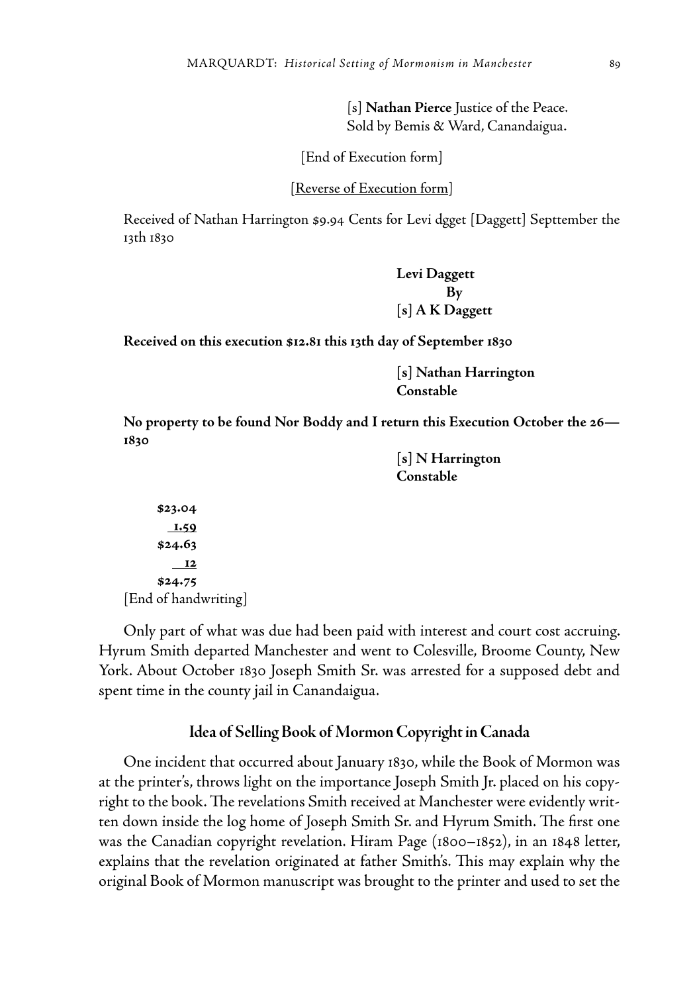[s] **Nathan Pierce** Justice of the Peace. Sold by Bemis & Ward, Canandaigua.

#### [End of Execution form]

[Reverse of Execution form]

Received of Nathan Harrington \$9.94 Cents for Levi dgget [Daggett] Septtember the 13th 1830

 **Levi Daggett By [s] A K Daggett**

**Received on this execution \$12.81 this 13th day of September 1830**

 **[s] Nathan Harrington Constable** 

**No property to be found Nor Boddy and I return this Execution October the 26— 1830**

> **[s] N Harrington Constable**

 **\$23.04 1.59 \$24.63 12 \$24.75** [End of handwriting]

Only part of what was due had been paid with interest and court cost accruing. Hyrum Smith departed Manchester and went to Colesville, Broome County, New York. About October 1830 Joseph Smith Sr. was arrested for a supposed debt and spent time in the county jail in Canandaigua.

## **Idea of Selling Book of Mormon Copyright in Canada**

One incident that occurred about January 1830, while the Book of Mormon was at the printer's, throws light on the importance Joseph Smith Jr. placed on his copyright to the book. The revelations Smith received at Manchester were evidently written down inside the log home of Joseph Smith Sr. and Hyrum Smith. The first one was the Canadian copyright revelation. Hiram Page (1800–1852), in an 1848 letter, explains that the revelation originated at father Smith's. This may explain why the original Book of Mormon manuscript was brought to the printer and used to set the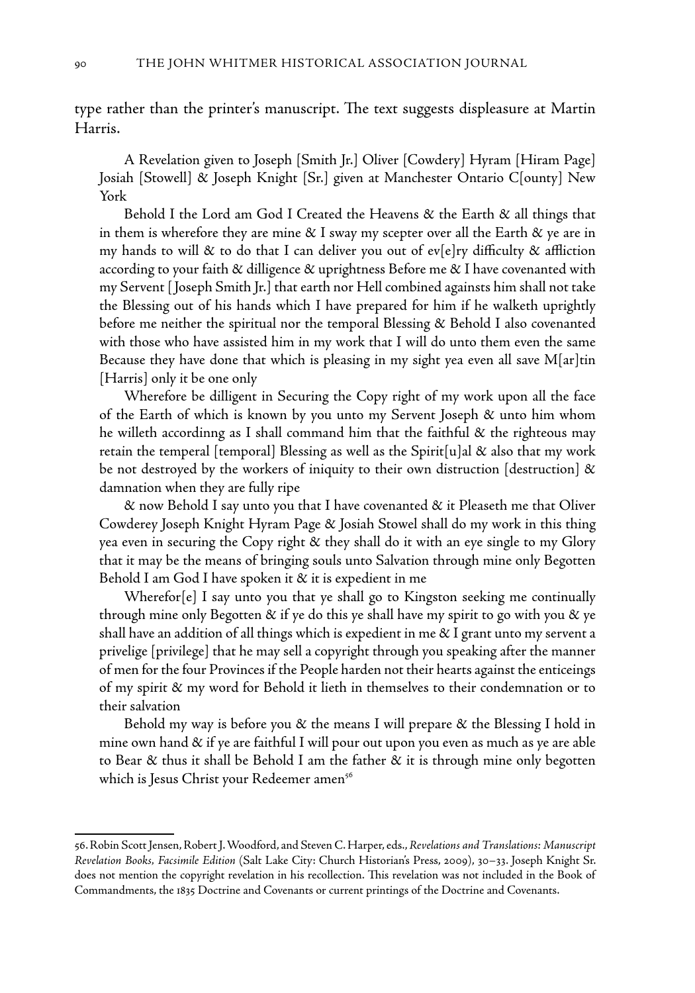type rather than the printer's manuscript. The text suggests displeasure at Martin Harris.

 A Revelation given to Joseph [Smith Jr.] Oliver [Cowdery] Hyram [Hiram Page] Josiah [Stowell] & Joseph Knight [Sr.] given at Manchester Ontario C[ounty] New York

 Behold I the Lord am God I Created the Heavens & the Earth & all things that in them is wherefore they are mine & I sway my scepter over all the Earth & ye are in my hands to will & to do that I can deliver you out of ev[e]ry difficulty & affliction according to your faith & dilligence & uprightness Before me & I have covenanted with my Servent [ Joseph Smith Jr.] that earth nor Hell combined againsts him shall not take the Blessing out of his hands which I have prepared for him if he walketh uprightly before me neither the spiritual nor the temporal Blessing & Behold I also covenanted with those who have assisted him in my work that I will do unto them even the same Because they have done that which is pleasing in my sight yea even all save M[ar]tin [Harris] only it be one only

 Wherefore be dilligent in Securing the Copy right of my work upon all the face of the Earth of which is known by you unto my Servent Joseph & unto him whom he willeth accordinng as I shall command him that the faithful & the righteous may retain the temperal [temporal] Blessing as well as the Spirit[u]al  $\alpha$  also that my work be not destroyed by the workers of iniquity to their own distruction [destruction] & damnation when they are fully ripe

 & now Behold I say unto you that I have covenanted & it Pleaseth me that Oliver Cowderey Joseph Knight Hyram Page & Josiah Stowel shall do my work in this thing yea even in securing the Copy right & they shall do it with an eye single to my Glory that it may be the means of bringing souls unto Salvation through mine only Begotten Behold I am God I have spoken it & it is expedient in me

 Wherefor[e] I say unto you that ye shall go to Kingston seeking me continually through mine only Begotten & if ye do this ye shall have my spirit to go with you & ye shall have an addition of all things which is expedient in me & I grant unto my servent a privelige [privilege] that he may sell a copyright through you speaking after the manner of men for the four Provinces if the People harden not their hearts against the enticeings of my spirit & my word for Behold it lieth in themselves to their condemnation or to their salvation

 Behold my way is before you & the means I will prepare & the Blessing I hold in mine own hand & if ye are faithful I will pour out upon you even as much as ye are able to Bear & thus it shall be Behold I am the father & it is through mine only begotten which is Jesus Christ your Redeemer amen<sup>56</sup>

<sup>56.</sup> Robin Scott Jensen, Robert J. Woodford, and Steven C. Harper, eds., *Revelations and Translations: Manuscript Revelation Books, Facsimile Edition* (Salt Lake City: Church Historian's Press, 2009), 30–33. Joseph Knight Sr. does not mention the copyright revelation in his recollection. This revelation was not included in the Book of Commandments, the 1835 Doctrine and Covenants or current printings of the Doctrine and Covenants.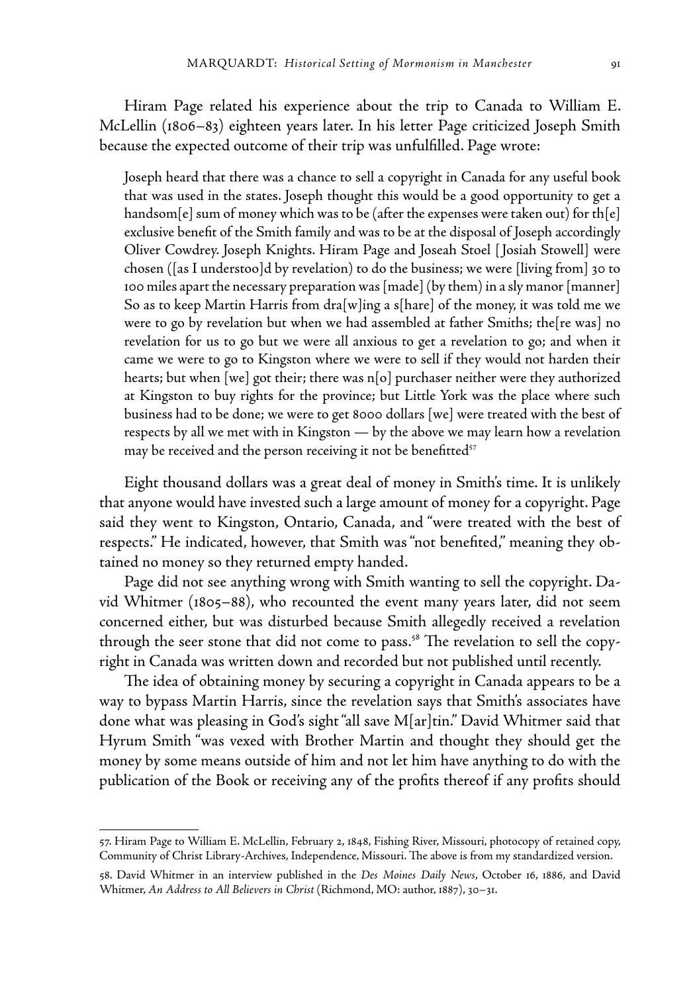Hiram Page related his experience about the trip to Canada to William E. McLellin (1806–83) eighteen years later. In his letter Page criticized Joseph Smith because the expected outcome of their trip was unfulfilled. Page wrote:

Joseph heard that there was a chance to sell a copyright in Canada for any useful book that was used in the states. Joseph thought this would be a good opportunity to get a handsom[e] sum of money which was to be (after the expenses were taken out) for th[e] exclusive benefit of the Smith family and was to be at the disposal of Joseph accordingly Oliver Cowdrey. Joseph Knights. Hiram Page and Joseah Stoel [ Josiah Stowell] were chosen ([as I understoo]d by revelation) to do the business; we were [living from] 30 to 100 miles apart the necessary preparation was  $[{\rm made}]$  (by them) in a sly manor  $[{\rm manner}]$ So as to keep Martin Harris from dra[w]ing a s[hare] of the money, it was told me we were to go by revelation but when we had assembled at father Smiths; the[re was] no revelation for us to go but we were all anxious to get a revelation to go; and when it came we were to go to Kingston where we were to sell if they would not harden their hearts; but when [we] got their; there was n[o] purchaser neither were they authorized at Kingston to buy rights for the province; but Little York was the place where such business had to be done; we were to get 8000 dollars [we] were treated with the best of respects by all we met with in Kingston — by the above we may learn how a revelation may be received and the person receiving it not be benefitted<sup>57</sup>

Eight thousand dollars was a great deal of money in Smith's time. It is unlikely that anyone would have invested such a large amount of money for a copyright. Page said they went to Kingston, Ontario, Canada, and "were treated with the best of respects." He indicated, however, that Smith was "not benefited," meaning they obtained no money so they returned empty handed.

Page did not see anything wrong with Smith wanting to sell the copyright. David Whitmer (1805–88), who recounted the event many years later, did not seem concerned either, but was disturbed because Smith allegedly received a revelation through the seer stone that did not come to pass.<sup>58</sup> The revelation to sell the copyright in Canada was written down and recorded but not published until recently.

The idea of obtaining money by securing a copyright in Canada appears to be a way to bypass Martin Harris, since the revelation says that Smith's associates have done what was pleasing in God's sight "all save M[ar]tin." David Whitmer said that Hyrum Smith "was vexed with Brother Martin and thought they should get the money by some means outside of him and not let him have anything to do with the publication of the Book or receiving any of the profits thereof if any profits should

<sup>57.</sup> Hiram Page to William E. McLellin, February 2, 1848, Fishing River, Missouri, photocopy of retained copy, Community of Christ Library-Archives, Independence, Missouri. The above is from my standardized version.

<sup>58.</sup> David Whitmer in an interview published in the *Des Moines Daily News*, October 16, 1886, and David Whitmer, *An Address to All Believers in Christ* (Richmond, MO: author, 1887), 30–31.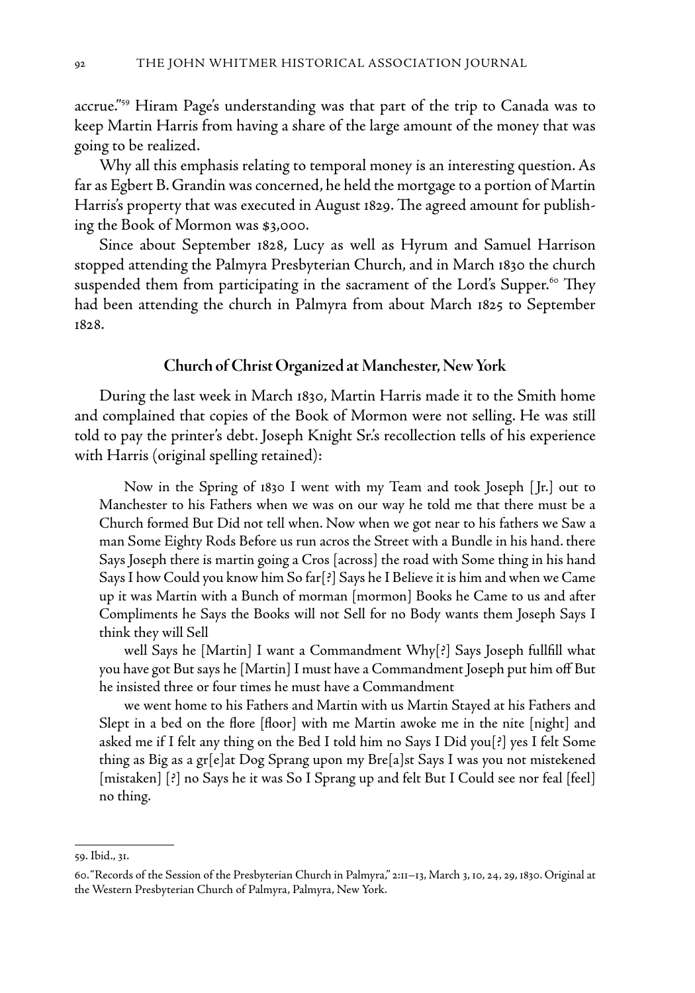accrue."59 Hiram Page's understanding was that part of the trip to Canada was to keep Martin Harris from having a share of the large amount of the money that was going to be realized.

Why all this emphasis relating to temporal money is an interesting question. As far as Egbert B. Grandin was concerned, he held the mortgage to a portion of Martin Harris's property that was executed in August 1829. The agreed amount for publishing the Book of Mormon was \$3,000.

Since about September 1828, Lucy as well as Hyrum and Samuel Harrison stopped attending the Palmyra Presbyterian Church, and in March 1830 the church suspended them from participating in the sacrament of the Lord's Supper.<sup>60</sup> They had been attending the church in Palmyra from about March 1825 to September 1828.

# **Church of Christ Organized at Manchester, New York**

During the last week in March 1830, Martin Harris made it to the Smith home and complained that copies of the Book of Mormon were not selling. He was still told to pay the printer's debt. Joseph Knight Sr.'s recollection tells of his experience with Harris (original spelling retained):

 Now in the Spring of 1830 I went with my Team and took Joseph [ Jr.] out to Manchester to his Fathers when we was on our way he told me that there must be a Church formed But Did not tell when. Now when we got near to his fathers we Saw a man Some Eighty Rods Before us run acros the Street with a Bundle in his hand. there Says Joseph there is martin going a Cros [across] the road with Some thing in his hand Says I how Could you know him So far[?] Says he I Believe it is him and when we Came up it was Martin with a Bunch of morman [mormon] Books he Came to us and after Compliments he Says the Books will not Sell for no Body wants them Joseph Says I think they will Sell

 well Says he [Martin] I want a Commandment Why[?] Says Joseph fullfill what you have got But says he [Martin] I must have a Commandment Joseph put him off But he insisted three or four times he must have a Commandment

 we went home to his Fathers and Martin with us Martin Stayed at his Fathers and Slept in a bed on the flore [floor] with me Martin awoke me in the nite [night] and asked me if I felt any thing on the Bed I told him no Says I Did you[?] yes I felt Some thing as Big as a gr[e]at Dog Sprang upon my Bre[a]st Says I was you not mistekened [mistaken] [?] no Says he it was So I Sprang up and felt But I Could see nor feal [feel] no thing.

<sup>59.</sup> Ibid., 31.

<sup>60. &</sup>quot;Records of the Session of the Presbyterian Church in Palmyra," 2:11–13, March 3, 10, 24, 29, 1830. Original at the Western Presbyterian Church of Palmyra, Palmyra, New York.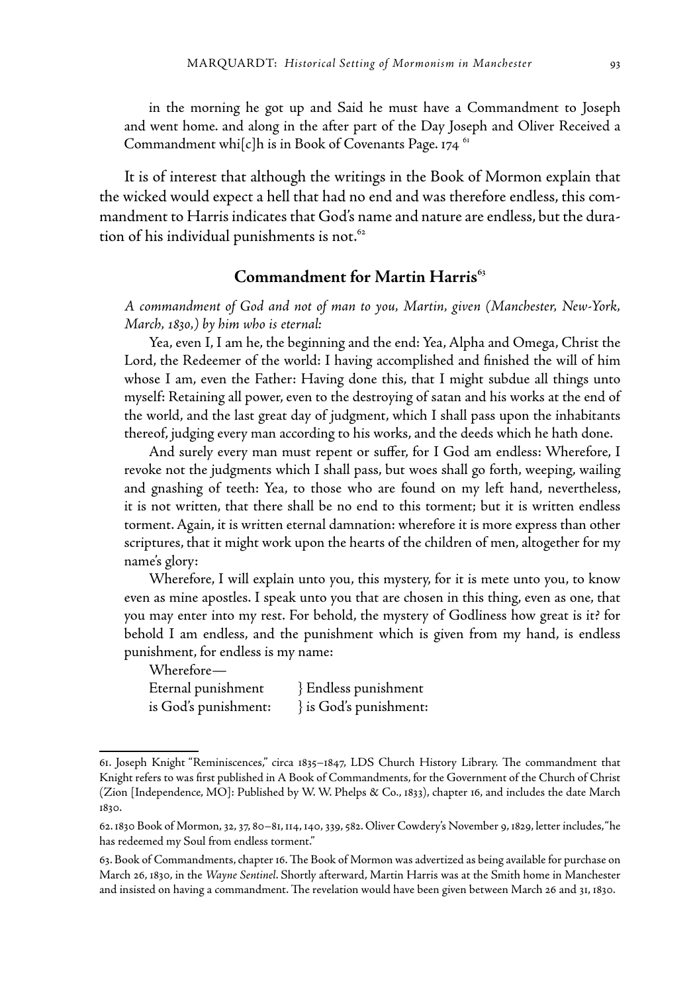in the morning he got up and Said he must have a Commandment to Joseph and went home. and along in the after part of the Day Joseph and Oliver Received a Commandment whi $[c]$ h is in Book of Covenants Page. 174  $61$ 

It is of interest that although the writings in the Book of Mormon explain that the wicked would expect a hell that had no end and was therefore endless, this commandment to Harris indicates that God's name and nature are endless, but the duration of his individual punishments is not. $62$ 

# **Commandment for Martin Harris<sup>63</sup>**

*A commandment of God and not of man to you, Martin, given (Manchester, New-York, March, 1830,) by him who is eternal:*

 Yea, even I, I am he, the beginning and the end: Yea, Alpha and Omega, Christ the Lord, the Redeemer of the world: I having accomplished and finished the will of him whose I am, even the Father: Having done this, that I might subdue all things unto myself: Retaining all power, even to the destroying of satan and his works at the end of the world, and the last great day of judgment, which I shall pass upon the inhabitants thereof, judging every man according to his works, and the deeds which he hath done.

 And surely every man must repent or suffer, for I God am endless: Wherefore, I revoke not the judgments which I shall pass, but woes shall go forth, weeping, wailing and gnashing of teeth: Yea, to those who are found on my left hand, nevertheless, it is not written, that there shall be no end to this torment; but it is written endless torment. Again, it is written eternal damnation: wherefore it is more express than other scriptures, that it might work upon the hearts of the children of men, altogether for my name's glory:

 Wherefore, I will explain unto you, this mystery, for it is mete unto you, to know even as mine apostles. I speak unto you that are chosen in this thing, even as one, that you may enter into my rest. For behold, the mystery of Godliness how great is it? for behold I am endless, and the punishment which is given from my hand, is endless punishment, for endless is my name:

Wherefore—

Eternal punishment } Endless punishment is God's punishment: } is God's punishment:

<sup>61.</sup> Joseph Knight "Reminiscences," circa 1835–1847, LDS Church History Library. The commandment that Knight refers to was first published in A Book of Commandments, for the Government of the Church of Christ (Zion [Independence, MO]: Published by W. W. Phelps & Co., 1833), chapter 16, and includes the date March 1830.

<sup>62. 1830</sup> Book of Mormon, 32, 37, 80–81, 114, 140, 339, 582. Oliver Cowdery's November 9, 1829, letter includes, "he has redeemed my Soul from endless torment."

<sup>63.</sup> Book of Commandments, chapter 16. The Book of Mormon was advertized as being available for purchase on March 26, 1830, in the *Wayne Sentinel*. Shortly afterward, Martin Harris was at the Smith home in Manchester and insisted on having a commandment. The revelation would have been given between March 26 and 31, 1830.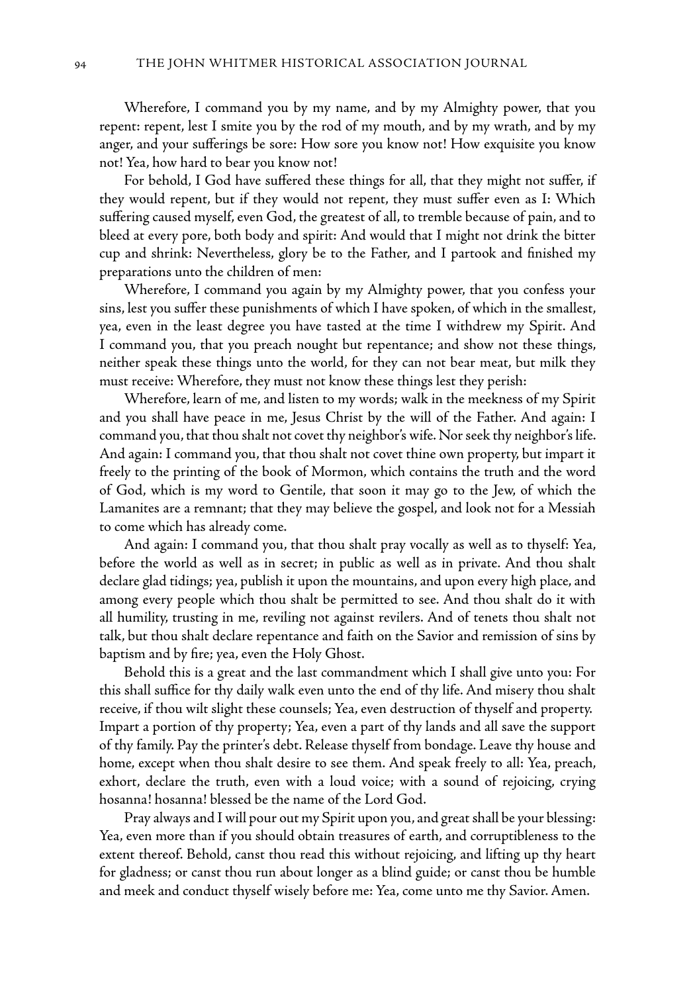Wherefore, I command you by my name, and by my Almighty power, that you repent: repent, lest I smite you by the rod of my mouth, and by my wrath, and by my anger, and your sufferings be sore: How sore you know not! How exquisite you know not! Yea, how hard to bear you know not!

 For behold, I God have suffered these things for all, that they might not suffer, if they would repent, but if they would not repent, they must suffer even as I: Which suffering caused myself, even God, the greatest of all, to tremble because of pain, and to bleed at every pore, both body and spirit: And would that I might not drink the bitter cup and shrink: Nevertheless, glory be to the Father, and I partook and finished my preparations unto the children of men:

 Wherefore, I command you again by my Almighty power, that you confess your sins, lest you suffer these punishments of which I have spoken, of which in the smallest, yea, even in the least degree you have tasted at the time I withdrew my Spirit. And I command you, that you preach nought but repentance; and show not these things, neither speak these things unto the world, for they can not bear meat, but milk they must receive: Wherefore, they must not know these things lest they perish:

 Wherefore, learn of me, and listen to my words; walk in the meekness of my Spirit and you shall have peace in me, Jesus Christ by the will of the Father. And again: I command you, that thou shalt not covet thy neighbor's wife. Nor seek thy neighbor's life. And again: I command you, that thou shalt not covet thine own property, but impart it freely to the printing of the book of Mormon, which contains the truth and the word of God, which is my word to Gentile, that soon it may go to the Jew, of which the Lamanites are a remnant; that they may believe the gospel, and look not for a Messiah to come which has already come.

 And again: I command you, that thou shalt pray vocally as well as to thyself: Yea, before the world as well as in secret; in public as well as in private. And thou shalt declare glad tidings; yea, publish it upon the mountains, and upon every high place, and among every people which thou shalt be permitted to see. And thou shalt do it with all humility, trusting in me, reviling not against revilers. And of tenets thou shalt not talk, but thou shalt declare repentance and faith on the Savior and remission of sins by baptism and by fire; yea, even the Holy Ghost.

 Behold this is a great and the last commandment which I shall give unto you: For this shall suffice for thy daily walk even unto the end of thy life. And misery thou shalt receive, if thou wilt slight these counsels; Yea, even destruction of thyself and property. Impart a portion of thy property; Yea, even a part of thy lands and all save the support of thy family. Pay the printer's debt. Release thyself from bondage. Leave thy house and home, except when thou shalt desire to see them. And speak freely to all: Yea, preach, exhort, declare the truth, even with a loud voice; with a sound of rejoicing, crying hosanna! hosanna! blessed be the name of the Lord God.

 Pray always and I will pour out my Spirit upon you, and great shall be your blessing: Yea, even more than if you should obtain treasures of earth, and corruptibleness to the extent thereof. Behold, canst thou read this without rejoicing, and lifting up thy heart for gladness; or canst thou run about longer as a blind guide; or canst thou be humble and meek and conduct thyself wisely before me: Yea, come unto me thy Savior. Amen.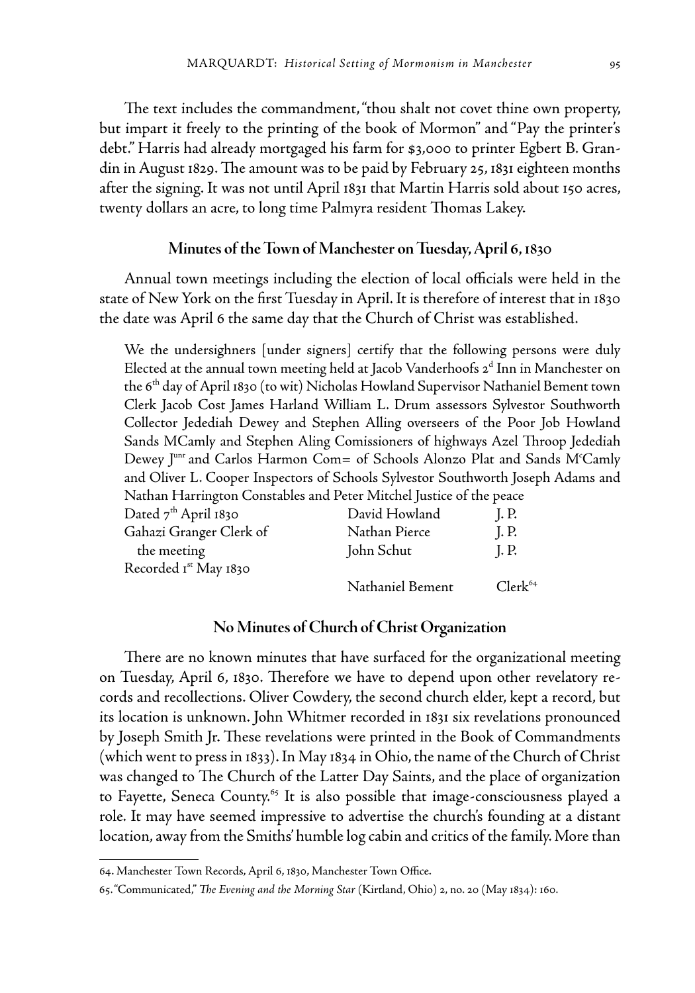The text includes the commandment, "thou shalt not covet thine own property, but impart it freely to the printing of the book of Mormon" and "Pay the printer's debt." Harris had already mortgaged his farm for \$3,000 to printer Egbert B. Grandin in August 1829. The amount was to be paid by February 25, 1831 eighteen months after the signing. It was not until April 1831 that Martin Harris sold about 150 acres, twenty dollars an acre, to long time Palmyra resident Thomas Lakey.

#### **Minutes of the Town of Manchester on Tuesday, April 6, 1830**

Annual town meetings including the election of local officials were held in the state of New York on the first Tuesday in April. It is therefore of interest that in 1830 the date was April 6 the same day that the Church of Christ was established.

We the undersighners [under signers] certify that the following persons were duly Elected at the annual town meeting held at Jacob Vanderhoofs  $\mathsf{z}^{\mathsf{d}}$  Inn in Manchester on the 6<sup>th</sup> day of April 1830 (to wit) Nicholas Howland Supervisor Nathaniel Bement town Clerk Jacob Cost James Harland William L. Drum assessors Sylvestor Southworth Collector Jedediah Dewey and Stephen Alling overseers of the Poor Job Howland Sands MCamly and Stephen Aling Comissioners of highways Azel Throop Jedediah Dewey Junr and Carlos Harmon Com= of Schools Alonzo Plat and Sands M°Camly and Oliver L. Cooper Inspectors of Schools Sylvestor Southworth Joseph Adams and Nathan Harrington Constables and Peter Mitchel Justice of the peace

| Dated $7^{\text{th}}$ April 1830 | David Howland    | 1. P.        |
|----------------------------------|------------------|--------------|
| Gahazi Granger Clerk of          | Nathan Pierce    | J.P.         |
| the meeting                      | John Schut       | I.P.         |
| Recorded Ist May 1830            |                  |              |
|                                  | Nathaniel Bement | $Clerk^{64}$ |

#### **No Minutes of Church of Christ Organization**

There are no known minutes that have surfaced for the organizational meeting on Tuesday, April 6, 1830. Therefore we have to depend upon other revelatory records and recollections. Oliver Cowdery, the second church elder, kept a record, but its location is unknown. John Whitmer recorded in 1831 six revelations pronounced by Joseph Smith Jr. These revelations were printed in the Book of Commandments (which went to press in 1833). In May 1834 in Ohio, the name of the Church of Christ was changed to The Church of the Latter Day Saints, and the place of organization to Fayette, Seneca County.<sup>65</sup> It is also possible that image-consciousness played a role. It may have seemed impressive to advertise the church's founding at a distant location, away from the Smiths' humble log cabin and critics of the family. More than

<sup>64.</sup> Manchester Town Records, April 6, 1830, Manchester Town Office.

<sup>65. &</sup>quot;Communicated," *The Evening and the Morning Star* (Kirtland, Ohio) 2, no. 20 (May 1834): 160.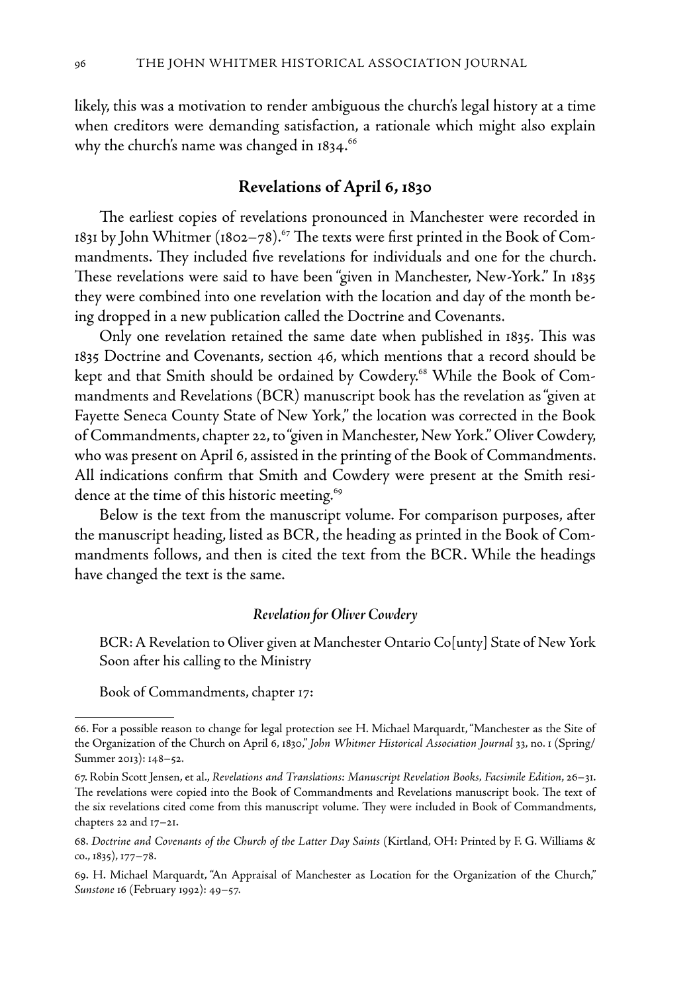likely, this was a motivation to render ambiguous the church's legal history at a time when creditors were demanding satisfaction, a rationale which might also explain why the church's name was changed in  $1834.^{66}$ 

# **Revelations of April 6, 1830**

The earliest copies of revelations pronounced in Manchester were recorded in 1831 by John Whitmer (1802-78).<sup>67</sup> The texts were first printed in the Book of Commandments. They included five revelations for individuals and one for the church. These revelations were said to have been "given in Manchester, New-York." In 1835 they were combined into one revelation with the location and day of the month being dropped in a new publication called the Doctrine and Covenants.

Only one revelation retained the same date when published in 1835. This was 1835 Doctrine and Covenants, section 46, which mentions that a record should be kept and that Smith should be ordained by Cowdery.68 While the Book of Commandments and Revelations (BCR) manuscript book has the revelation as "given at Fayette Seneca County State of New York," the location was corrected in the Book of Commandments, chapter 22, to "given in Manchester, New York." Oliver Cowdery, who was present on April 6, assisted in the printing of the Book of Commandments. All indications confirm that Smith and Cowdery were present at the Smith residence at the time of this historic meeting.<sup>69</sup>

Below is the text from the manuscript volume. For comparison purposes, after the manuscript heading, listed as BCR, the heading as printed in the Book of Commandments follows, and then is cited the text from the BCR. While the headings have changed the text is the same.

## *Revelation for Oliver Cowdery*

BCR: A Revelation to Oliver given at Manchester Ontario Co[unty] State of New York Soon after his calling to the Ministry

Book of Commandments, chapter 17:

<sup>66.</sup> For a possible reason to change for legal protection see H. Michael Marquardt, "Manchester as the Site of the Organization of the Church on April 6, 1830," *John Whitmer Historical Association Journal* 33, no. 1 (Spring/ Summer 2013): 148–52.

<sup>67.</sup> Robin Scott Jensen, et al., *Revelations and Translations: Manuscript Revelation Books, Facsimile Edition*, 26–31. The revelations were copied into the Book of Commandments and Revelations manuscript book. The text of the six revelations cited come from this manuscript volume. They were included in Book of Commandments, chapters 22 and 17–21.

<sup>68.</sup> *Doctrine and Covenants of the Church of the Latter Day Saints* (Kirtland, OH: Printed by F. G. Williams & co., 1835), 177–78.

<sup>69.</sup> H. Michael Marquardt, "An Appraisal of Manchester as Location for the Organization of the Church," *Sunstone* 16 (February 1992): 49–57.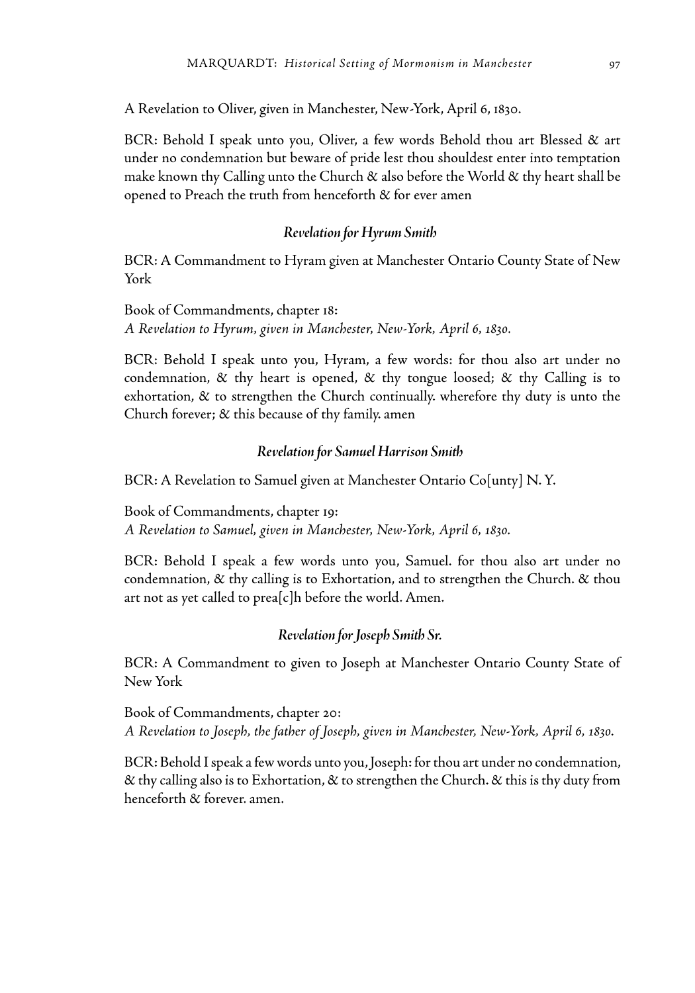A Revelation to Oliver, given in Manchester, New-York, April 6, 1830.

BCR: Behold I speak unto you, Oliver, a few words Behold thou art Blessed & art under no condemnation but beware of pride lest thou shouldest enter into temptation make known thy Calling unto the Church  $\alpha$  also before the World  $\alpha$  thy heart shall be opened to Preach the truth from henceforth & for ever amen

#### *Revelation for Hyrum Smith*

BCR: A Commandment to Hyram given at Manchester Ontario County State of New York

Book of Commandments, chapter 18: *A Revelation to Hyrum, given in Manchester, New-York, April 6, 1830.* 

BCR: Behold I speak unto you, Hyram, a few words: for thou also art under no condemnation,  $\&$  thy heart is opened,  $\&$  thy tongue loosed;  $\&$  thy Calling is to exhortation, & to strengthen the Church continually. wherefore thy duty is unto the Church forever; & this because of thy family. amen

#### *Revelation for Samuel Harrison Smith*

BCR: A Revelation to Samuel given at Manchester Ontario Co[unty] N. Y.

Book of Commandments, chapter 19: *A Revelation to Samuel, given in Manchester, New-York, April 6, 1830.* 

BCR: Behold I speak a few words unto you, Samuel. for thou also art under no condemnation, & thy calling is to Exhortation, and to strengthen the Church. & thou art not as yet called to prea[c]h before the world. Amen.

#### *Revelation for Joseph Smith Sr.*

BCR: A Commandment to given to Joseph at Manchester Ontario County State of New York

Book of Commandments, chapter 20: *A Revelation to Joseph, the father of Joseph, given in Manchester, New-York, April 6, 1830.* 

BCR: Behold I speak a few words unto you, Joseph: for thou art under no condemnation,  $\&$  thy calling also is to Exhortation,  $\&$  to strengthen the Church.  $\&$  this is thy duty from henceforth & forever. amen.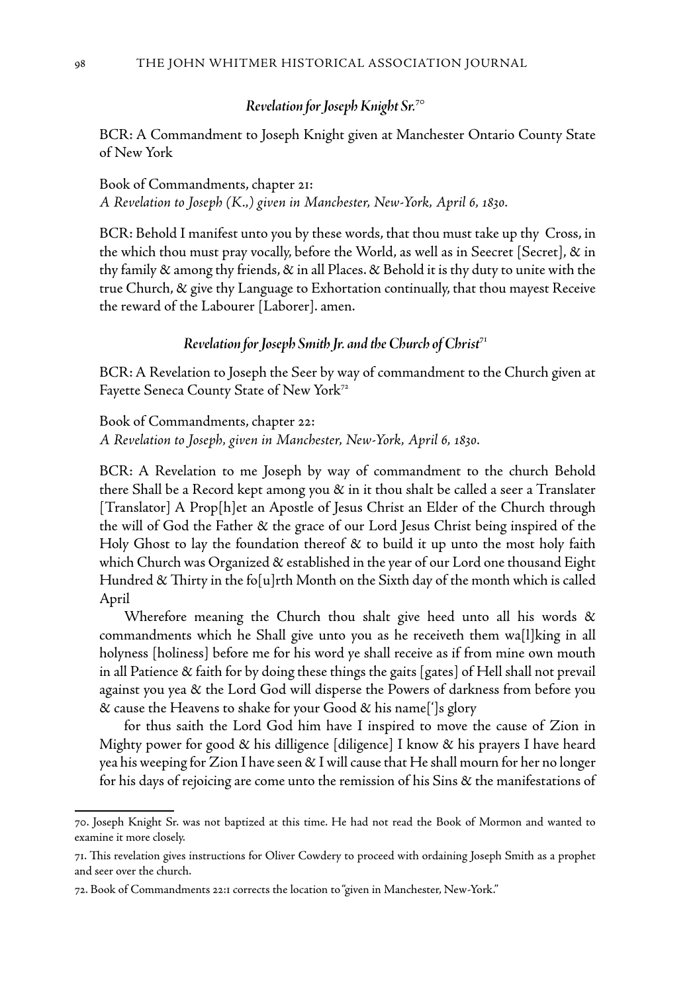#### *Revelation for Joseph Knight Sr.*<sup>70</sup>

BCR: A Commandment to Joseph Knight given at Manchester Ontario County State of New York

Book of Commandments, chapter 21: *A Revelation to Joseph (K.,) given in Manchester, New-York, April 6, 1830.* 

BCR: Behold I manifest unto you by these words, that thou must take up thy Cross, in the which thou must pray vocally, before the World, as well as in Seecret [Secret], & in thy family & among thy friends, & in all Places. & Behold it is thy duty to unite with the true Church, & give thy Language to Exhortation continually, that thou mayest Receive the reward of the Labourer [Laborer]. amen.

#### *Revelation for Joseph Smith Jr. and the Church of Christ*<sup>71</sup>

BCR: A Revelation to Joseph the Seer by way of commandment to the Church given at Fayette Seneca County State of New York<sup>72</sup>

Book of Commandments, chapter 22: *A Revelation to Joseph, given in Manchester, New-York, April 6, 1830.* 

BCR: A Revelation to me Joseph by way of commandment to the church Behold there Shall be a Record kept among you & in it thou shalt be called a seer a Translater [Translator] A Prop[h]et an Apostle of Jesus Christ an Elder of the Church through the will of God the Father & the grace of our Lord Jesus Christ being inspired of the Holy Ghost to lay the foundation thereof  $\&$  to build it up unto the most holy faith which Church was Organized & established in the year of our Lord one thousand Eight Hundred  $\&$  Thirty in the fo[u]rth Month on the Sixth day of the month which is called April

 Wherefore meaning the Church thou shalt give heed unto all his words & commandments which he Shall give unto you as he receiveth them wa[l]king in all holyness [holiness] before me for his word ye shall receive as if from mine own mouth in all Patience & faith for by doing these things the gaits [gates] of Hell shall not prevail against you yea & the Lord God will disperse the Powers of darkness from before you & cause the Heavens to shake for your Good & his name[']s glory

 for thus saith the Lord God him have I inspired to move the cause of Zion in Mighty power for good & his dilligence [diligence] I know & his prayers I have heard yea his weeping for Zion I have seen & I will cause that He shall mourn for her no longer for his days of rejoicing are come unto the remission of his Sins & the manifestations of

<sup>70.</sup> Joseph Knight Sr. was not baptized at this time. He had not read the Book of Mormon and wanted to examine it more closely.

<sup>71.</sup> This revelation gives instructions for Oliver Cowdery to proceed with ordaining Joseph Smith as a prophet and seer over the church.

<sup>72.</sup> Book of Commandments 22:1 corrects the location to "given in Manchester, New-York."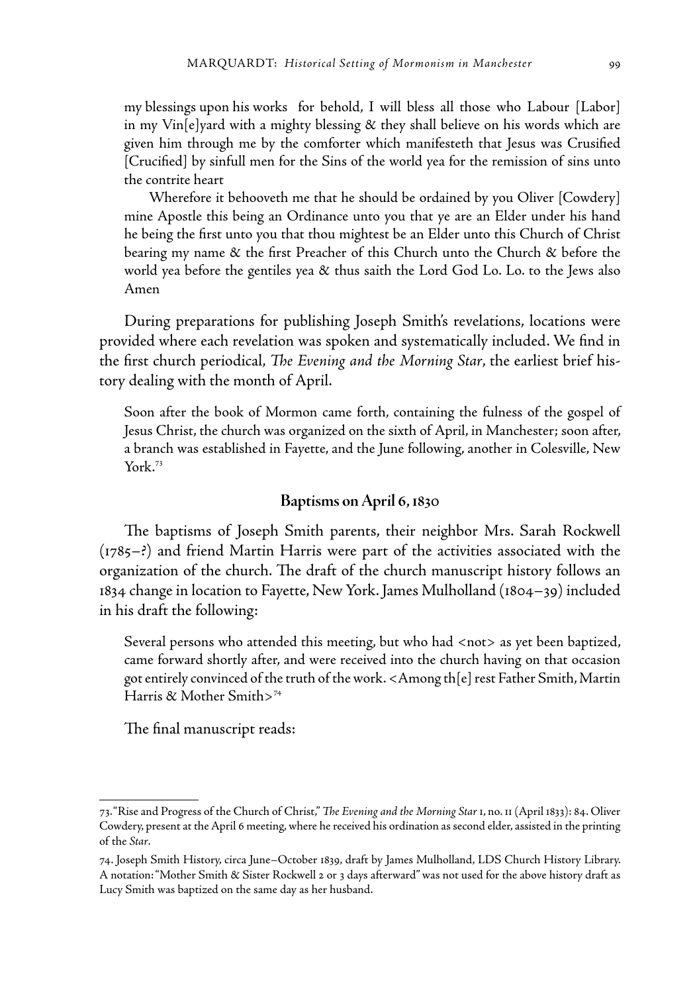my blessings upon his works for behold, I will bless all those who Labour [Labor] in my Vin[e]yard with a mighty blessing & they shall believe on his words which are given him through me by the comforter which manifesteth that Jesus was Crusified [Crucified] by sinfull men for the Sins of the world yea for the remission of sins unto the contrite heart

 Wherefore it behooveth me that he should be ordained by you Oliver [Cowdery] mine Apostle this being an Ordinance unto you that ye are an Elder under his hand he being the first unto you that thou mightest be an Elder unto this Church of Christ bearing my name & the first Preacher of this Church unto the Church & before the world yea before the gentiles yea & thus saith the Lord God Lo. Lo. to the Jews also Amen

During preparations for publishing Joseph Smith's revelations, locations were provided where each revelation was spoken and systematically included. We find in the first church periodical, *The Evening and the Morning Star*, the earliest brief history dealing with the month of April.

Soon after the book of Mormon came forth, containing the fulness of the gospel of Jesus Christ, the church was organized on the sixth of April, in Manchester; soon after, a branch was established in Fayette, and the June following, another in Colesville, New York.<sup>73</sup>

# **Baptisms on April 6, 1830**

The baptisms of Joseph Smith parents, their neighbor Mrs. Sarah Rockwell  $(1785-\text{--})$  and friend Martin Harris were part of the activities associated with the organization of the church. The draft of the church manuscript history follows an 1834 change in location to Fayette, New York. James Mulholland (1804–39) included in his draft the following:

Several persons who attended this meeting, but who had <not> as yet been baptized, came forward shortly after, and were received into the church having on that occasion got entirely convinced of the truth of the work. <Among th[e] rest Father Smith, Martin Harris & Mother Smith>74

The final manuscript reads:

<sup>73. &</sup>quot;Rise and Progress of the Church of Christ," *The Evening and the Morning Star* 1, no. 11 (April 1833): 84. Oliver Cowdery, present at the April 6 meeting, where he received his ordination as second elder, assisted in the printing of the *Star*.

<sup>74.</sup> Joseph Smith History, circa June–October 1839, draft by James Mulholland, LDS Church History Library. A notation: "Mother Smith & Sister Rockwell 2 or 3 days afterward" was not used for the above history draft as Lucy Smith was baptized on the same day as her husband.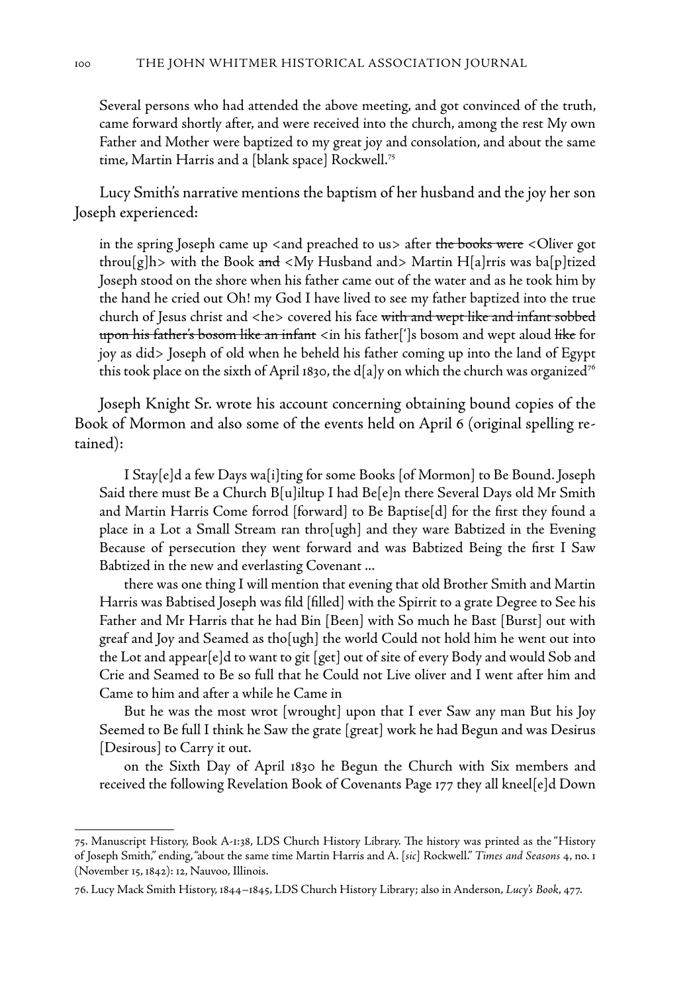Several persons who had attended the above meeting, and got convinced of the truth, came forward shortly after, and were received into the church, among the rest My own Father and Mother were baptized to my great joy and consolation, and about the same time, Martin Harris and a [blank space] Rockwell.<sup>75</sup>

Lucy Smith's narrative mentions the baptism of her husband and the joy her son Joseph experienced:

in the spring Joseph came up <and preached to us> after the books were <Oliver got throu $[g]$ h> with the Book and <My Husband and> Martin H $[a]$ rris was ba $[p]$ tized Joseph stood on the shore when his father came out of the water and as he took him by the hand he cried out Oh! my God I have lived to see my father baptized into the true church of Jesus christ and <he> covered his face with and wept like and infant sobbed upon his father's bosom like an infant <in his father[']s bosom and wept aloud like for joy as did> Joseph of old when he beheld his father coming up into the land of Egypt this took place on the sixth of April 1830, the d[a]y on which the church was organized<sup>76</sup>

Joseph Knight Sr. wrote his account concerning obtaining bound copies of the Book of Mormon and also some of the events held on April 6 (original spelling retained):

 I Stay[e]d a few Days wa[i]ting for some Books [of Mormon] to Be Bound. Joseph Said there must Be a Church B[u]iltup I had Be[e]n there Several Days old Mr Smith and Martin Harris Come forrod [forward] to Be Baptise[d] for the first they found a place in a Lot a Small Stream ran thro[ugh] and they ware Babtized in the Evening Because of persecution they went forward and was Babtized Being the first I Saw Babtized in the new and everlasting Covenant ...

 there was one thing I will mention that evening that old Brother Smith and Martin Harris was Babtised Joseph was fild [filled] with the Spirrit to a grate Degree to See his Father and Mr Harris that he had Bin [Been] with So much he Bast [Burst] out with greaf and Joy and Seamed as tho[ugh] the world Could not hold him he went out into the Lot and appear[e]d to want to git [get] out of site of every Body and would Sob and Crie and Seamed to Be so full that he Could not Live oliver and I went after him and Came to him and after a while he Came in

 But he was the most wrot [wrought] upon that I ever Saw any man But his Joy Seemed to Be full I think he Saw the grate [great] work he had Begun and was Desirus [Desirous] to Carry it out.

 on the Sixth Day of April 1830 he Begun the Church with Six members and received the following Revelation Book of Covenants Page 177 they all kneel[e]d Down

<sup>75.</sup> Manuscript History, Book A-1:38, LDS Church History Library. The history was printed as the "History of Joseph Smith," ending, "about the same time Martin Harris and A. [*sic*] Rockwell." *Times and Seasons* 4, no. 1 (November 15, 1842): 12, Nauvoo, Illinois.

<sup>76.</sup> Lucy Mack Smith History, 1844–1845, LDS Church History Library; also in Anderson, *Lucy's Book*, 477.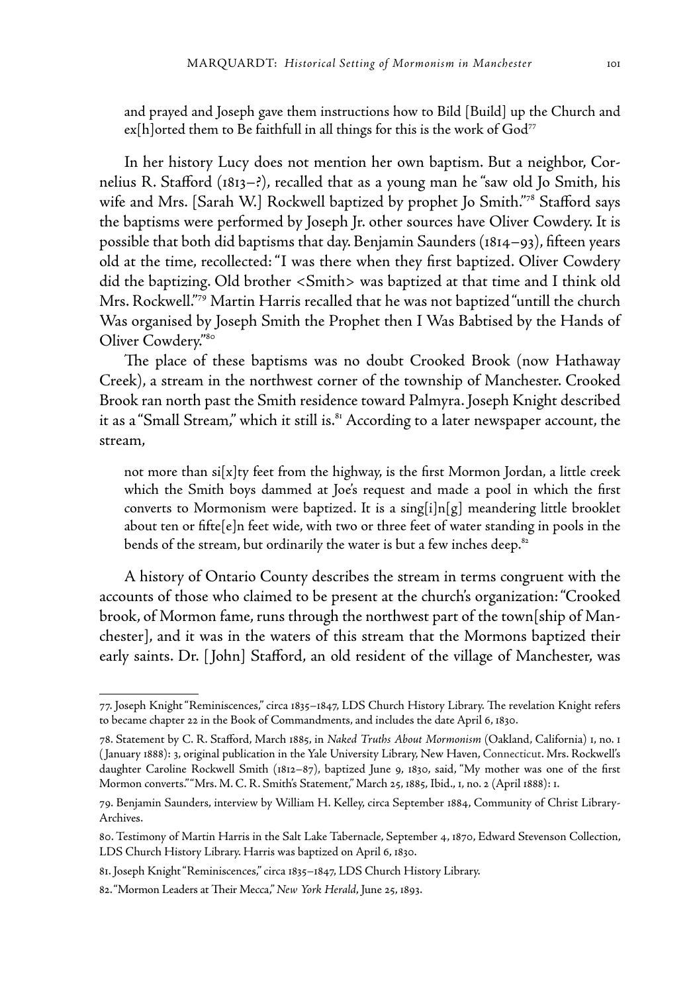and prayed and Joseph gave them instructions how to Bild [Build] up the Church and ex[h]orted them to Be faithfull in all things for this is the work of  $God^{77}$ 

In her history Lucy does not mention her own baptism. But a neighbor, Cornelius R. Stafford (1813–?), recalled that as a young man he "saw old Jo Smith, his wife and Mrs. [Sarah W.] Rockwell baptized by prophet Jo Smith."78 Stafford says the baptisms were performed by Joseph Jr. other sources have Oliver Cowdery. It is possible that both did baptisms that day. Benjamin Saunders (1814–93), fifteen years old at the time, recollected: "I was there when they first baptized. Oliver Cowdery did the baptizing. Old brother <Smith> was baptized at that time and I think old Mrs. Rockwell."79 Martin Harris recalled that he was not baptized "untill the church Was organised by Joseph Smith the Prophet then I Was Babtised by the Hands of Oliver Cowdery."80

The place of these baptisms was no doubt Crooked Brook (now Hathaway Creek), a stream in the northwest corner of the township of Manchester. Crooked Brook ran north past the Smith residence toward Palmyra. Joseph Knight described it as a "Small Stream," which it still is.<sup>81</sup> According to a later newspaper account, the stream,

not more than  $si[x]$ ty feet from the highway, is the first Mormon Jordan, a little creek which the Smith boys dammed at Joe's request and made a pool in which the first converts to Mormonism were baptized. It is a sing[i]n[g] meandering little brooklet about ten or fifte[e]n feet wide, with two or three feet of water standing in pools in the bends of the stream, but ordinarily the water is but a few inches deep.<sup>82</sup>

A history of Ontario County describes the stream in terms congruent with the accounts of those who claimed to be present at the church's organization: "Crooked brook, of Mormon fame, runs through the northwest part of the town[ship of Manchester], and it was in the waters of this stream that the Mormons baptized their early saints. Dr. [ John] Stafford, an old resident of the village of Manchester, was

<sup>77.</sup> Joseph Knight "Reminiscences," circa 1835–1847, LDS Church History Library. The revelation Knight refers to became chapter 22 in the Book of Commandments, and includes the date April 6, 1830.

<sup>78.</sup> Statement by C. R. Stafford, March 1885, in *Naked Truths About Mormonism* (Oakland, California) 1, no. 1 ( January 1888): 3, original publication in the Yale University Library, New Haven, Connecticut. Mrs. Rockwell's daughter Caroline Rockwell Smith (1812–87), baptized June 9, 1830, said, "My mother was one of the first Mormon converts." "Mrs. M. C. R. Smith's Statement," March 25, 1885, Ibid., 1, no. 2 (April 1888): 1.

<sup>79.</sup> Benjamin Saunders, interview by William H. Kelley, circa September 1884, Community of Christ Library-Archives.

<sup>80.</sup> Testimony of Martin Harris in the Salt Lake Tabernacle, September 4, 1870, Edward Stevenson Collection, LDS Church History Library. Harris was baptized on April 6, 1830.

<sup>81.</sup> Joseph Knight "Reminiscences," circa 1835–1847, LDS Church History Library.

<sup>82. &</sup>quot;Mormon Leaders at Their Mecca," *New York Herald*, June 25, 1893.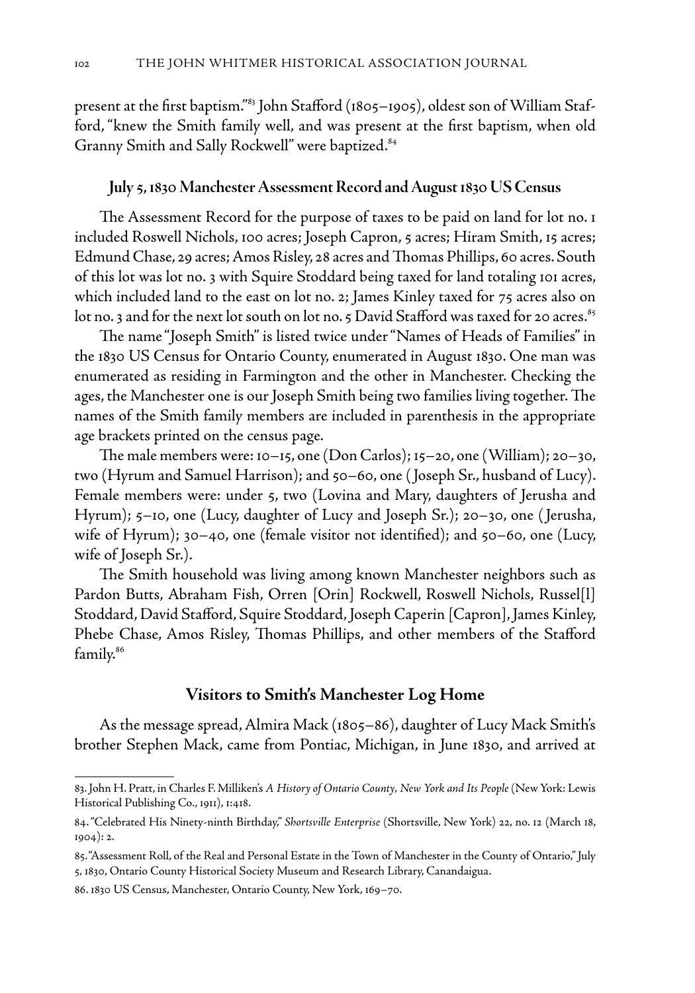present at the first baptism."83 John Stafford (1805–1905), oldest son of William Stafford, "knew the Smith family well, and was present at the first baptism, when old Granny Smith and Sally Rockwell" were baptized.<sup>84</sup>

#### **July 5, 1830 Manchester Assessment Record and August 1830 US Census**

The Assessment Record for the purpose of taxes to be paid on land for lot no. 1 included Roswell Nichols, 100 acres; Joseph Capron, 5 acres; Hiram Smith, 15 acres; Edmund Chase, 29 acres; Amos Risley, 28 acres and Thomas Phillips, 60 acres. South of this lot was lot no. 3 with Squire Stoddard being taxed for land totaling 101 acres, which included land to the east on lot no. 2; James Kinley taxed for 75 acres also on lot no. 3 and for the next lot south on lot no. 5 David Stafford was taxed for 20 acres.<sup>85</sup>

The name "Joseph Smith" is listed twice under "Names of Heads of Families" in the 1830 US Census for Ontario County, enumerated in August 1830. One man was enumerated as residing in Farmington and the other in Manchester. Checking the ages, the Manchester one is our Joseph Smith being two families living together. The names of the Smith family members are included in parenthesis in the appropriate age brackets printed on the census page.

The male members were: 10–15, one (Don Carlos); 15–20, one (William); 20–30, two (Hyrum and Samuel Harrison); and 50–60, one ( Joseph Sr., husband of Lucy). Female members were: under 5, two (Lovina and Mary, daughters of Jerusha and Hyrum); 5–10, one (Lucy, daughter of Lucy and Joseph Sr.); 20–30, one ( Jerusha, wife of Hyrum); 30-40, one (female visitor not identified); and 50-60, one (Lucy, wife of Joseph Sr.).

The Smith household was living among known Manchester neighbors such as Pardon Butts, Abraham Fish, Orren [Orin] Rockwell, Roswell Nichols, Russel[l] Stoddard, David Stafford, Squire Stoddard, Joseph Caperin [Capron], James Kinley, Phebe Chase, Amos Risley, Thomas Phillips, and other members of the Stafford family.<sup>86</sup>

### **Visitors to Smith's Manchester Log Home**

As the message spread, Almira Mack (1805–86), daughter of Lucy Mack Smith's brother Stephen Mack, came from Pontiac, Michigan, in June 1830, and arrived at

<sup>83.</sup> John H. Pratt, in Charles F. Milliken's *A History of Ontario County, New York and Its People* (New York: Lewis Historical Publishing Co., 1911), 1:418.

<sup>84. &</sup>quot;Celebrated His Ninety-ninth Birthday," *Shortsville Enterprise* (Shortsville, New York) 22, no. 12 (March 18, 1904): 2.

<sup>85. &</sup>quot;Assessment Roll, of the Real and Personal Estate in the Town of Manchester in the County of Ontario," July 5, 1830, Ontario County Historical Society Museum and Research Library, Canandaigua.

<sup>86. 1830</sup> US Census, Manchester, Ontario County, New York, 169–70.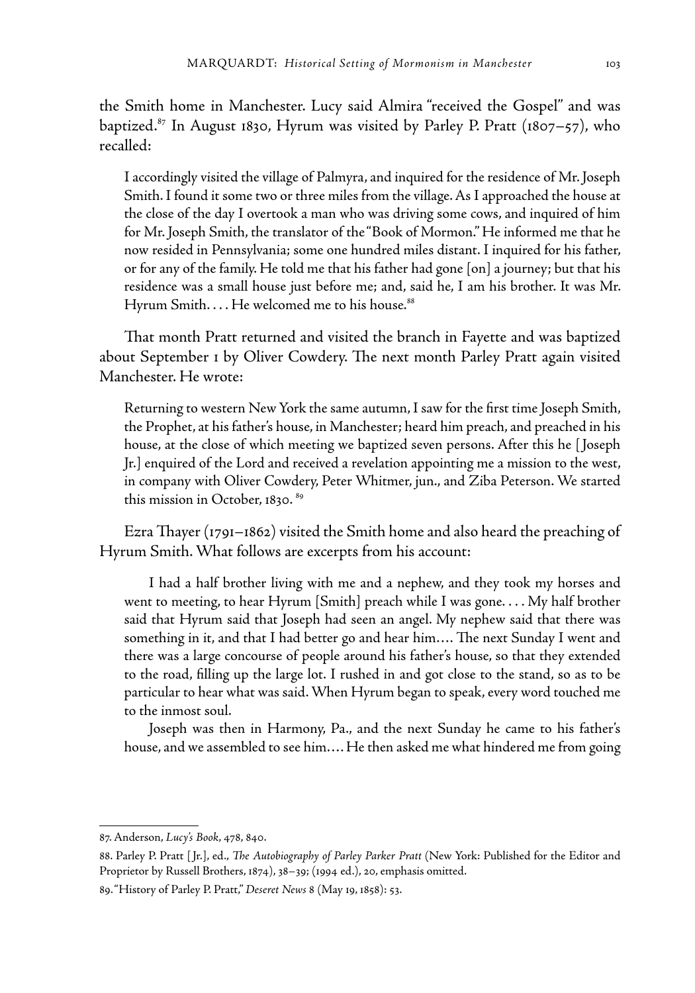the Smith home in Manchester. Lucy said Almira "received the Gospel" and was baptized.87 In August 1830, Hyrum was visited by Parley P. Pratt (1807–57), who recalled:

I accordingly visited the village of Palmyra, and inquired for the residence of Mr. Joseph Smith. I found it some two or three miles from the village. As I approached the house at the close of the day I overtook a man who was driving some cows, and inquired of him for Mr. Joseph Smith, the translator of the "Book of Mormon." He informed me that he now resided in Pennsylvania; some one hundred miles distant. I inquired for his father, or for any of the family. He told me that his father had gone [on] a journey; but that his residence was a small house just before me; and, said he, I am his brother. It was Mr. Hyrum Smith.... He welcomed me to his house. $88$ 

That month Pratt returned and visited the branch in Fayette and was baptized about September 1 by Oliver Cowdery. The next month Parley Pratt again visited Manchester. He wrote:

Returning to western New York the same autumn, I saw for the first time Joseph Smith, the Prophet, at his father's house, in Manchester; heard him preach, and preached in his house, at the close of which meeting we baptized seven persons. After this he [ Joseph Jr.] enquired of the Lord and received a revelation appointing me a mission to the west, in company with Oliver Cowdery, Peter Whitmer, jun., and Ziba Peterson. We started this mission in October, 1830.<sup>89</sup>

Ezra Thayer (1791–1862) visited the Smith home and also heard the preaching of Hyrum Smith. What follows are excerpts from his account:

 I had a half brother living with me and a nephew, and they took my horses and went to meeting, to hear Hyrum [Smith] preach while I was gone. . . . My half brother said that Hyrum said that Joseph had seen an angel. My nephew said that there was something in it, and that I had better go and hear him…. The next Sunday I went and there was a large concourse of people around his father's house, so that they extended to the road, filling up the large lot. I rushed in and got close to the stand, so as to be particular to hear what was said. When Hyrum began to speak, every word touched me to the inmost soul.

 Joseph was then in Harmony, Pa., and the next Sunday he came to his father's house, and we assembled to see him…. He then asked me what hindered me from going

89. "History of Parley P. Pratt," *Deseret News* 8 (May 19, 1858): 53.

<sup>87.</sup> Anderson, *Lucy's Book*, 478, 840.

<sup>88.</sup> Parley P. Pratt [ Jr.], ed., *The Autobiography of Parley Parker Pratt* (New York: Published for the Editor and Proprietor by Russell Brothers, 1874), 38–39; (1994 ed.), 20, emphasis omitted.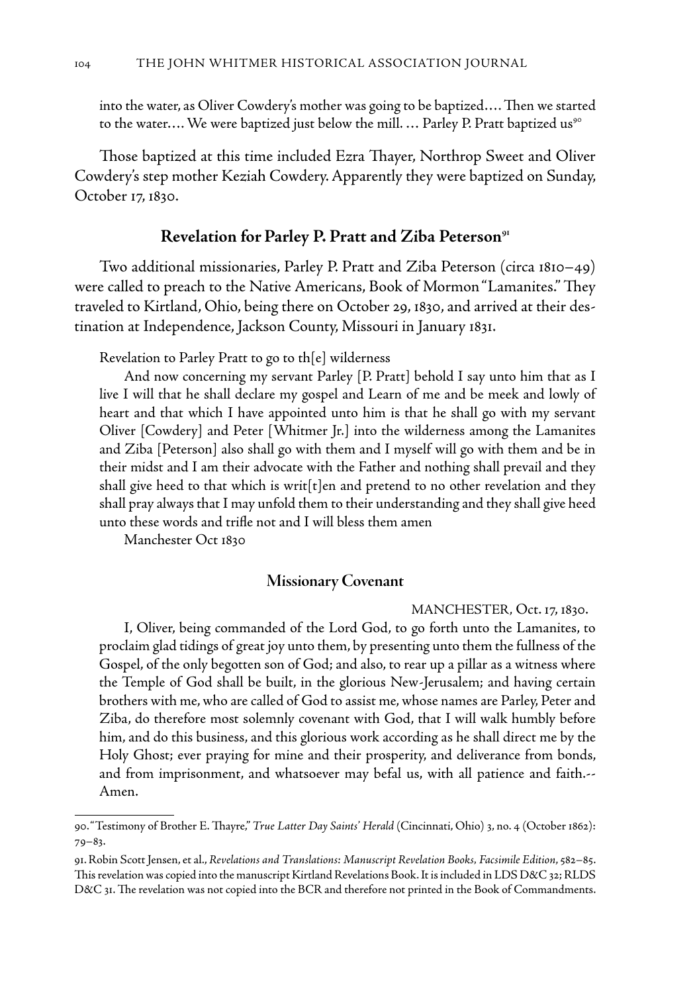into the water, as Oliver Cowdery's mother was going to be baptized…. Then we started to the water.... We were baptized just below the mill.  $\ldots$  Parley P. Pratt baptized us<sup>90</sup>

Those baptized at this time included Ezra Thayer, Northrop Sweet and Oliver Cowdery's step mother Keziah Cowdery. Apparently they were baptized on Sunday, October 17, 1830.

# Revelation for Parley P. Pratt and Ziba Peterson<sup>91</sup>

Two additional missionaries, Parley P. Pratt and Ziba Peterson (circa 1810–49) were called to preach to the Native Americans, Book of Mormon "Lamanites." They traveled to Kirtland, Ohio, being there on October 29, 1830, and arrived at their destination at Independence, Jackson County, Missouri in January 1831.

Revelation to Parley Pratt to go to th[e] wilderness

 And now concerning my servant Parley [P. Pratt] behold I say unto him that as I live I will that he shall declare my gospel and Learn of me and be meek and lowly of heart and that which I have appointed unto him is that he shall go with my servant Oliver [Cowdery] and Peter [Whitmer Jr.] into the wilderness among the Lamanites and Ziba [Peterson] also shall go with them and I myself will go with them and be in their midst and I am their advocate with the Father and nothing shall prevail and they shall give heed to that which is writ[t]en and pretend to no other revelation and they shall pray always that I may unfold them to their understanding and they shall give heed unto these words and trifle not and I will bless them amen

Manchester Oct 1830

#### **Missionary Covenant**

MANCHESTER, Oct. 17, 1830.

 I, Oliver, being commanded of the Lord God, to go forth unto the Lamanites, to proclaim glad tidings of great joy unto them, by presenting unto them the fullness of the Gospel, of the only begotten son of God; and also, to rear up a pillar as a witness where the Temple of God shall be built, in the glorious New-Jerusalem; and having certain brothers with me, who are called of God to assist me, whose names are Parley, Peter and Ziba, do therefore most solemnly covenant with God, that I will walk humbly before him, and do this business, and this glorious work according as he shall direct me by the Holy Ghost; ever praying for mine and their prosperity, and deliverance from bonds, and from imprisonment, and whatsoever may befal us, with all patience and faith.-- Amen.

<sup>90. &</sup>quot;Testimony of Brother E. Thayre," *True Latter Day Saints' Herald* (Cincinnati, Ohio) 3, no. 4 (October 1862): 79–83.

<sup>91.</sup> Robin Scott Jensen, et al., *Revelations and Translations: Manuscript Revelation Books, Facsimile Edition*, 582–85. This revelation was copied into the manuscript Kirtland Revelations Book. It is included in LDS D&C 32; RLDS D&C 31. The revelation was not copied into the BCR and therefore not printed in the Book of Commandments.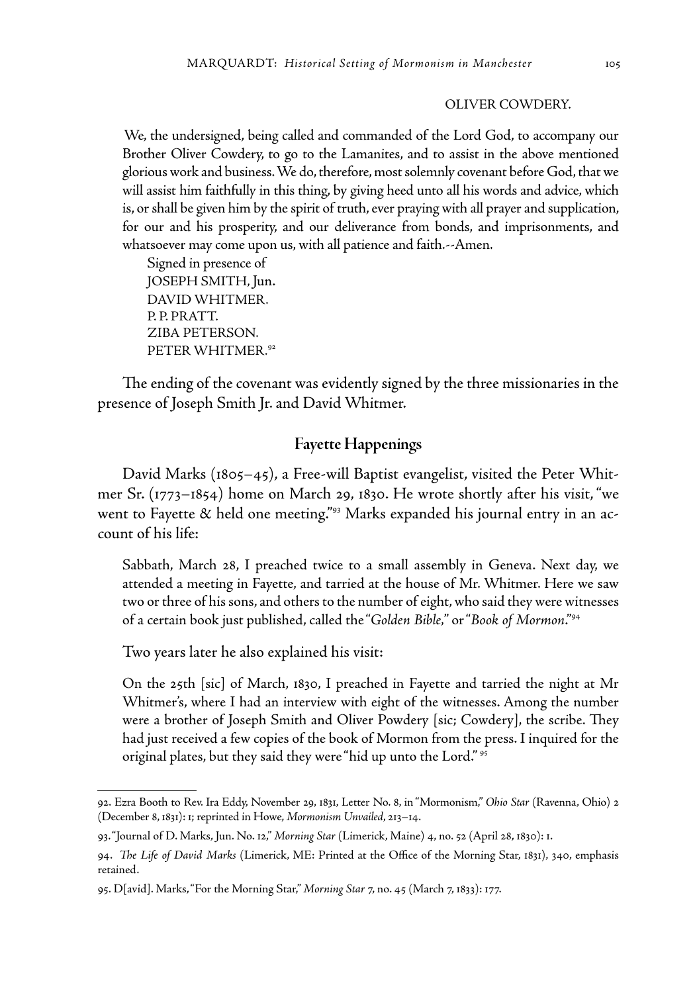#### OLIVER COWDERY.

We, the undersigned, being called and commanded of the Lord God, to accompany our Brother Oliver Cowdery, to go to the Lamanites, and to assist in the above mentioned glorious work and business. We do, therefore, most solemnly covenant before God, that we will assist him faithfully in this thing, by giving heed unto all his words and advice, which is, or shall be given him by the spirit of truth, ever praying with all prayer and supplication, for our and his prosperity, and our deliverance from bonds, and imprisonments, and whatsoever may come upon us, with all patience and faith.--Amen.

 Signed in presence of JOSEPH SMITH, Jun. DAVID WHITMER. P. P. PRATT. ZIBA PETERSON. PETER WHITMER.<sup>92</sup>

The ending of the covenant was evidently signed by the three missionaries in the presence of Joseph Smith Jr. and David Whitmer.

## **Fayette Happenings**

David Marks (1805–45), a Free-will Baptist evangelist, visited the Peter Whitmer Sr. (1773–1854) home on March 29, 1830. He wrote shortly after his visit, "we went to Fayette & held one meeting."<sup>93</sup> Marks expanded his journal entry in an account of his life:

Sabbath, March 28, I preached twice to a small assembly in Geneva. Next day, we attended a meeting in Fayette, and tarried at the house of Mr. Whitmer. Here we saw two or three of his sons, and others to the number of eight, who said they were witnesses of a certain book just published, called the "*Golden Bible,*" or "*Book of Mormon*."94

Two years later he also explained his visit:

On the 25th [sic] of March, 1830, I preached in Fayette and tarried the night at Mr Whitmer's, where I had an interview with eight of the witnesses. Among the number were a brother of Joseph Smith and Oliver Powdery [sic; Cowdery], the scribe. They had just received a few copies of the book of Mormon from the press. I inquired for the original plates, but they said they were "hid up unto the Lord." 95

<sup>92.</sup> Ezra Booth to Rev. Ira Eddy, November 29, 1831, Letter No. 8, in "Mormonism," *Ohio Star* (Ravenna, Ohio) 2 (December 8, 1831): 1; reprinted in Howe, *Mormonism Unvailed*, 213–14.

<sup>93. &</sup>quot;Journal of D. Marks, Jun. No. 12," *Morning Star* (Limerick, Maine) 4, no. 52 (April 28, 1830): 1.

<sup>94.</sup> *The Life of David Marks* (Limerick, ME: Printed at the Office of the Morning Star, 1831), 340, emphasis retained.

<sup>95.</sup> D[avid]. Marks, "For the Morning Star," *Morning Star* 7, no. 45 (March 7, 1833): 177.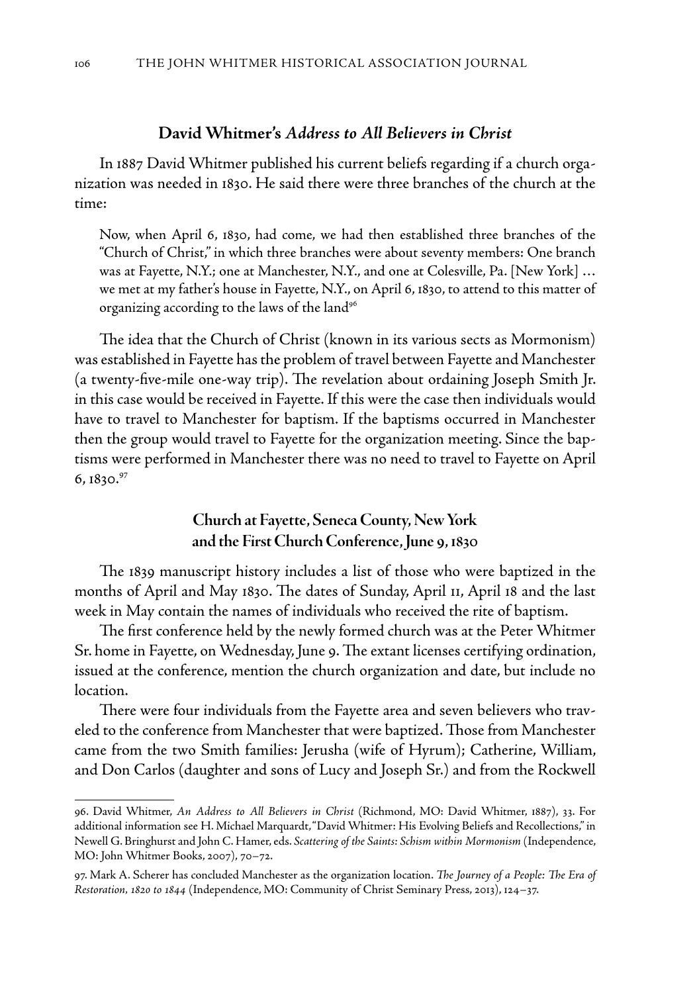## **David Whitmer's** *Address to All Believers in Christ*

In 1887 David Whitmer published his current beliefs regarding if a church organization was needed in 1830. He said there were three branches of the church at the time:

Now, when April 6, 1830, had come, we had then established three branches of the "Church of Christ," in which three branches were about seventy members: One branch was at Fayette, N.Y.; one at Manchester, N.Y., and one at Colesville, Pa. [New York] … we met at my father's house in Fayette, N.Y., on April 6, 1830, to attend to this matter of organizing according to the laws of the land<sup>96</sup>

The idea that the Church of Christ (known in its various sects as Mormonism) was established in Fayette has the problem of travel between Fayette and Manchester (a twenty-five-mile one-way trip). The revelation about ordaining Joseph Smith Jr. in this case would be received in Fayette. If this were the case then individuals would have to travel to Manchester for baptism. If the baptisms occurred in Manchester then the group would travel to Fayette for the organization meeting. Since the baptisms were performed in Manchester there was no need to travel to Fayette on April 6, 1830.97

# **Church at Fayette, Seneca County, New York and the First Church Conference, June 9, 1830**

The 1839 manuscript history includes a list of those who were baptized in the months of April and May 1830. The dates of Sunday, April 11, April 18 and the last week in May contain the names of individuals who received the rite of baptism.

The first conference held by the newly formed church was at the Peter Whitmer Sr. home in Fayette, on Wednesday, June 9. The extant licenses certifying ordination, issued at the conference, mention the church organization and date, but include no location.

There were four individuals from the Fayette area and seven believers who traveled to the conference from Manchester that were baptized. Those from Manchester came from the two Smith families: Jerusha (wife of Hyrum); Catherine, William, and Don Carlos (daughter and sons of Lucy and Joseph Sr.) and from the Rockwell

<sup>96.</sup> David Whitmer, *An Address to All Believers in Christ* (Richmond, MO: David Whitmer, 1887), 33. For additional information see H. Michael Marquardt, "David Whitmer: His Evolving Beliefs and Recollections," in Newell G. Bringhurst and John C. Hamer, eds. *Scattering of the Saints: Schism within Mormonism* (Independence, MO: John Whitmer Books, 2007), 70–72.

<sup>97.</sup> Mark A. Scherer has concluded Manchester as the organization location. *The Journey of a People: The Era of Restoration, 1820 to 1844* (Independence, MO: Community of Christ Seminary Press, 2013), 124–37.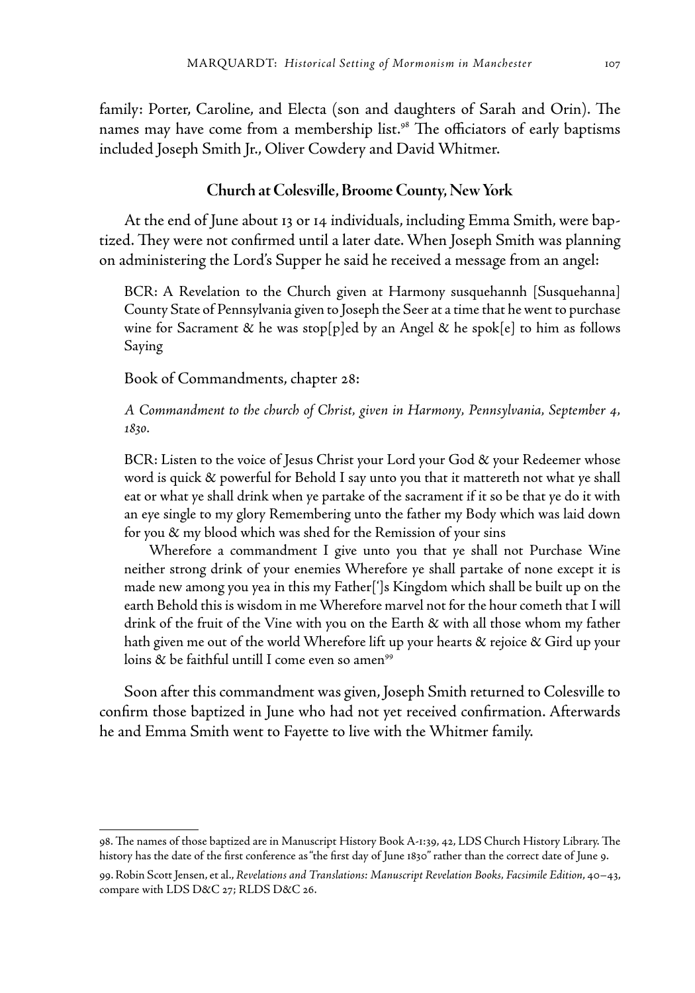family: Porter, Caroline, and Electa (son and daughters of Sarah and Orin). The names may have come from a membership list.<sup>98</sup> The officiators of early baptisms included Joseph Smith Jr., Oliver Cowdery and David Whitmer.

#### **Church at Colesville, Broome County, New York**

At the end of June about 13 or 14 individuals, including Emma Smith, were baptized. They were not confirmed until a later date. When Joseph Smith was planning on administering the Lord's Supper he said he received a message from an angel:

BCR: A Revelation to the Church given at Harmony susquehannh [Susquehanna] County State of Pennsylvania given to Joseph the Seer at a time that he went to purchase wine for Sacrament & he was stop[p]ed by an Angel & he spok[e] to him as follows Saying

Book of Commandments, chapter 28:

*A Commandment to the church of Christ, given in Harmony, Pennsylvania, September 4, 1830.*

BCR: Listen to the voice of Jesus Christ your Lord your God & your Redeemer whose word is quick & powerful for Behold I say unto you that it mattereth not what ye shall eat or what ye shall drink when ye partake of the sacrament if it so be that ye do it with an eye single to my glory Remembering unto the father my Body which was laid down for you & my blood which was shed for the Remission of your sins

 Wherefore a commandment I give unto you that ye shall not Purchase Wine neither strong drink of your enemies Wherefore ye shall partake of none except it is made new among you yea in this my Father[']s Kingdom which shall be built up on the earth Behold this is wisdom in me Wherefore marvel not for the hour cometh that I will drink of the fruit of the Vine with you on the Earth & with all those whom my father hath given me out of the world Wherefore lift up your hearts & rejoice & Gird up your loins  $\&$  be faithful untill I come even so amen<sup>99</sup>

Soon after this commandment was given, Joseph Smith returned to Colesville to confirm those baptized in June who had not yet received confirmation. Afterwards he and Emma Smith went to Fayette to live with the Whitmer family.

<sup>98.</sup> The names of those baptized are in Manuscript History Book A-1:39, 42, LDS Church History Library. The history has the date of the first conference as "the first day of June 1830" rather than the correct date of June 9.

<sup>99.</sup> Robin Scott Jensen, et al., *Revelations and Translations: Manuscript Revelation Books, Facsimile Edition*, 40–43, compare with LDS D&C 27; RLDS D&C 26.